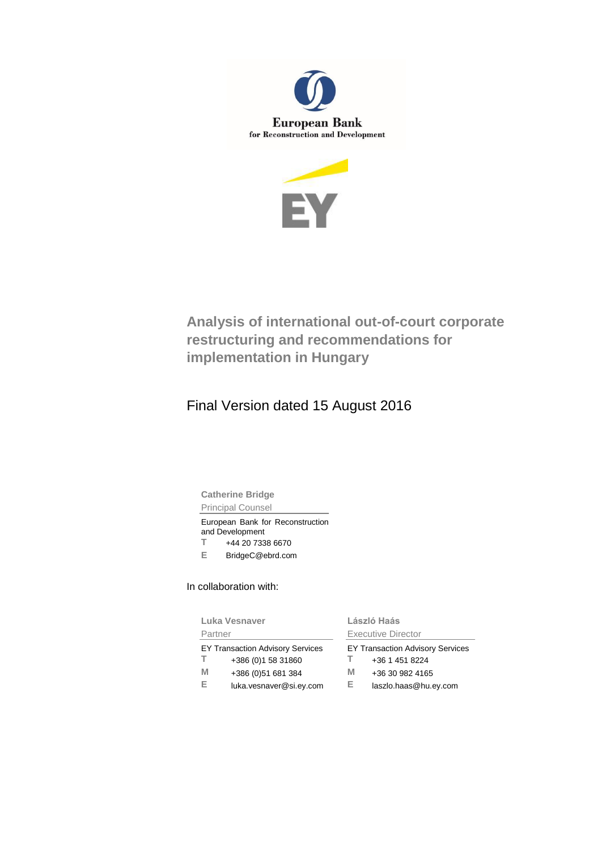



# **Analysis of international out-of-court corporate restructuring and recommendations for implementation in Hungary**

# Final Version dated 15 August 2016

**Catherine Bridge** Principal Counsel

European Bank for Reconstruction and Development **T** +44 20 7338 6670

**E** BridgeC@ebrd.com

In collaboration with:

| Luka Vesnaver                                                                                                              | László Haás                                                                                                      |  |
|----------------------------------------------------------------------------------------------------------------------------|------------------------------------------------------------------------------------------------------------------|--|
| Partner                                                                                                                    | Executive Director                                                                                               |  |
| EY Transaction Advisory Services<br>T.<br>+386 (0) 1 58 31860<br>М<br>+386 (0) 51 681 384<br>E.<br>luka.vesnaver@si.ey.com | <b>EY Transaction Advisory Services</b><br>+36 1 451 8224<br>M<br>+36 30 982 4165<br>Е.<br>laszlo.haas@hu.ey.com |  |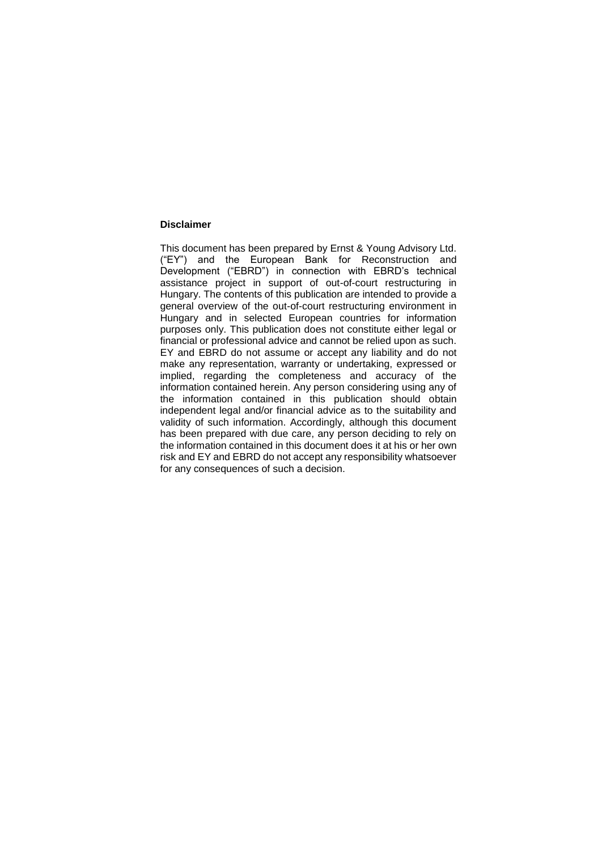#### **Disclaimer**

This document has been prepared by Ernst & Young Advisory Ltd. ("EY") and the European Bank for Reconstruction and Development ("EBRD") in connection with EBRD's technical assistance project in support of out-of-court restructuring in Hungary. The contents of this publication are intended to provide a general overview of the out-of-court restructuring environment in Hungary and in selected European countries for information purposes only. This publication does not constitute either legal or financial or professional advice and cannot be relied upon as such. EY and EBRD do not assume or accept any liability and do not make any representation, warranty or undertaking, expressed or implied, regarding the completeness and accuracy of the information contained herein. Any person considering using any of the information contained in this publication should obtain independent legal and/or financial advice as to the suitability and validity of such information. Accordingly, although this document has been prepared with due care, any person deciding to rely on the information contained in this document does it at his or her own risk and EY and EBRD do not accept any responsibility whatsoever for any consequences of such a decision.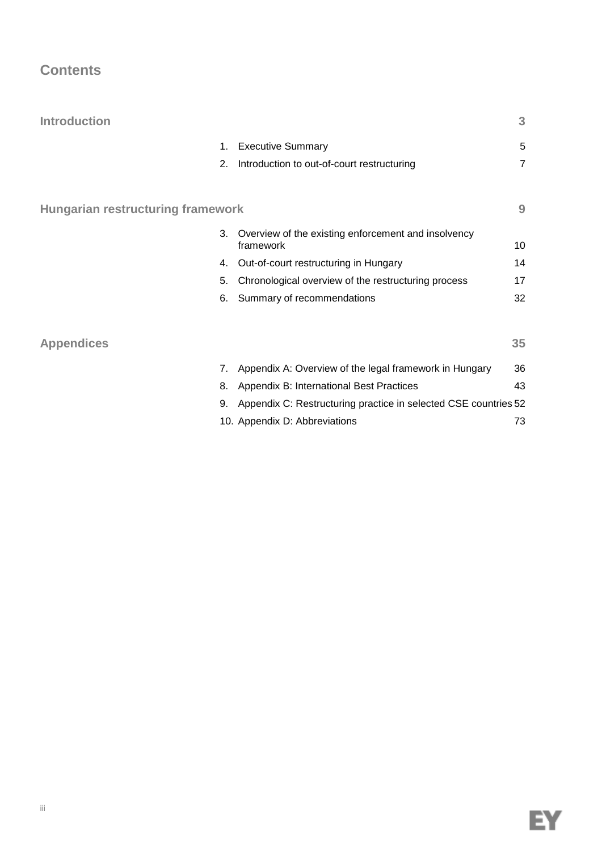## **Contents**

| <b>Introduction</b>                      |                                                                        | 3              |
|------------------------------------------|------------------------------------------------------------------------|----------------|
|                                          | <b>Executive Summary</b><br>1.                                         | 5              |
|                                          | Introduction to out-of-court restructuring<br>2.                       | $\overline{7}$ |
| <b>Hungarian restructuring framework</b> |                                                                        | 9              |
|                                          | 3.<br>Overview of the existing enforcement and insolvency<br>framework | 10             |
|                                          | Out-of-court restructuring in Hungary<br>4.                            | 14             |
|                                          | Chronological overview of the restructuring process<br>5.              | 17             |
|                                          | Summary of recommendations<br>6.                                       | 32             |
| <b>Appendices</b>                        |                                                                        | 35             |
|                                          | 7.<br>Appendix A: Overview of the legal framework in Hungary           | 36             |
|                                          | Appendix B: International Best Practices<br>8.                         | 43             |
|                                          | Appendix C: Restructuring practice in selected CSE countries 52<br>9.  |                |
|                                          | 10. Appendix D: Abbreviations                                          | 73             |

EY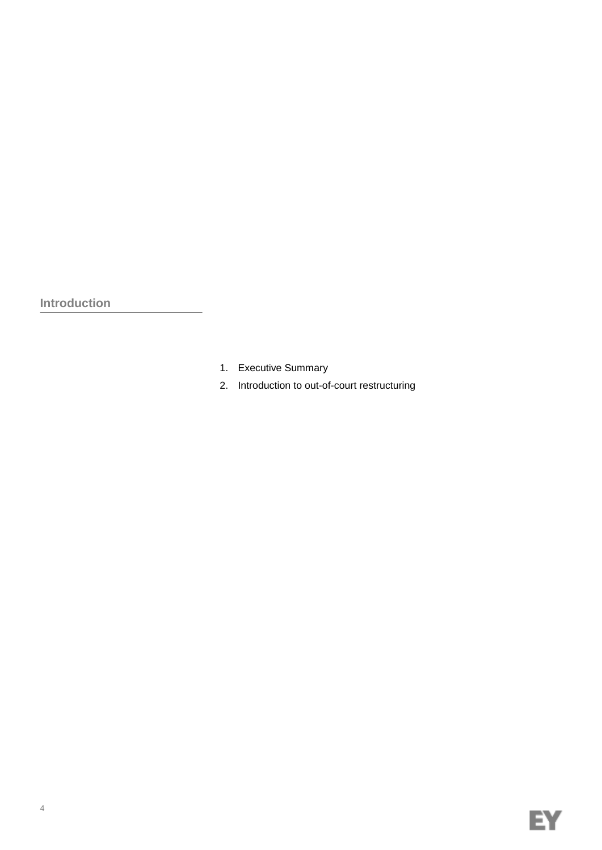**Introduction**

- 1. Executive Summary
- 2. Introduction to out-of-court restructuring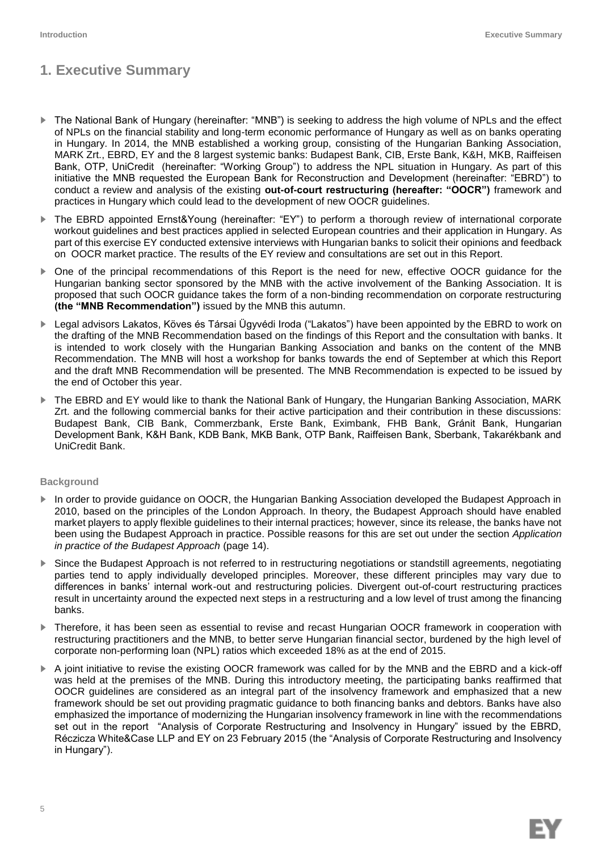## **1. Executive Summary**

- ► The National Bank of Hungary (hereinafter: "MNB") is seeking to address the high volume of NPLs and the effect of NPLs on the financial stability and long-term economic performance of Hungary as well as on banks operating in Hungary. In 2014, the MNB established a working group, consisting of the Hungarian Banking Association, MARK Zrt., EBRD, EY and the 8 largest systemic banks: Budapest Bank, CIB, Erste Bank, K&H, MKB, Raiffeisen Bank, OTP, UniCredit (hereinafter: "Working Group") to address the NPL situation in Hungary. As part of this initiative the MNB requested the European Bank for Reconstruction and Development (hereinafter: "EBRD") to conduct a review and analysis of the existing **out-of-court restructuring (hereafter: "OOCR")** framework and practices in Hungary which could lead to the development of new OOCR guidelines.
- ► The EBRD appointed Ernst&Young (hereinafter: "EY") to perform a thorough review of international corporate workout guidelines and best practices applied in selected European countries and their application in Hungary. As part of this exercise EY conducted extensive interviews with Hungarian banks to solicit their opinions and feedback on OOCR market practice. The results of the EY review and consultations are set out in this Report.
- ► One of the principal recommendations of this Report is the need for new, effective OOCR guidance for the Hungarian banking sector sponsored by the MNB with the active involvement of the Banking Association. It is proposed that such OOCR guidance takes the form of a non-binding recommendation on corporate restructuring **(the "MNB Recommendation")** issued by the MNB this autumn.
- ► Legal advisors Lakatos, Köves és Társai Ügyvédi Iroda ("Lakatos") have been appointed by the EBRD to work on the drafting of the MNB Recommendation based on the findings of this Report and the consultation with banks. It is intended to work closely with the Hungarian Banking Association and banks on the content of the MNB Recommendation. The MNB will host a workshop for banks towards the end of September at which this Report and the draft MNB Recommendation will be presented. The MNB Recommendation is expected to be issued by the end of October this year.
- The EBRD and EY would like to thank the National Bank of Hungary, the Hungarian Banking Association, MARK Zrt. and the following commercial banks for their active participation and their contribution in these discussions: Budapest Bank, CIB Bank, Commerzbank, Erste Bank, Eximbank, FHB Bank, Gránit Bank, Hungarian Development Bank, K&H Bank, KDB Bank, MKB Bank, OTP Bank, Raiffeisen Bank, Sberbank, Takarékbank and UniCredit Bank.

#### **Background**

- ► In order to provide guidance on OOCR, the Hungarian Banking Association developed the Budapest Approach in 2010, based on the principles of the London Approach. In theory, the Budapest Approach should have enabled market players to apply flexible guidelines to their internal practices; however, since its release, the banks have not been using the Budapest Approach in practice. Possible reasons for this are set out under the section *Application in practice of the Budapest Approach* (page 14).
- Since the Budapest Approach is not referred to in restructuring negotiations or standstill agreements, negotiating parties tend to apply individually developed principles. Moreover, these different principles may vary due to differences in banks' internal work-out and restructuring policies. Divergent out-of-court restructuring practices result in uncertainty around the expected next steps in a restructuring and a low level of trust among the financing banks.
- ► Therefore, it has been seen as essential to revise and recast Hungarian OOCR framework in cooperation with restructuring practitioners and the MNB, to better serve Hungarian financial sector, burdened by the high level of corporate non-performing loan (NPL) ratios which exceeded 18% as at the end of 2015.
- ► A joint initiative to revise the existing OOCR framework was called for by the MNB and the EBRD and a kick-off was held at the premises of the MNB. During this introductory meeting, the participating banks reaffirmed that OOCR guidelines are considered as an integral part of the insolvency framework and emphasized that a new framework should be set out providing pragmatic guidance to both financing banks and debtors. Banks have also emphasized the importance of modernizing the Hungarian insolvency framework in line with the recommendations set out in the report "Analysis of Corporate Restructuring and Insolvency in Hungary" issued by the EBRD, Réczicza White&Case LLP and EY on 23 February 2015 (the "Analysis of Corporate Restructuring and Insolvency in Hungary").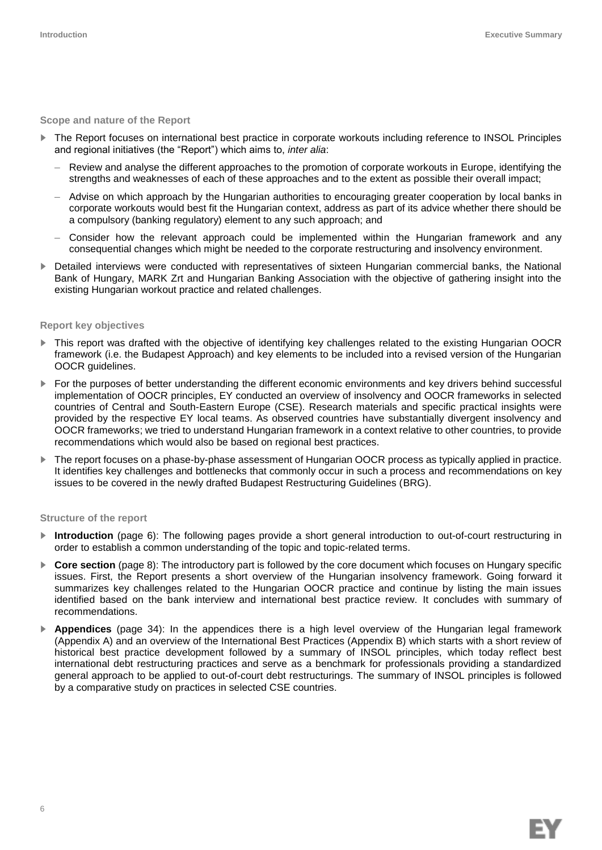#### **Scope and nature of the Report**

- The Report focuses on international best practice in corporate workouts including reference to INSOL Principles and regional initiatives (the "Report") which aims to, *inter alia*:
	- Review and analyse the different approaches to the promotion of corporate workouts in Europe, identifying the strengths and weaknesses of each of these approaches and to the extent as possible their overall impact;
	- Advise on which approach by the Hungarian authorities to encouraging greater cooperation by local banks in corporate workouts would best fit the Hungarian context, address as part of its advice whether there should be a compulsory (banking regulatory) element to any such approach; and
	- Consider how the relevant approach could be implemented within the Hungarian framework and any consequential changes which might be needed to the corporate restructuring and insolvency environment.
- ► Detailed interviews were conducted with representatives of sixteen Hungarian commercial banks, the National Bank of Hungary, MARK Zrt and Hungarian Banking Association with the objective of gathering insight into the existing Hungarian workout practice and related challenges.

#### **Report key objectives**

- This report was drafted with the objective of identifying key challenges related to the existing Hungarian OOCR framework (i.e. the Budapest Approach) and key elements to be included into a revised version of the Hungarian OOCR guidelines.
- ► For the purposes of better understanding the different economic environments and key drivers behind successful implementation of OOCR principles, EY conducted an overview of insolvency and OOCR frameworks in selected countries of Central and South-Eastern Europe (CSE). Research materials and specific practical insights were provided by the respective EY local teams. As observed countries have substantially divergent insolvency and OOCR frameworks; we tried to understand Hungarian framework in a context relative to other countries, to provide recommendations which would also be based on regional best practices.
- ► The report focuses on a phase-by-phase assessment of Hungarian OOCR process as typically applied in practice. It identifies key challenges and bottlenecks that commonly occur in such a process and recommendations on key issues to be covered in the newly drafted Budapest Restructuring Guidelines (BRG).

#### **Structure of the report**

- ► **Introduction** (page 6): The following pages provide a short general introduction to out-of-court restructuring in order to establish a common understanding of the topic and topic-related terms.
- ► **Core section** (page 8): The introductory part is followed by the core document which focuses on Hungary specific issues. First, the Report presents a short overview of the Hungarian insolvency framework. Going forward it summarizes key challenges related to the Hungarian OOCR practice and continue by listing the main issues identified based on the bank interview and international best practice review. It concludes with summary of recommendations.
- Appendices (page 34): In the appendices there is a high level overview of the Hungarian legal framework (Appendix A) and an overview of the International Best Practices (Appendix B) which starts with a short review of historical best practice development followed by a summary of INSOL principles, which today reflect best international debt restructuring practices and serve as a benchmark for professionals providing a standardized general approach to be applied to out-of-court debt restructurings. The summary of INSOL principles is followed by a comparative study on practices in selected CSE countries.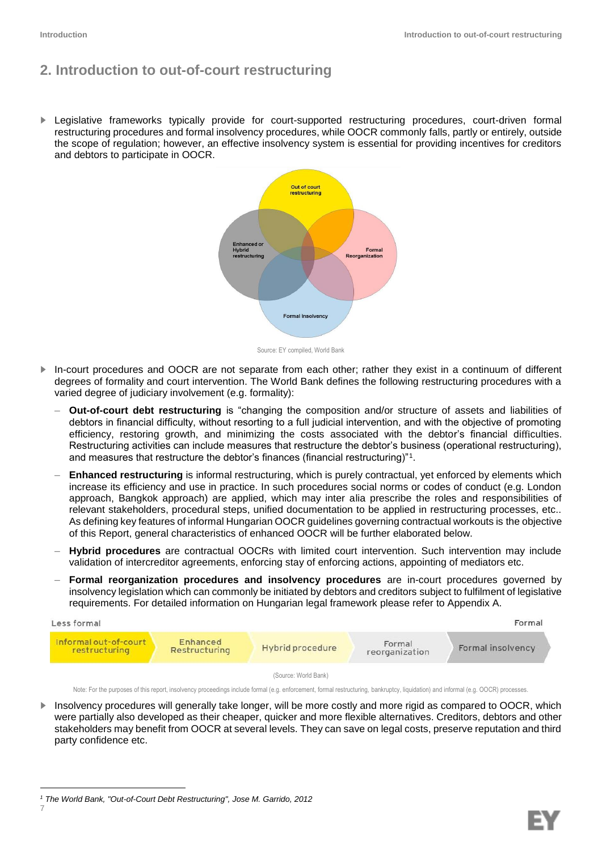### **2. Introduction to out-of-court restructuring**

► Legislative frameworks typically provide for court-supported restructuring procedures, court-driven formal restructuring procedures and formal insolvency procedures, while OOCR commonly falls, partly or entirely, outside the scope of regulation; however, an effective insolvency system is essential for providing incentives for creditors and debtors to participate in OOCR.



Source: EY compiled, World Bank

- ► In-court procedures and OOCR are not separate from each other; rather they exist in a continuum of different degrees of formality and court intervention. The World Bank defines the following restructuring procedures with a varied degree of judiciary involvement (e.g. formality):
	- **Out-of-court debt restructuring** is "changing the composition and/or structure of assets and liabilities of debtors in financial difficulty, without resorting to a full judicial intervention, and with the objective of promoting efficiency, restoring growth, and minimizing the costs associated with the debtor's financial difficulties. Restructuring activities can include measures that restructure the debtor's business (operational restructuring), and measures that restructure the debtor's finances (financial restructuring)"<sup>1</sup> .
	- **Enhanced restructuring** is informal restructuring, which is purely contractual, yet enforced by elements which increase its efficiency and use in practice. In such procedures social norms or codes of conduct (e.g. London approach, Bangkok approach) are applied, which may inter alia prescribe the roles and responsibilities of relevant stakeholders, procedural steps, unified documentation to be applied in restructuring processes, etc.. As defining key features of informal Hungarian OOCR guidelines governing contractual workouts is the objective of this Report, general characteristics of enhanced OOCR will be further elaborated below.
	- **Hybrid procedures** are contractual OOCRs with limited court intervention. Such intervention may include validation of intercreditor agreements, enforcing stay of enforcing actions, appointing of mediators etc.
	- **Formal reorganization procedures and insolvency procedures** are in-court procedures governed by insolvency legislation which can commonly be initiated by debtors and creditors subject to fulfilment of legislative requirements. For detailed information on Hungarian legal framework please refer to Appendix A.



Note: For the purposes of this report, insolvency proceedings include formal (e.g. enforcement, formal restructuring, bankruptcy, liquidation) and informal (e.g. OOCR) processes.

Insolvency procedures will generally take longer, will be more costly and more rigid as compared to OOCR, which were partially also developed as their cheaper, quicker and more flexible alternatives. Creditors, debtors and other stakeholders may benefit from OOCR at several levels. They can save on legal costs, preserve reputation and third party confidence etc.

7

ı

*<sup>1</sup> The World Bank, "Out-of-Court Debt Restructuring", Jose M. Garrido, 2012*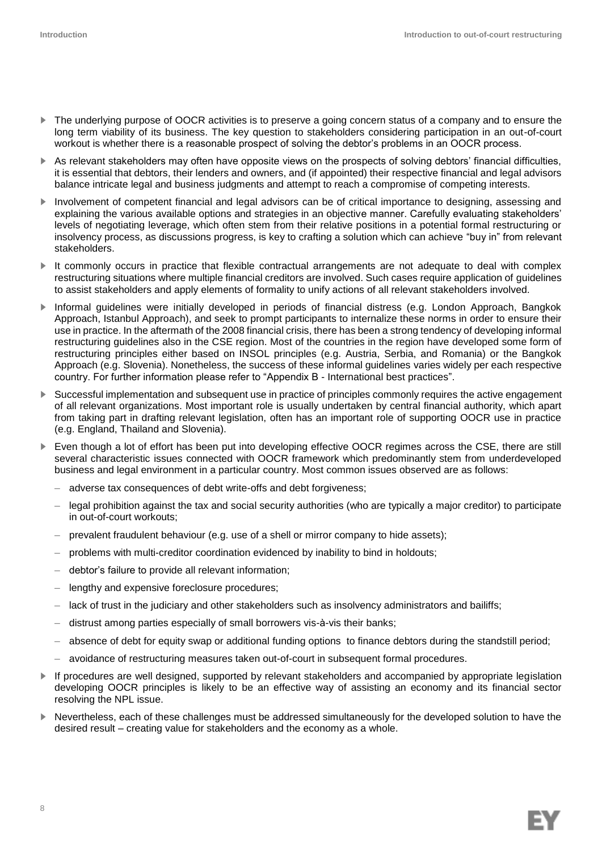- ► The underlying purpose of OOCR activities is to preserve a going concern status of a company and to ensure the long term viability of its business. The key question to stakeholders considering participation in an out-of-court workout is whether there is a reasonable prospect of solving the debtor's problems in an OOCR process.
- ► As relevant stakeholders may often have opposite views on the prospects of solving debtors' financial difficulties, it is essential that debtors, their lenders and owners, and (if appointed) their respective financial and legal advisors balance intricate legal and business judgments and attempt to reach a compromise of competing interests.
- ► Involvement of competent financial and legal advisors can be of critical importance to designing, assessing and explaining the various available options and strategies in an objective manner. Carefully evaluating stakeholders' levels of negotiating leverage, which often stem from their relative positions in a potential formal restructuring or insolvency process, as discussions progress, is key to crafting a solution which can achieve "buy in" from relevant stakeholders.
- It commonly occurs in practice that flexible contractual arrangements are not adequate to deal with complex restructuring situations where multiple financial creditors are involved. Such cases require application of guidelines to assist stakeholders and apply elements of formality to unify actions of all relevant stakeholders involved.
- ► Informal guidelines were initially developed in periods of financial distress (e.g. London Approach, Bangkok Approach, Istanbul Approach), and seek to prompt participants to internalize these norms in order to ensure their use in practice. In the aftermath of the 2008 financial crisis, there has been a strong tendency of developing informal restructuring guidelines also in the CSE region. Most of the countries in the region have developed some form of restructuring principles either based on INSOL principles (e.g. Austria, Serbia, and Romania) or the Bangkok Approach (e.g. Slovenia). Nonetheless, the success of these informal guidelines varies widely per each respective country. For further information please refer to "Appendix B - International best practices".
- ► Successful implementation and subsequent use in practice of principles commonly requires the active engagement of all relevant organizations. Most important role is usually undertaken by central financial authority, which apart from taking part in drafting relevant legislation, often has an important role of supporting OOCR use in practice (e.g. England, Thailand and Slovenia).
- Even though a lot of effort has been put into developing effective OOCR regimes across the CSE, there are still several characteristic issues connected with OOCR framework which predominantly stem from underdeveloped business and legal environment in a particular country. Most common issues observed are as follows:
	- adverse tax consequences of debt write-offs and debt forgiveness;
	- legal prohibition against the tax and social security authorities (who are typically a major creditor) to participate in out-of-court workouts;
	- prevalent fraudulent behaviour (e.g. use of a shell or mirror company to hide assets);
	- problems with multi-creditor coordination evidenced by inability to bind in holdouts;
	- debtor's failure to provide all relevant information;
	- lengthy and expensive foreclosure procedures;
	- lack of trust in the judiciary and other stakeholders such as insolvency administrators and bailiffs;
	- distrust among parties especially of small borrowers vis-à-vis their banks;
	- absence of debt for equity swap or additional funding options to finance debtors during the standstill period;
	- avoidance of restructuring measures taken out-of-court in subsequent formal procedures.
- ► If procedures are well designed, supported by relevant stakeholders and accompanied by appropriate legislation developing OOCR principles is likely to be an effective way of assisting an economy and its financial sector resolving the NPL issue.
- Nevertheless, each of these challenges must be addressed simultaneously for the developed solution to have the desired result – creating value for stakeholders and the economy as a whole.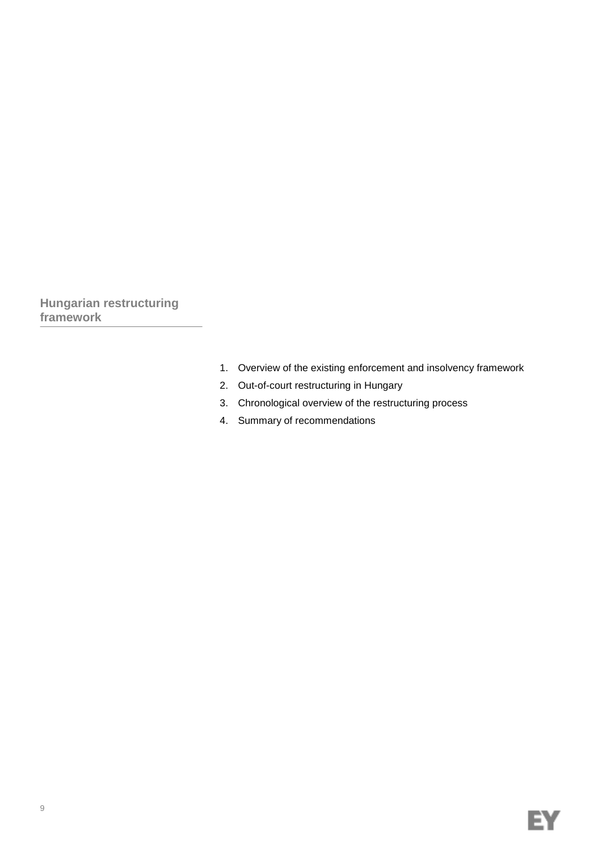**Hungarian restructuring framework**

- 1. Overview of the existing enforcement and insolvency framework
- 2. Out-of-court restructuring in Hungary
- 3. Chronological overview of the restructuring process
- 4. Summary of recommendations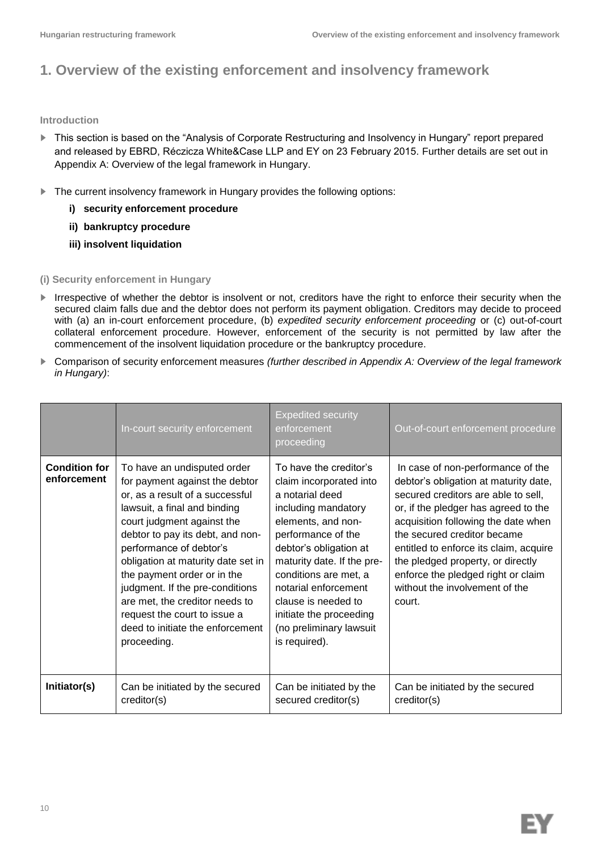# **1. Overview of the existing enforcement and insolvency framework**

### **Introduction**

- ► This section is based on the "Analysis of Corporate Restructuring and Insolvency in Hungary" report prepared and released by EBRD, Réczicza White&Case LLP and EY on 23 February 2015. Further details are set out in Appendix A: Overview of the legal framework in Hungary.
- ► The current insolvency framework in Hungary provides the following options:
	- **i) security enforcement procedure**
	- **ii) bankruptcy procedure**
	- **iii) insolvent liquidation**

### **(i) Security enforcement in Hungary**

- ► Irrespective of whether the debtor is insolvent or not, creditors have the right to enforce their security when the secured claim falls due and the debtor does not perform its payment obligation. Creditors may decide to proceed with (a) an in-court enforcement procedure, (b) *expedited security enforcement proceeding* or (c) out-of-court collateral enforcement procedure. However, enforcement of the security is not permitted by law after the commencement of the insolvent liquidation procedure or the bankruptcy procedure.
- ► Comparison of security enforcement measures *(further described in Appendix A: Overview of the legal framework in Hungary)*:

|                                     | In-court security enforcement                                                                                                                                                                                                                                                                                                                                                                                                                              | <b>Expedited security</b><br>enforcement<br>proceeding                                                                                                                                                                                                                                                                                         | Out-of-court enforcement procedure                                                                                                                                                                                                                                                                                                                                                               |
|-------------------------------------|------------------------------------------------------------------------------------------------------------------------------------------------------------------------------------------------------------------------------------------------------------------------------------------------------------------------------------------------------------------------------------------------------------------------------------------------------------|------------------------------------------------------------------------------------------------------------------------------------------------------------------------------------------------------------------------------------------------------------------------------------------------------------------------------------------------|--------------------------------------------------------------------------------------------------------------------------------------------------------------------------------------------------------------------------------------------------------------------------------------------------------------------------------------------------------------------------------------------------|
| <b>Condition for</b><br>enforcement | To have an undisputed order<br>for payment against the debtor<br>or, as a result of a successful<br>lawsuit, a final and binding<br>court judgment against the<br>debtor to pay its debt, and non-<br>performance of debtor's<br>obligation at maturity date set in<br>the payment order or in the<br>judgment. If the pre-conditions<br>are met, the creditor needs to<br>request the court to issue a<br>deed to initiate the enforcement<br>proceeding. | To have the creditor's<br>claim incorporated into<br>a notarial deed<br>including mandatory<br>elements, and non-<br>performance of the<br>debtor's obligation at<br>maturity date. If the pre-<br>conditions are met, a<br>notarial enforcement<br>clause is needed to<br>initiate the proceeding<br>(no preliminary lawsuit<br>is required). | In case of non-performance of the<br>debtor's obligation at maturity date,<br>secured creditors are able to sell,<br>or, if the pledger has agreed to the<br>acquisition following the date when<br>the secured creditor became<br>entitled to enforce its claim, acquire<br>the pledged property, or directly<br>enforce the pledged right or claim<br>without the involvement of the<br>court. |
| Initiator(s)                        | Can be initiated by the secured<br>creditor(s)                                                                                                                                                                                                                                                                                                                                                                                                             | Can be initiated by the<br>secured creditor(s)                                                                                                                                                                                                                                                                                                 | Can be initiated by the secured<br>creditor(s)                                                                                                                                                                                                                                                                                                                                                   |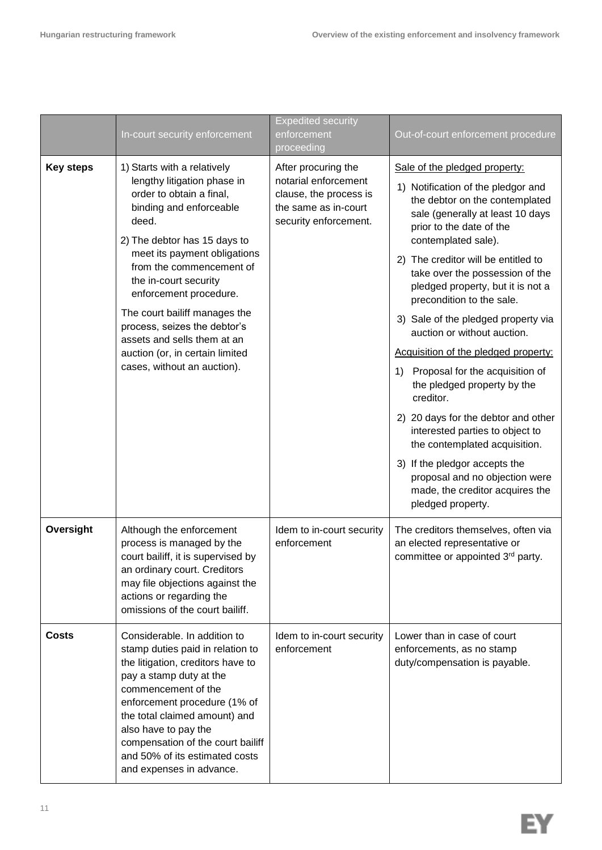|                  | In-court security enforcement                                                                                                                                                                                                                                                                                                                                                                                                               | <b>Expedited security</b><br>enforcement<br>proceeding                                                                 | Out-of-court enforcement procedure                                                                                                                                                                                                                                                                                                                                                                                                                                                                                                                                                                                                                                                                                                                                                |
|------------------|---------------------------------------------------------------------------------------------------------------------------------------------------------------------------------------------------------------------------------------------------------------------------------------------------------------------------------------------------------------------------------------------------------------------------------------------|------------------------------------------------------------------------------------------------------------------------|-----------------------------------------------------------------------------------------------------------------------------------------------------------------------------------------------------------------------------------------------------------------------------------------------------------------------------------------------------------------------------------------------------------------------------------------------------------------------------------------------------------------------------------------------------------------------------------------------------------------------------------------------------------------------------------------------------------------------------------------------------------------------------------|
| <b>Key steps</b> | 1) Starts with a relatively<br>lengthy litigation phase in<br>order to obtain a final,<br>binding and enforceable<br>deed.<br>2) The debtor has 15 days to<br>meet its payment obligations<br>from the commencement of<br>the in-court security<br>enforcement procedure.<br>The court bailiff manages the<br>process, seizes the debtor's<br>assets and sells them at an<br>auction (or, in certain limited<br>cases, without an auction). | After procuring the<br>notarial enforcement<br>clause, the process is<br>the same as in-court<br>security enforcement. | Sale of the pledged property:<br>1) Notification of the pledgor and<br>the debtor on the contemplated<br>sale (generally at least 10 days<br>prior to the date of the<br>contemplated sale).<br>2) The creditor will be entitled to<br>take over the possession of the<br>pledged property, but it is not a<br>precondition to the sale.<br>3) Sale of the pledged property via<br>auction or without auction.<br>Acquisition of the pledged property:<br>Proposal for the acquisition of<br>1)<br>the pledged property by the<br>creditor.<br>2) 20 days for the debtor and other<br>interested parties to object to<br>the contemplated acquisition.<br>3) If the pledgor accepts the<br>proposal and no objection were<br>made, the creditor acquires the<br>pledged property. |
| Oversight        | Although the enforcement<br>process is managed by the<br>court bailiff, it is supervised by<br>an ordinary court. Creditors<br>may file objections against the<br>actions or regarding the<br>omissions of the court bailiff.                                                                                                                                                                                                               | Idem to in-court security<br>enforcement                                                                               | The creditors themselves, often via<br>an elected representative or<br>committee or appointed 3rd party.                                                                                                                                                                                                                                                                                                                                                                                                                                                                                                                                                                                                                                                                          |
| <b>Costs</b>     | Considerable. In addition to<br>stamp duties paid in relation to<br>the litigation, creditors have to<br>pay a stamp duty at the<br>commencement of the<br>enforcement procedure (1% of<br>the total claimed amount) and<br>also have to pay the<br>compensation of the court bailiff<br>and 50% of its estimated costs<br>and expenses in advance.                                                                                         | Idem to in-court security<br>enforcement                                                                               | Lower than in case of court<br>enforcements, as no stamp<br>duty/compensation is payable.                                                                                                                                                                                                                                                                                                                                                                                                                                                                                                                                                                                                                                                                                         |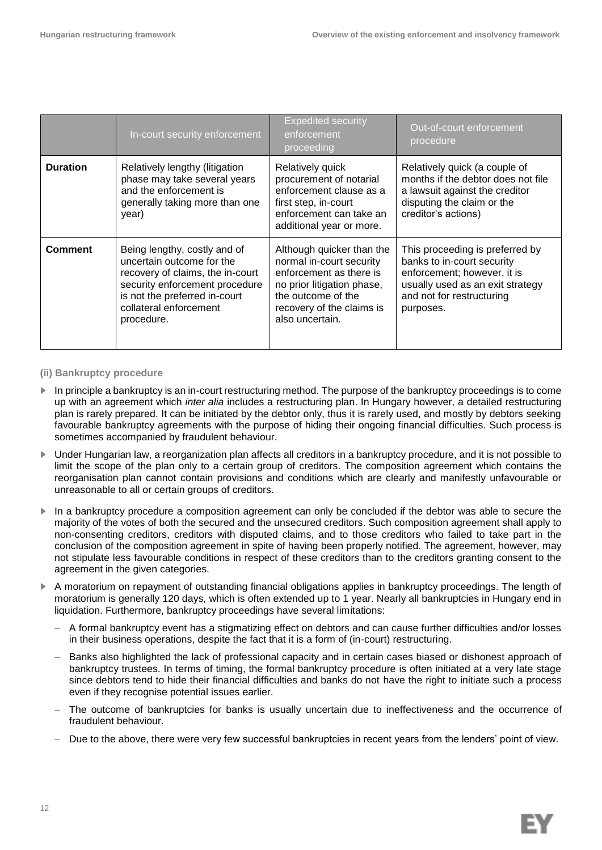|                 | In-court security enforcement                                                                                                                                                                            | <b>Expedited security</b><br>enforcement<br>proceeding                                                                                                                               | Out-of-court enforcement<br>procedure                                                                                                                                      |
|-----------------|----------------------------------------------------------------------------------------------------------------------------------------------------------------------------------------------------------|--------------------------------------------------------------------------------------------------------------------------------------------------------------------------------------|----------------------------------------------------------------------------------------------------------------------------------------------------------------------------|
| <b>Duration</b> | Relatively lengthy (litigation<br>phase may take several years<br>and the enforcement is<br>generally taking more than one<br>year)                                                                      | Relatively quick<br>procurement of notarial<br>enforcement clause as a<br>first step, in-court<br>enforcement can take an<br>additional year or more.                                | Relatively quick (a couple of<br>months if the debtor does not file<br>a lawsuit against the creditor<br>disputing the claim or the<br>creditor's actions)                 |
| <b>Comment</b>  | Being lengthy, costly and of<br>uncertain outcome for the<br>recovery of claims, the in-court<br>security enforcement procedure<br>is not the preferred in-court<br>collateral enforcement<br>procedure. | Although quicker than the<br>normal in-court security<br>enforcement as there is<br>no prior litigation phase,<br>the outcome of the<br>recovery of the claims is<br>also uncertain. | This proceeding is preferred by<br>banks to in-court security<br>enforcement; however, it is<br>usually used as an exit strategy<br>and not for restructuring<br>purposes. |

#### **(ii) Bankruptcy procedure**

- In principle a bankruptcy is an in-court restructuring method. The purpose of the bankruptcy proceedings is to come up with an agreement which *inter alia* includes a restructuring plan. In Hungary however, a detailed restructuring plan is rarely prepared. It can be initiated by the debtor only, thus it is rarely used, and mostly by debtors seeking favourable bankruptcy agreements with the purpose of hiding their ongoing financial difficulties. Such process is sometimes accompanied by fraudulent behaviour.
- ► Under Hungarian law, a reorganization plan affects all creditors in a bankruptcy procedure, and it is not possible to limit the scope of the plan only to a certain group of creditors. The composition agreement which contains the reorganisation plan cannot contain provisions and conditions which are clearly and manifestly unfavourable or unreasonable to all or certain groups of creditors.
- ► In a bankruptcy procedure a composition agreement can only be concluded if the debtor was able to secure the majority of the votes of both the secured and the unsecured creditors. Such composition agreement shall apply to non-consenting creditors, creditors with disputed claims, and to those creditors who failed to take part in the conclusion of the composition agreement in spite of having been properly notified. The agreement, however, may not stipulate less favourable conditions in respect of these creditors than to the creditors granting consent to the agreement in the given categories.
- ► A moratorium on repayment of outstanding financial obligations applies in bankruptcy proceedings. The length of moratorium is generally 120 days, which is often extended up to 1 year. Nearly all bankruptcies in Hungary end in liquidation. Furthermore, bankruptcy proceedings have several limitations:
	- A formal bankruptcy event has a stigmatizing effect on debtors and can cause further difficulties and/or losses in their business operations, despite the fact that it is a form of (in-court) restructuring.
	- Banks also highlighted the lack of professional capacity and in certain cases biased or dishonest approach of bankruptcy trustees. In terms of timing, the formal bankruptcy procedure is often initiated at a very late stage since debtors tend to hide their financial difficulties and banks do not have the right to initiate such a process even if they recognise potential issues earlier.
	- The outcome of bankruptcies for banks is usually uncertain due to ineffectiveness and the occurrence of fraudulent behaviour.
	- Due to the above, there were very few successful bankruptcies in recent years from the lenders' point of view.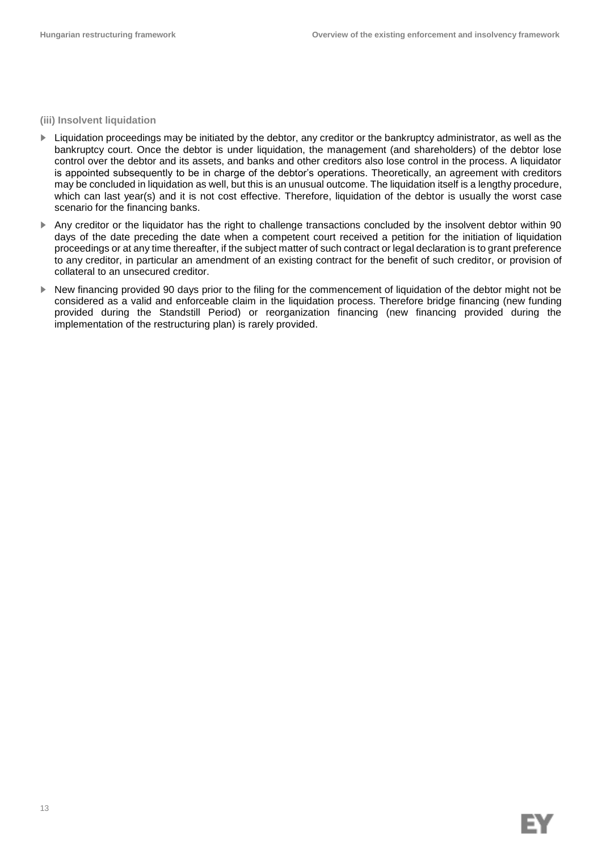**(iii) Insolvent liquidation**

- ► Liquidation proceedings may be initiated by the debtor, any creditor or the bankruptcy administrator, as well as the bankruptcy court. Once the debtor is under liquidation, the management (and shareholders) of the debtor lose control over the debtor and its assets, and banks and other creditors also lose control in the process. A liquidator is appointed subsequently to be in charge of the debtor's operations. Theoretically, an agreement with creditors may be concluded in liquidation as well, but this is an unusual outcome. The liquidation itself is a lengthy procedure, which can last year(s) and it is not cost effective. Therefore, liquidation of the debtor is usually the worst case scenario for the financing banks.
- ► Any creditor or the liquidator has the right to challenge transactions concluded by the insolvent debtor within 90 days of the date preceding the date when a competent court received a petition for the initiation of liquidation proceedings or at any time thereafter, if the subject matter of such contract or legal declaration is to grant preference to any creditor, in particular an amendment of an existing contract for the benefit of such creditor, or provision of collateral to an unsecured creditor.
- ► New financing provided 90 days prior to the filing for the commencement of liquidation of the debtor might not be considered as a valid and enforceable claim in the liquidation process. Therefore bridge financing (new funding provided during the Standstill Period) or reorganization financing (new financing provided during the implementation of the restructuring plan) is rarely provided.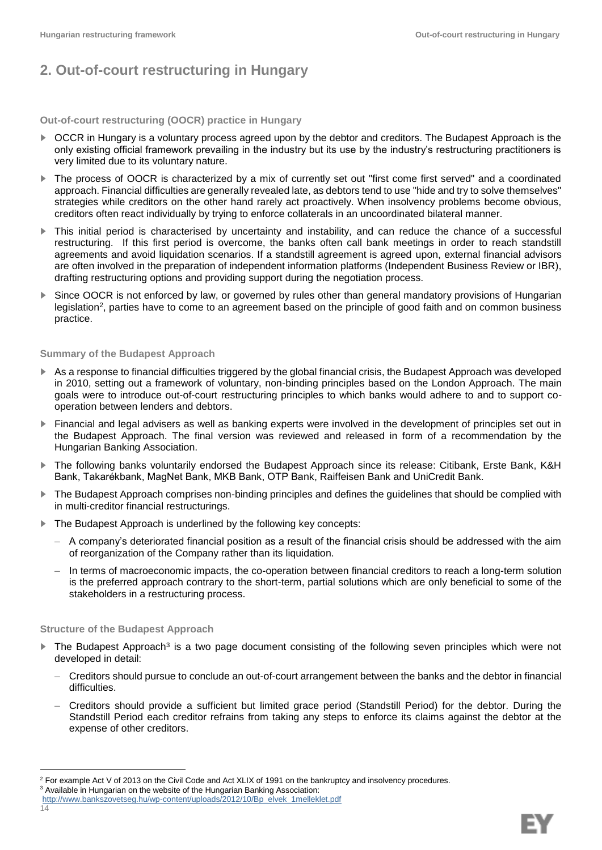# **2. Out-of-court restructuring in Hungary**

**Out-of-court restructuring (OOCR) practice in Hungary**

- ► OCCR in Hungary is a voluntary process agreed upon by the debtor and creditors. The Budapest Approach is the only existing official framework prevailing in the industry but its use by the industry's restructuring practitioners is very limited due to its voluntary nature.
- ► The process of OOCR is characterized by a mix of currently set out "first come first served" and a coordinated approach. Financial difficulties are generally revealed late, as debtors tend to use "hide and try to solve themselves" strategies while creditors on the other hand rarely act proactively. When insolvency problems become obvious, creditors often react individually by trying to enforce collaterals in an uncoordinated bilateral manner.
- ► This initial period is characterised by uncertainty and instability, and can reduce the chance of a successful restructuring. If this first period is overcome, the banks often call bank meetings in order to reach standstill agreements and avoid liquidation scenarios. If a standstill agreement is agreed upon, external financial advisors are often involved in the preparation of independent information platforms (Independent Business Review or IBR), drafting restructuring options and providing support during the negotiation process.
- ► Since OOCR is not enforced by law, or governed by rules other than general mandatory provisions of Hungarian legislation<sup>2</sup>, parties have to come to an agreement based on the principle of good faith and on common business practice.

#### **Summary of the Budapest Approach**

- As a response to financial difficulties triggered by the global financial crisis, the Budapest Approach was developed in 2010, setting out a framework of voluntary, non-binding principles based on the London Approach. The main goals were to introduce out-of-court restructuring principles to which banks would adhere to and to support cooperation between lenders and debtors.
- ► Financial and legal advisers as well as banking experts were involved in the development of principles set out in the Budapest Approach. The final version was reviewed and released in form of a recommendation by the Hungarian Banking Association.
- ► The following banks voluntarily endorsed the Budapest Approach since its release: Citibank, Erste Bank, K&H Bank, Takarékbank, MagNet Bank, MKB Bank, OTP Bank, Raiffeisen Bank and UniCredit Bank.
- ► The Budapest Approach comprises non-binding principles and defines the guidelines that should be complied with in multi-creditor financial restructurings.
- ► The Budapest Approach is underlined by the following key concepts:
	- A company's deteriorated financial position as a result of the financial crisis should be addressed with the aim of reorganization of the Company rather than its liquidation.
	- In terms of macroeconomic impacts, the co-operation between financial creditors to reach a long-term solution is the preferred approach contrary to the short-term, partial solutions which are only beneficial to some of the stakeholders in a restructuring process.

#### **Structure of the Budapest Approach**

l

- ► The Budapest Approach<sup>3</sup> is a two page document consisting of the following seven principles which were not developed in detail:
	- Creditors should pursue to conclude an out-of-court arrangement between the banks and the debtor in financial difficulties.
	- Creditors should provide a sufficient but limited grace period (Standstill Period) for the debtor. During the Standstill Period each creditor refrains from taking any steps to enforce its claims against the debtor at the expense of other creditors.

 $<sup>2</sup>$  For example Act V of 2013 on the Civil Code and Act XLIX of 1991 on the bankruptcy and insolvency procedures.</sup>

<sup>&</sup>lt;sup>3</sup> Available in Hungarian on the website of the Hungarian Banking Association:

<sup>14</sup> [http://www.bankszovetseg.hu/wp-content/uploads/2012/10/Bp\\_elvek\\_1melleklet.pdf](http://www.bankszovetseg.hu/wp-content/uploads/2012/10/Bp_elvek_1melleklet.pdf)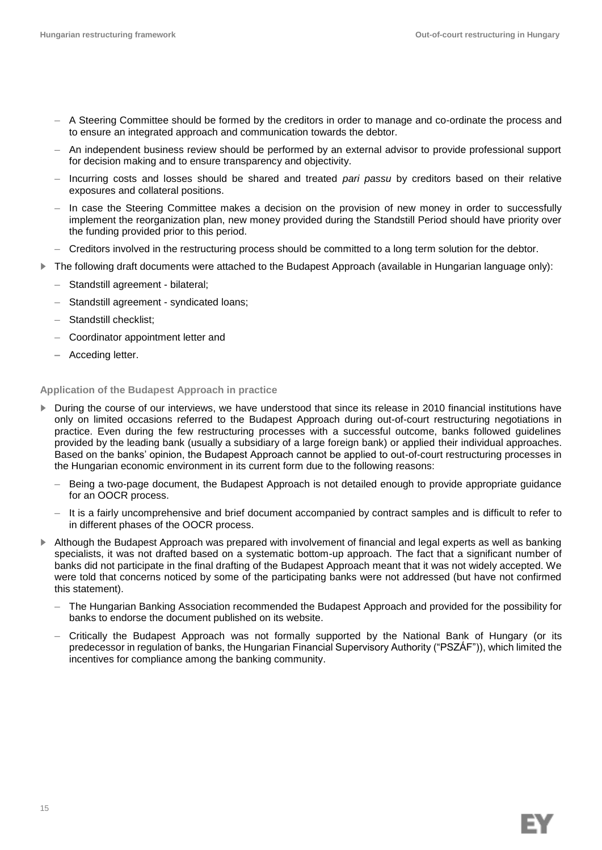- A Steering Committee should be formed by the creditors in order to manage and co-ordinate the process and to ensure an integrated approach and communication towards the debtor.
- An independent business review should be performed by an external advisor to provide professional support for decision making and to ensure transparency and objectivity.
- Incurring costs and losses should be shared and treated *pari passu* by creditors based on their relative exposures and collateral positions.
- In case the Steering Committee makes a decision on the provision of new money in order to successfully implement the reorganization plan, new money provided during the Standstill Period should have priority over the funding provided prior to this period.
- Creditors involved in the restructuring process should be committed to a long term solution for the debtor.
- ► The following draft documents were attached to the Budapest Approach (available in Hungarian language only):
	- Standstill agreement bilateral;
	- Standstill agreement syndicated loans;
	- Standstill checklist;
	- Coordinator appointment letter and
	- **–** Acceding letter.

#### **Application of the Budapest Approach in practice**

- ▶ During the course of our interviews, we have understood that since its release in 2010 financial institutions have only on limited occasions referred to the Budapest Approach during out-of-court restructuring negotiations in practice. Even during the few restructuring processes with a successful outcome, banks followed guidelines provided by the leading bank (usually a subsidiary of a large foreign bank) or applied their individual approaches. Based on the banks' opinion, the Budapest Approach cannot be applied to out-of-court restructuring processes in the Hungarian economic environment in its current form due to the following reasons:
	- Being a two-page document, the Budapest Approach is not detailed enough to provide appropriate guidance for an OOCR process.
	- It is a fairly uncomprehensive and brief document accompanied by contract samples and is difficult to refer to in different phases of the OOCR process.
- ► Although the Budapest Approach was prepared with involvement of financial and legal experts as well as banking specialists, it was not drafted based on a systematic bottom-up approach. The fact that a significant number of banks did not participate in the final drafting of the Budapest Approach meant that it was not widely accepted. We were told that concerns noticed by some of the participating banks were not addressed (but have not confirmed this statement).
	- The Hungarian Banking Association recommended the Budapest Approach and provided for the possibility for banks to endorse the document published on its website.
	- Critically the Budapest Approach was not formally supported by the National Bank of Hungary (or its predecessor in regulation of banks, the Hungarian Financial Supervisory Authority ("PSZÁF")), which limited the incentives for compliance among the banking community.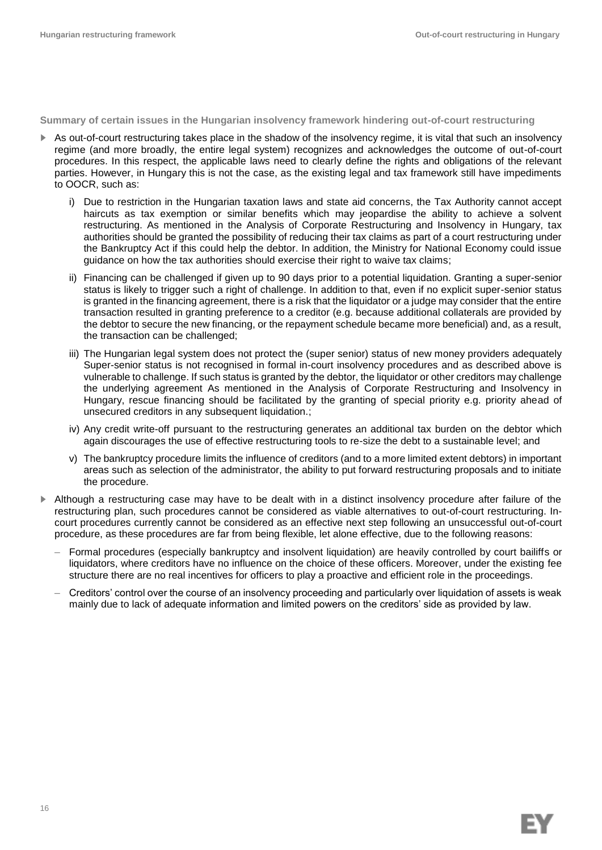#### **Summary of certain issues in the Hungarian insolvency framework hindering out-of-court restructuring**

- ► As out-of-court restructuring takes place in the shadow of the insolvency regime, it is vital that such an insolvency regime (and more broadly, the entire legal system) recognizes and acknowledges the outcome of out-of-court procedures. In this respect, the applicable laws need to clearly define the rights and obligations of the relevant parties. However, in Hungary this is not the case, as the existing legal and tax framework still have impediments to OOCR, such as:
	- i) Due to restriction in the Hungarian taxation laws and state aid concerns, the Tax Authority cannot accept haircuts as tax exemption or similar benefits which may jeopardise the ability to achieve a solvent restructuring. As mentioned in the Analysis of Corporate Restructuring and Insolvency in Hungary, tax authorities should be granted the possibility of reducing their tax claims as part of a court restructuring under the Bankruptcy Act if this could help the debtor. In addition, the Ministry for National Economy could issue guidance on how the tax authorities should exercise their right to waive tax claims;
	- ii) Financing can be challenged if given up to 90 days prior to a potential liquidation. Granting a super-senior status is likely to trigger such a right of challenge. In addition to that, even if no explicit super-senior status is granted in the financing agreement, there is a risk that the liquidator or a judge may consider that the entire transaction resulted in granting preference to a creditor (e.g. because additional collaterals are provided by the debtor to secure the new financing, or the repayment schedule became more beneficial) and, as a result, the transaction can be challenged;
	- iii) The Hungarian legal system does not protect the (super senior) status of new money providers adequately Super-senior status is not recognised in formal in-court insolvency procedures and as described above is vulnerable to challenge. If such status is granted by the debtor, the liquidator or other creditors may challenge the underlying agreement As mentioned in the Analysis of Corporate Restructuring and Insolvency in Hungary, rescue financing should be facilitated by the granting of special priority e.g. priority ahead of unsecured creditors in any subsequent liquidation.;
	- iv) Any credit write-off pursuant to the restructuring generates an additional tax burden on the debtor which again discourages the use of effective restructuring tools to re-size the debt to a sustainable level; and
	- v) The bankruptcy procedure limits the influence of creditors (and to a more limited extent debtors) in important areas such as selection of the administrator, the ability to put forward restructuring proposals and to initiate the procedure.
- ► Although a restructuring case may have to be dealt with in a distinct insolvency procedure after failure of the restructuring plan, such procedures cannot be considered as viable alternatives to out-of-court restructuring. Incourt procedures currently cannot be considered as an effective next step following an unsuccessful out-of-court procedure, as these procedures are far from being flexible, let alone effective, due to the following reasons:
	- Formal procedures (especially bankruptcy and insolvent liquidation) are heavily controlled by court bailiffs or liquidators, where creditors have no influence on the choice of these officers. Moreover, under the existing fee structure there are no real incentives for officers to play a proactive and efficient role in the proceedings.
	- Creditors' control over the course of an insolvency proceeding and particularly over liquidation of assets is weak mainly due to lack of adequate information and limited powers on the creditors' side as provided by law.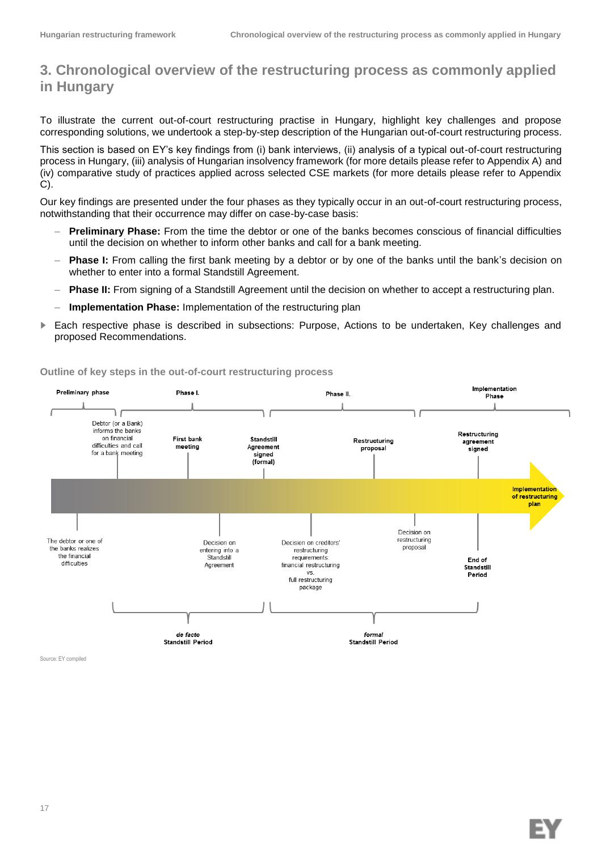# **3. Chronological overview of the restructuring process as commonly applied in Hungary**

To illustrate the current out-of-court restructuring practise in Hungary, highlight key challenges and propose corresponding solutions, we undertook a step-by-step description of the Hungarian out-of-court restructuring process.

This section is based on EY's key findings from (i) bank interviews, (ii) analysis of a typical out-of-court restructuring process in Hungary, (iii) analysis of Hungarian insolvency framework (for more details please refer to Appendix A) and (iv) comparative study of practices applied across selected CSE markets (for more details please refer to Appendix C).

Our key findings are presented under the four phases as they typically occur in an out-of-court restructuring process, notwithstanding that their occurrence may differ on case-by-case basis:

- **Preliminary Phase:** From the time the debtor or one of the banks becomes conscious of financial difficulties until the decision on whether to inform other banks and call for a bank meeting.
- **Phase I:** From calling the first bank meeting by a debtor or by one of the banks until the bank's decision on whether to enter into a formal Standstill Agreement.
- **Phase II:** From signing of a Standstill Agreement until the decision on whether to accept a restructuring plan.
- **Implementation Phase:** Implementation of the restructuring plan
- ► Each respective phase is described in subsections: Purpose, Actions to be undertaken, Key challenges and proposed Recommendations.



**Outline of key steps in the out-of-court restructuring process**

Source: EY compiled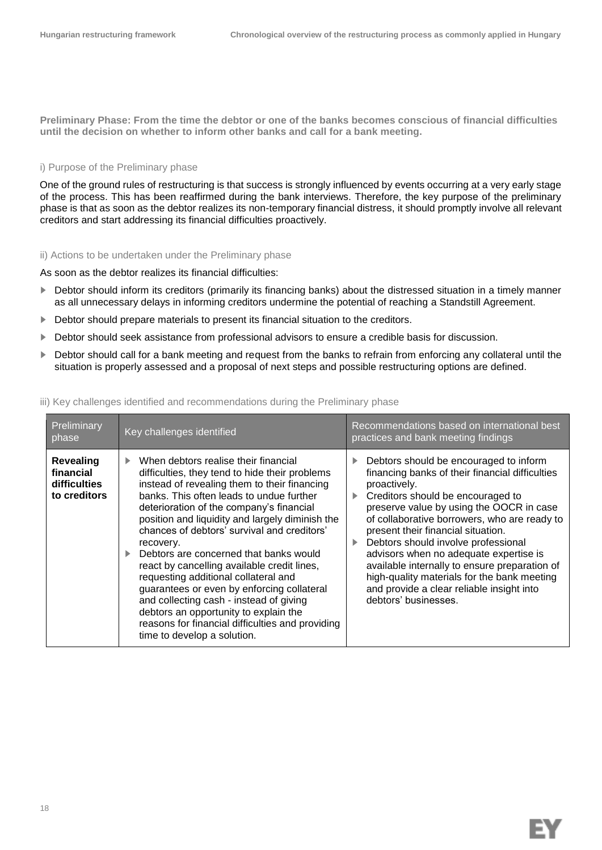**Preliminary Phase: From the time the debtor or one of the banks becomes conscious of financial difficulties until the decision on whether to inform other banks and call for a bank meeting.**

#### i) Purpose of the Preliminary phase

One of the ground rules of restructuring is that success is strongly influenced by events occurring at a very early stage of the process. This has been reaffirmed during the bank interviews. Therefore, the key purpose of the preliminary phase is that as soon as the debtor realizes its non-temporary financial distress, it should promptly involve all relevant creditors and start addressing its financial difficulties proactively.

ii) Actions to be undertaken under the Preliminary phase

As soon as the debtor realizes its financial difficulties:

- ► Debtor should inform its creditors (primarily its financing banks) about the distressed situation in a timely manner as all unnecessary delays in informing creditors undermine the potential of reaching a Standstill Agreement.
- ► Debtor should prepare materials to present its financial situation to the creditors.
- ► Debtor should seek assistance from professional advisors to ensure a credible basis for discussion.
- ► Debtor should call for a bank meeting and request from the banks to refrain from enforcing any collateral until the situation is properly assessed and a proposal of next steps and possible restructuring options are defined.

#### iii) Key challenges identified and recommendations during the Preliminary phase

| Preliminary<br>phase                                          | Key challenges identified                                                                                                                                                                                                                                                                                                                                                                                                                                                                                                                                                                                                                                                                           | Recommendations based on international best<br>practices and bank meeting findings                                                                                                                                                                                                                                                                                                                                                                                                                                                          |
|---------------------------------------------------------------|-----------------------------------------------------------------------------------------------------------------------------------------------------------------------------------------------------------------------------------------------------------------------------------------------------------------------------------------------------------------------------------------------------------------------------------------------------------------------------------------------------------------------------------------------------------------------------------------------------------------------------------------------------------------------------------------------------|---------------------------------------------------------------------------------------------------------------------------------------------------------------------------------------------------------------------------------------------------------------------------------------------------------------------------------------------------------------------------------------------------------------------------------------------------------------------------------------------------------------------------------------------|
| <b>Revealing</b><br>financial<br>difficulties<br>to creditors | When debtors realise their financial<br>difficulties, they tend to hide their problems<br>instead of revealing them to their financing<br>banks. This often leads to undue further<br>deterioration of the company's financial<br>position and liquidity and largely diminish the<br>chances of debtors' survival and creditors'<br>recovery.<br>Debtors are concerned that banks would<br>react by cancelling available credit lines,<br>requesting additional collateral and<br>guarantees or even by enforcing collateral<br>and collecting cash - instead of giving<br>debtors an opportunity to explain the<br>reasons for financial difficulties and providing<br>time to develop a solution. | Debtors should be encouraged to inform<br>financing banks of their financial difficulties<br>proactively.<br>Creditors should be encouraged to<br>▶<br>preserve value by using the OOCR in case<br>of collaborative borrowers, who are ready to<br>present their financial situation.<br>Debtors should involve professional<br>advisors when no adequate expertise is<br>available internally to ensure preparation of<br>high-quality materials for the bank meeting<br>and provide a clear reliable insight into<br>debtors' businesses. |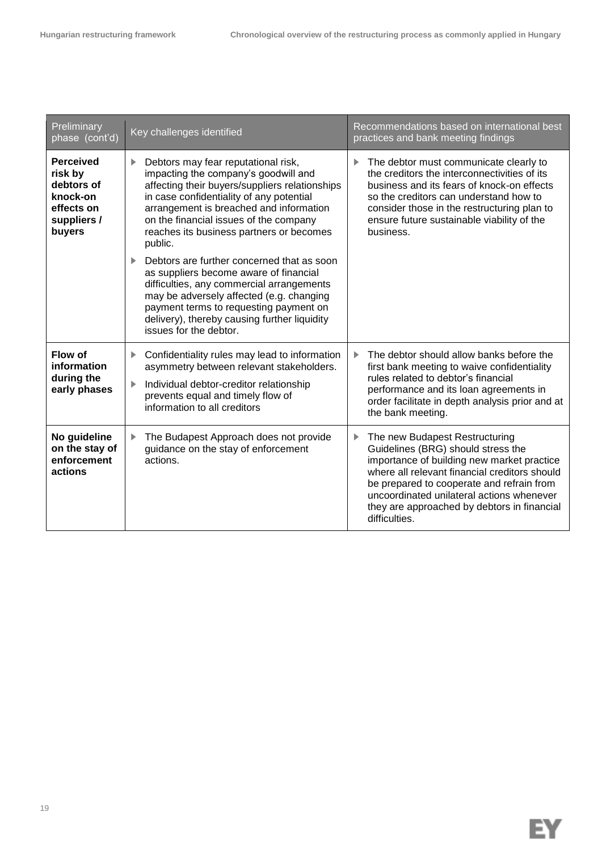| Preliminary<br>phase (cont'd)                                                                | Key challenges identified                                                                                                                                                                                                                                                                                                                                                | Recommendations based on international best<br>practices and bank meeting findings                                                                                                                                                                                                                                                 |
|----------------------------------------------------------------------------------------------|--------------------------------------------------------------------------------------------------------------------------------------------------------------------------------------------------------------------------------------------------------------------------------------------------------------------------------------------------------------------------|------------------------------------------------------------------------------------------------------------------------------------------------------------------------------------------------------------------------------------------------------------------------------------------------------------------------------------|
| <b>Perceived</b><br>risk by<br>debtors of<br>knock-on<br>effects on<br>suppliers /<br>buyers | Debtors may fear reputational risk,<br>▶<br>impacting the company's goodwill and<br>affecting their buyers/suppliers relationships<br>in case confidentiality of any potential<br>arrangement is breached and information<br>on the financial issues of the company<br>reaches its business partners or becomes<br>public.<br>Debtors are further concerned that as soon | The debtor must communicate clearly to<br>▶<br>the creditors the interconnectivities of its<br>business and its fears of knock-on effects<br>so the creditors can understand how to<br>consider those in the restructuring plan to<br>ensure future sustainable viability of the<br>business.                                      |
|                                                                                              | as suppliers become aware of financial<br>difficulties, any commercial arrangements<br>may be adversely affected (e.g. changing<br>payment terms to requesting payment on<br>delivery), thereby causing further liquidity<br>issues for the debtor.                                                                                                                      |                                                                                                                                                                                                                                                                                                                                    |
| Flow of<br>information<br>during the<br>early phases                                         | Confidentiality rules may lead to information<br>▶<br>asymmetry between relevant stakeholders.<br>Individual debtor-creditor relationship<br>▶<br>prevents equal and timely flow of<br>information to all creditors                                                                                                                                                      | The debtor should allow banks before the<br>▶<br>first bank meeting to waive confidentiality<br>rules related to debtor's financial<br>performance and its loan agreements in<br>order facilitate in depth analysis prior and at<br>the bank meeting.                                                                              |
| No guideline<br>on the stay of<br>enforcement<br>actions                                     | The Budapest Approach does not provide<br>▶<br>guidance on the stay of enforcement<br>actions.                                                                                                                                                                                                                                                                           | The new Budapest Restructuring<br>▶<br>Guidelines (BRG) should stress the<br>importance of building new market practice<br>where all relevant financial creditors should<br>be prepared to cooperate and refrain from<br>uncoordinated unilateral actions whenever<br>they are approached by debtors in financial<br>difficulties. |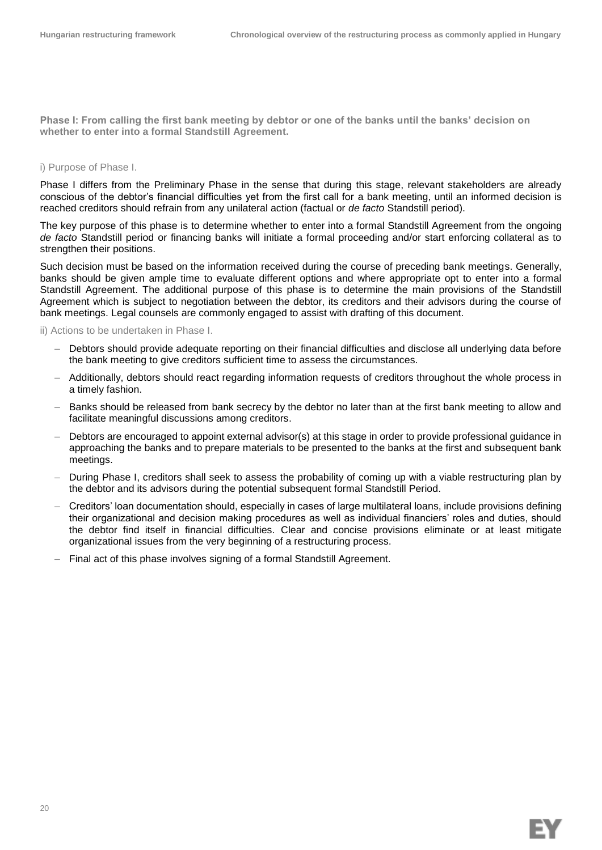**Phase I: From calling the first bank meeting by debtor or one of the banks until the banks' decision on whether to enter into a formal Standstill Agreement.**

#### i) Purpose of Phase I.

Phase I differs from the Preliminary Phase in the sense that during this stage, relevant stakeholders are already conscious of the debtor's financial difficulties yet from the first call for a bank meeting, until an informed decision is reached creditors should refrain from any unilateral action (factual or *de facto* Standstill period).

The key purpose of this phase is to determine whether to enter into a formal Standstill Agreement from the ongoing *de facto* Standstill period or financing banks will initiate a formal proceeding and/or start enforcing collateral as to strengthen their positions.

Such decision must be based on the information received during the course of preceding bank meetings. Generally, banks should be given ample time to evaluate different options and where appropriate opt to enter into a formal Standstill Agreement. The additional purpose of this phase is to determine the main provisions of the Standstill Agreement which is subject to negotiation between the debtor, its creditors and their advisors during the course of bank meetings. Legal counsels are commonly engaged to assist with drafting of this document.

#### ii) Actions to be undertaken in Phase I.

- Debtors should provide adequate reporting on their financial difficulties and disclose all underlying data before the bank meeting to give creditors sufficient time to assess the circumstances.
- Additionally, debtors should react regarding information requests of creditors throughout the whole process in a timely fashion.
- Banks should be released from bank secrecy by the debtor no later than at the first bank meeting to allow and facilitate meaningful discussions among creditors.
- Debtors are encouraged to appoint external advisor(s) at this stage in order to provide professional guidance in approaching the banks and to prepare materials to be presented to the banks at the first and subsequent bank meetings.
- During Phase I, creditors shall seek to assess the probability of coming up with a viable restructuring plan by the debtor and its advisors during the potential subsequent formal Standstill Period.
- Creditors' loan documentation should, especially in cases of large multilateral loans, include provisions defining their organizational and decision making procedures as well as individual financiers' roles and duties, should the debtor find itself in financial difficulties. Clear and concise provisions eliminate or at least mitigate organizational issues from the very beginning of a restructuring process.
- Final act of this phase involves signing of a formal Standstill Agreement.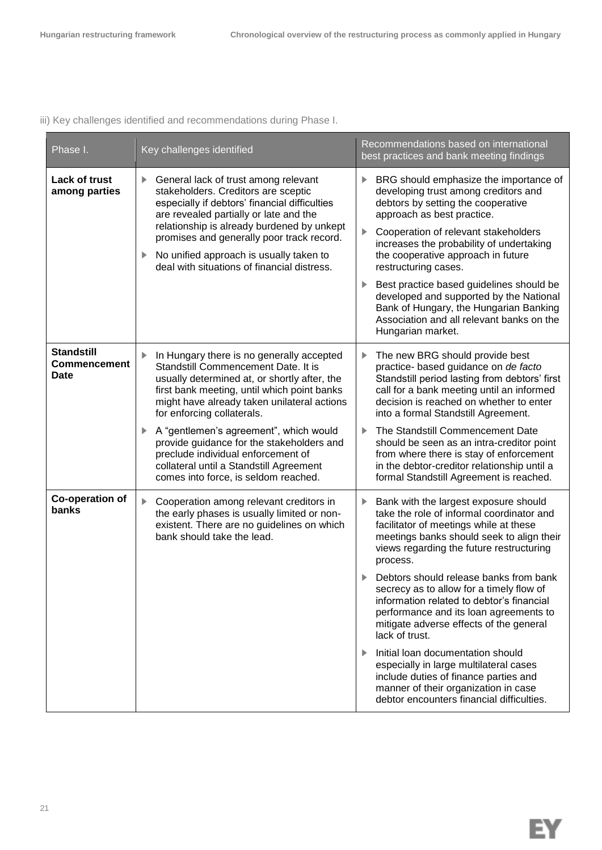iii) Key challenges identified and recommendations during Phase I.

| Phase I.                                                | Key challenges identified                                                                                                                                                                                                                                                                                                                                                                                                                                                    | Recommendations based on international<br>best practices and bank meeting findings                                                                                                                                                                                                                                                                                                                                                                                                                                                                                                                                                                                                       |
|---------------------------------------------------------|------------------------------------------------------------------------------------------------------------------------------------------------------------------------------------------------------------------------------------------------------------------------------------------------------------------------------------------------------------------------------------------------------------------------------------------------------------------------------|------------------------------------------------------------------------------------------------------------------------------------------------------------------------------------------------------------------------------------------------------------------------------------------------------------------------------------------------------------------------------------------------------------------------------------------------------------------------------------------------------------------------------------------------------------------------------------------------------------------------------------------------------------------------------------------|
| Lack of trust<br>among parties                          | General lack of trust among relevant<br>stakeholders. Creditors are sceptic<br>especially if debtors' financial difficulties<br>are revealed partially or late and the<br>relationship is already burdened by unkept<br>promises and generally poor track record.<br>No unified approach is usually taken to<br>Þ.<br>deal with situations of financial distress.                                                                                                            | BRG should emphasize the importance of<br>developing trust among creditors and<br>debtors by setting the cooperative<br>approach as best practice.<br>Cooperation of relevant stakeholders<br>increases the probability of undertaking<br>the cooperative approach in future<br>restructuring cases.<br>Best practice based guidelines should be<br>developed and supported by the National<br>Bank of Hungary, the Hungarian Banking<br>Association and all relevant banks on the<br>Hungarian market.                                                                                                                                                                                  |
| <b>Standstill</b><br><b>Commencement</b><br><b>Date</b> | In Hungary there is no generally accepted<br>Standstill Commencement Date. It is<br>usually determined at, or shortly after, the<br>first bank meeting, until which point banks<br>might have already taken unilateral actions<br>for enforcing collaterals.<br>A "gentlemen's agreement", which would<br>provide guidance for the stakeholders and<br>preclude individual enforcement of<br>collateral until a Standstill Agreement<br>comes into force, is seldom reached. | The new BRG should provide best<br>practice- based guidance on de facto<br>Standstill period lasting from debtors' first<br>call for a bank meeting until an informed<br>decision is reached on whether to enter<br>into a formal Standstill Agreement.<br>The Standstill Commencement Date<br>should be seen as an intra-creditor point<br>from where there is stay of enforcement<br>in the debtor-creditor relationship until a<br>formal Standstill Agreement is reached.                                                                                                                                                                                                            |
| Co-operation of<br>banks                                | ▶<br>Cooperation among relevant creditors in<br>the early phases is usually limited or non-<br>existent. There are no guidelines on which<br>bank should take the lead.                                                                                                                                                                                                                                                                                                      | Bank with the largest exposure should<br>take the role of informal coordinator and<br>facilitator of meetings while at these<br>meetings banks should seek to align their<br>views regarding the future restructuring<br>process.<br>Debtors should release banks from bank<br>secrecy as to allow for a timely flow of<br>information related to debtor's financial<br>performance and its loan agreements to<br>mitigate adverse effects of the general<br>lack of trust.<br>Initial loan documentation should<br>especially in large multilateral cases<br>include duties of finance parties and<br>manner of their organization in case<br>debtor encounters financial difficulties. |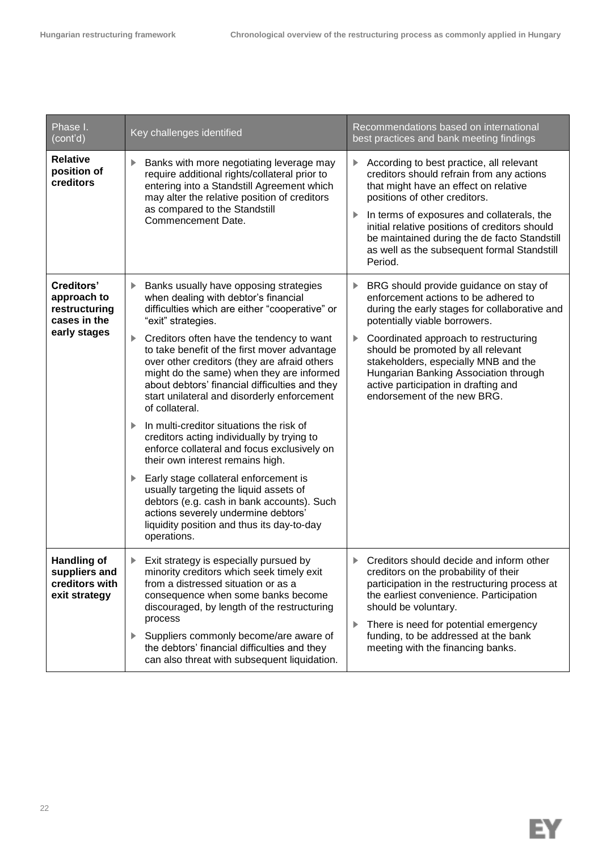| Phase I.<br>(cont'd)                                                   | Key challenges identified                                                                                                                                                                                                                                                                                      | Recommendations based on international<br>best practices and bank meeting findings                                                                                                                                                                                                                                                                                                  |
|------------------------------------------------------------------------|----------------------------------------------------------------------------------------------------------------------------------------------------------------------------------------------------------------------------------------------------------------------------------------------------------------|-------------------------------------------------------------------------------------------------------------------------------------------------------------------------------------------------------------------------------------------------------------------------------------------------------------------------------------------------------------------------------------|
| <b>Relative</b><br>position of<br>creditors                            | Banks with more negotiating leverage may<br>▶<br>require additional rights/collateral prior to<br>entering into a Standstill Agreement which<br>may alter the relative position of creditors<br>as compared to the Standstill<br>Commencement Date.                                                            | According to best practice, all relevant<br>▶<br>creditors should refrain from any actions<br>that might have an effect on relative<br>positions of other creditors.<br>In terms of exposures and collaterals, the<br>▶<br>initial relative positions of creditors should<br>be maintained during the de facto Standstill<br>as well as the subsequent formal Standstill<br>Period. |
| <b>Creditors'</b><br>approach to<br>restructuring<br>cases in the      | Banks usually have opposing strategies<br>▶<br>when dealing with debtor's financial<br>difficulties which are either "cooperative" or<br>"exit" strategies.                                                                                                                                                    | BRG should provide guidance on stay of<br>▶<br>enforcement actions to be adhered to<br>during the early stages for collaborative and<br>potentially viable borrowers.                                                                                                                                                                                                               |
| early stages                                                           | Creditors often have the tendency to want<br>▶<br>to take benefit of the first mover advantage<br>over other creditors (they are afraid others<br>might do the same) when they are informed<br>about debtors' financial difficulties and they<br>start unilateral and disorderly enforcement<br>of collateral. | Coordinated approach to restructuring<br>▶<br>should be promoted by all relevant<br>stakeholders, especially MNB and the<br>Hungarian Banking Association through<br>active participation in drafting and<br>endorsement of the new BRG.                                                                                                                                            |
|                                                                        | In multi-creditor situations the risk of<br>creditors acting individually by trying to<br>enforce collateral and focus exclusively on<br>their own interest remains high.                                                                                                                                      |                                                                                                                                                                                                                                                                                                                                                                                     |
|                                                                        | Early stage collateral enforcement is<br>usually targeting the liquid assets of<br>debtors (e.g. cash in bank accounts). Such<br>actions severely undermine debtors'<br>liquidity position and thus its day-to-day<br>operations.                                                                              |                                                                                                                                                                                                                                                                                                                                                                                     |
| <b>Handling of</b><br>suppliers and<br>creditors with<br>exit strategy | Exit strategy is especially pursued by<br>▶<br>minority creditors which seek timely exit<br>from a distressed situation or as a<br>consequence when some banks become<br>discouraged, by length of the restructuring                                                                                           | Creditors should decide and inform other<br>▶<br>creditors on the probability of their<br>participation in the restructuring process at<br>the earliest convenience. Participation<br>should be voluntary.                                                                                                                                                                          |
|                                                                        | process<br>Suppliers commonly become/are aware of<br>▶<br>the debtors' financial difficulties and they<br>can also threat with subsequent liquidation.                                                                                                                                                         | There is need for potential emergency<br>▶<br>funding, to be addressed at the bank<br>meeting with the financing banks.                                                                                                                                                                                                                                                             |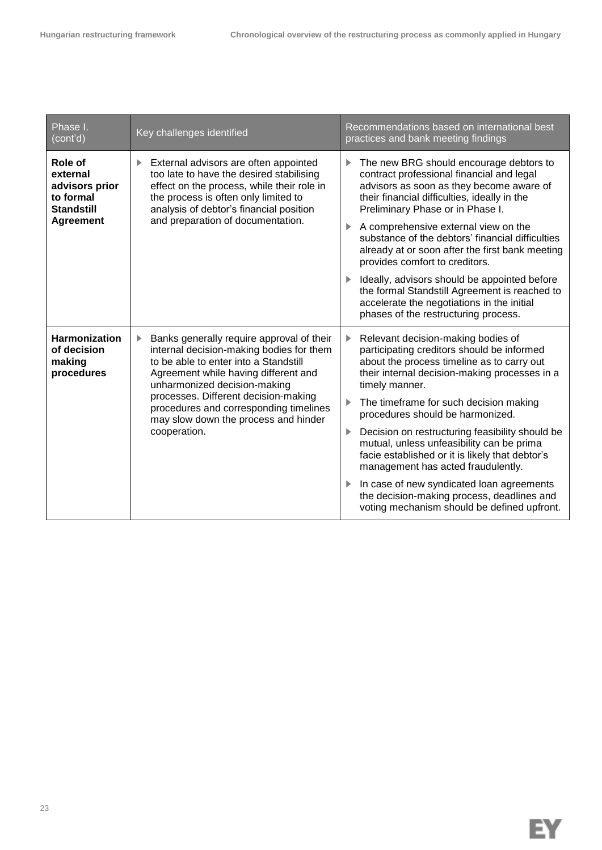| Phase I.<br>(cont'd)                                                                                                                                                                                                                                                                                                                                        | Key challenges identified                                                                                                                                                                                                                                                                                                                                                                                       | Recommendations based on international best<br>practices and bank meeting findings                                                                                                                                                          |
|-------------------------------------------------------------------------------------------------------------------------------------------------------------------------------------------------------------------------------------------------------------------------------------------------------------------------------------------------------------|-----------------------------------------------------------------------------------------------------------------------------------------------------------------------------------------------------------------------------------------------------------------------------------------------------------------------------------------------------------------------------------------------------------------|---------------------------------------------------------------------------------------------------------------------------------------------------------------------------------------------------------------------------------------------|
| Role of<br>External advisors are often appointed<br>▶<br>too late to have the desired stabilising<br>external<br>advisors prior<br>effect on the process, while their role in<br>to formal<br>the process is often only limited to<br><b>Standstill</b><br>analysis of debtor's financial position<br>and preparation of documentation.<br><b>Agreement</b> | The new BRG should encourage debtors to<br>▶<br>contract professional financial and legal<br>advisors as soon as they become aware of<br>their financial difficulties, ideally in the<br>Preliminary Phase or in Phase I.<br>A comprehensive external view on the<br>▶<br>substance of the debtors' financial difficulties<br>already at or soon after the first bank meeting<br>provides comfort to creditors. |                                                                                                                                                                                                                                             |
|                                                                                                                                                                                                                                                                                                                                                             |                                                                                                                                                                                                                                                                                                                                                                                                                 | Ideally, advisors should be appointed before<br>the formal Standstill Agreement is reached to<br>accelerate the negotiations in the initial<br>phases of the restructuring process.                                                         |
| <b>Harmonization</b><br>of decision<br>making<br>procedures                                                                                                                                                                                                                                                                                                 | Banks generally require approval of their<br>▶<br>internal decision-making bodies for them<br>to be able to enter into a Standstill<br>Agreement while having different and<br>unharmonized decision-making<br>processes. Different decision-making<br>procedures and corresponding timelines                                                                                                                   | Relevant decision-making bodies of<br>participating creditors should be informed<br>about the process timeline as to carry out<br>their internal decision-making processes in a<br>timely manner.<br>The timeframe for such decision making |
| may slow down the process and hinder<br>cooperation.                                                                                                                                                                                                                                                                                                        | procedures should be harmonized.<br>Decision on restructuring feasibility should be<br>▶<br>mutual, unless unfeasibility can be prima<br>facie established or it is likely that debtor's<br>management has acted fraudulently.                                                                                                                                                                                  |                                                                                                                                                                                                                                             |
|                                                                                                                                                                                                                                                                                                                                                             |                                                                                                                                                                                                                                                                                                                                                                                                                 | In case of new syndicated loan agreements<br>the decision-making process, deadlines and<br>voting mechanism should be defined upfront.                                                                                                      |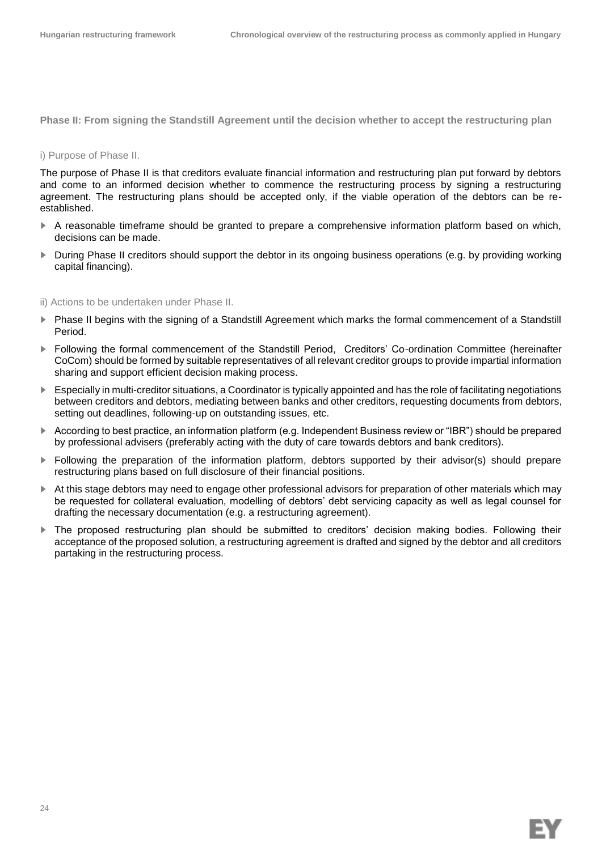**Phase II: From signing the Standstill Agreement until the decision whether to accept the restructuring plan** 

#### i) Purpose of Phase II.

The purpose of Phase II is that creditors evaluate financial information and restructuring plan put forward by debtors and come to an informed decision whether to commence the restructuring process by signing a restructuring agreement. The restructuring plans should be accepted only, if the viable operation of the debtors can be reestablished.

- ► A reasonable timeframe should be granted to prepare a comprehensive information platform based on which, decisions can be made.
- ► During Phase II creditors should support the debtor in its ongoing business operations (e.g. by providing working capital financing).

#### ii) Actions to be undertaken under Phase II.

- Phase II begins with the signing of a Standstill Agreement which marks the formal commencement of a Standstill Period.
- ► Following the formal commencement of the Standstill Period, Creditors' Co-ordination Committee (hereinafter CoCom) should be formed by suitable representatives of all relevant creditor groups to provide impartial information sharing and support efficient decision making process.
- ► Especially in multi-creditor situations, a Coordinator is typically appointed and has the role of facilitating negotiations between creditors and debtors, mediating between banks and other creditors, requesting documents from debtors, setting out deadlines, following-up on outstanding issues, etc.
- ► According to best practice, an information platform (e.g. Independent Business review or "IBR") should be prepared by professional advisers (preferably acting with the duty of care towards debtors and bank creditors).
- ► Following the preparation of the information platform, debtors supported by their advisor(s) should prepare restructuring plans based on full disclosure of their financial positions.
- ► At this stage debtors may need to engage other professional advisors for preparation of other materials which may be requested for collateral evaluation, modelling of debtors' debt servicing capacity as well as legal counsel for drafting the necessary documentation (e.g. a restructuring agreement).
- ► The proposed restructuring plan should be submitted to creditors' decision making bodies. Following their acceptance of the proposed solution, a restructuring agreement is drafted and signed by the debtor and all creditors partaking in the restructuring process.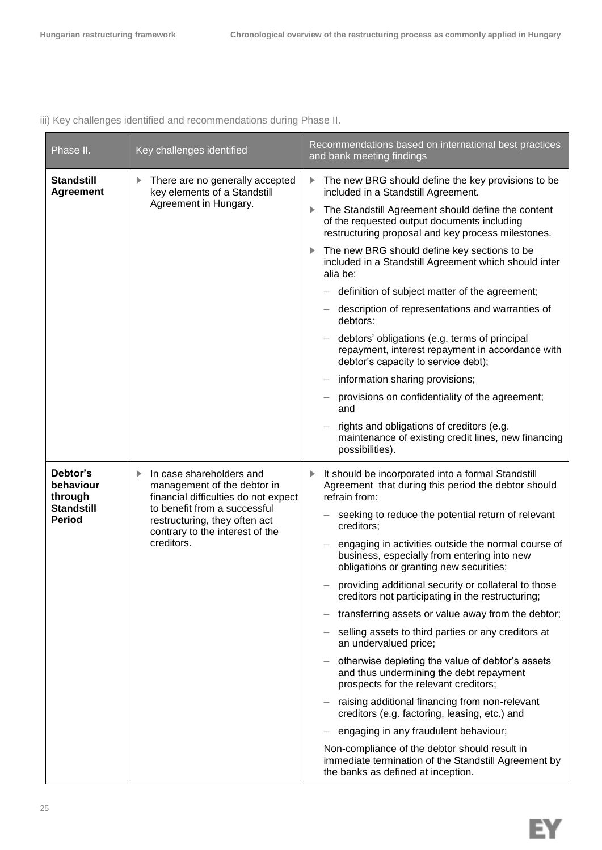iii) Key challenges identified and recommendations during Phase II.

| Phase II.                                                              | Key challenges identified                                                                                                                                                                                              | Recommendations based on international best practices<br>and bank meeting findings                                                                                                                                                                                                                                                                                                                                                                                                                                                                                                                                                                                                                                                                                                                                                                                                                                                                                                                                                         |
|------------------------------------------------------------------------|------------------------------------------------------------------------------------------------------------------------------------------------------------------------------------------------------------------------|--------------------------------------------------------------------------------------------------------------------------------------------------------------------------------------------------------------------------------------------------------------------------------------------------------------------------------------------------------------------------------------------------------------------------------------------------------------------------------------------------------------------------------------------------------------------------------------------------------------------------------------------------------------------------------------------------------------------------------------------------------------------------------------------------------------------------------------------------------------------------------------------------------------------------------------------------------------------------------------------------------------------------------------------|
| <b>Standstill</b><br><b>Agreement</b>                                  | There are no generally accepted<br>▶<br>key elements of a Standstill<br>Agreement in Hungary.                                                                                                                          | The new BRG should define the key provisions to be<br>▶<br>included in a Standstill Agreement.<br>The Standstill Agreement should define the content<br>of the requested output documents including<br>restructuring proposal and key process milestones.<br>The new BRG should define key sections to be<br>▶<br>included in a Standstill Agreement which should inter<br>alia be:<br>definition of subject matter of the agreement;<br>description of representations and warranties of<br>debtors:<br>debtors' obligations (e.g. terms of principal<br>repayment, interest repayment in accordance with<br>debtor's capacity to service debt);<br>information sharing provisions;<br>provisions on confidentiality of the agreement;<br>and<br>rights and obligations of creditors (e.g.<br>maintenance of existing credit lines, new financing<br>possibilities).                                                                                                                                                                      |
| Debtor's<br>behaviour<br>through<br><b>Standstill</b><br><b>Period</b> | In case shareholders and<br>▶<br>management of the debtor in<br>financial difficulties do not expect<br>to benefit from a successful<br>restructuring, they often act<br>contrary to the interest of the<br>creditors. | It should be incorporated into a formal Standstill<br>▶<br>Agreement that during this period the debtor should<br>refrain from:<br>seeking to reduce the potential return of relevant<br>creditors;<br>engaging in activities outside the normal course of<br>business, especially from entering into new<br>obligations or granting new securities;<br>providing additional security or collateral to those<br>creditors not participating in the restructuring;<br>transferring assets or value away from the debtor;<br>selling assets to third parties or any creditors at<br>an undervalued price;<br>otherwise depleting the value of debtor's assets<br>and thus undermining the debt repayment<br>prospects for the relevant creditors;<br>raising additional financing from non-relevant<br>creditors (e.g. factoring, leasing, etc.) and<br>engaging in any fraudulent behaviour;<br>Non-compliance of the debtor should result in<br>immediate termination of the Standstill Agreement by<br>the banks as defined at inception. |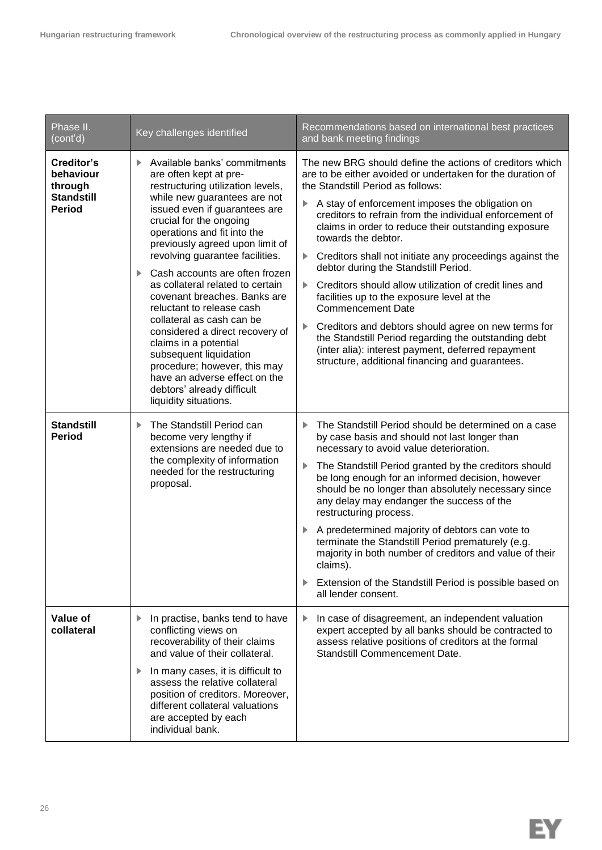| Phase II.<br>(cont'd)                                                    | Key challenges identified                                                                                                                                                                                                                                                                                                                                                                                                                                                                                                                                                                                                                                                            | Recommendations based on international best practices<br>and bank meeting findings                                                                                                                                                                                                                                                                                                                                                                                                                                                                                                                                                                                                                                                                                                                                                  |
|--------------------------------------------------------------------------|--------------------------------------------------------------------------------------------------------------------------------------------------------------------------------------------------------------------------------------------------------------------------------------------------------------------------------------------------------------------------------------------------------------------------------------------------------------------------------------------------------------------------------------------------------------------------------------------------------------------------------------------------------------------------------------|-------------------------------------------------------------------------------------------------------------------------------------------------------------------------------------------------------------------------------------------------------------------------------------------------------------------------------------------------------------------------------------------------------------------------------------------------------------------------------------------------------------------------------------------------------------------------------------------------------------------------------------------------------------------------------------------------------------------------------------------------------------------------------------------------------------------------------------|
| Creditor's<br>behaviour<br>through<br><b>Standstill</b><br><b>Period</b> | Available banks' commitments<br>ь<br>are often kept at pre-<br>restructuring utilization levels,<br>while new guarantees are not<br>issued even if guarantees are<br>crucial for the ongoing<br>operations and fit into the<br>previously agreed upon limit of<br>revolving guarantee facilities.<br>Cash accounts are often frozen<br>▶<br>as collateral related to certain<br>covenant breaches. Banks are<br>reluctant to release cash<br>collateral as cash can be<br>considered a direct recovery of<br>claims in a potential<br>subsequent liquidation<br>procedure; however, this may<br>have an adverse effect on the<br>debtors' already difficult<br>liquidity situations. | The new BRG should define the actions of creditors which<br>are to be either avoided or undertaken for the duration of<br>the Standstill Period as follows:<br>A stay of enforcement imposes the obligation on<br>creditors to refrain from the individual enforcement of<br>claims in order to reduce their outstanding exposure<br>towards the debtor.<br>Creditors shall not initiate any proceedings against the<br>▶<br>debtor during the Standstill Period.<br>Creditors should allow utilization of credit lines and<br>Þ.<br>facilities up to the exposure level at the<br><b>Commencement Date</b><br>Creditors and debtors should agree on new terms for<br>the Standstill Period regarding the outstanding debt<br>(inter alia): interest payment, deferred repayment<br>structure, additional financing and guarantees. |
| <b>Standstill</b><br><b>Period</b>                                       | The Standstill Period can<br>▶<br>become very lengthy if<br>extensions are needed due to<br>the complexity of information<br>needed for the restructuring<br>proposal.                                                                                                                                                                                                                                                                                                                                                                                                                                                                                                               | The Standstill Period should be determined on a case<br>by case basis and should not last longer than<br>necessary to avoid value deterioration.<br>The Standstill Period granted by the creditors should<br>be long enough for an informed decision, however<br>should be no longer than absolutely necessary since<br>any delay may endanger the success of the<br>restructuring process.<br>A predetermined majority of debtors can vote to<br>terminate the Standstill Period prematurely (e.g.<br>majority in both number of creditors and value of their<br>claims).<br>Extension of the Standstill Period is possible based on<br>all lender consent.                                                                                                                                                                        |
| Value of<br>collateral                                                   | In practise, banks tend to have<br>▶<br>conflicting views on<br>recoverability of their claims<br>and value of their collateral.<br>In many cases, it is difficult to<br>▶<br>assess the relative collateral<br>position of creditors. Moreover,<br>different collateral valuations<br>are accepted by each<br>individual bank.                                                                                                                                                                                                                                                                                                                                                      | In case of disagreement, an independent valuation<br>expert accepted by all banks should be contracted to<br>assess relative positions of creditors at the formal<br><b>Standstill Commencement Date.</b>                                                                                                                                                                                                                                                                                                                                                                                                                                                                                                                                                                                                                           |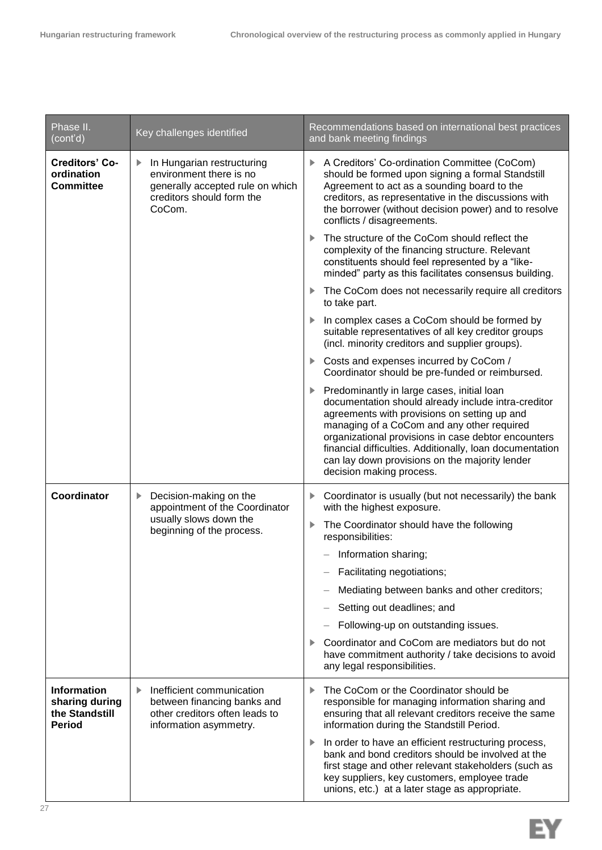| Phase II.<br>(cont'd)                                                   | Key challenges identified                                                                                                             | Recommendations based on international best practices<br>and bank meeting findings                                                                                                                                                                                                                                                                                                                    |
|-------------------------------------------------------------------------|---------------------------------------------------------------------------------------------------------------------------------------|-------------------------------------------------------------------------------------------------------------------------------------------------------------------------------------------------------------------------------------------------------------------------------------------------------------------------------------------------------------------------------------------------------|
| <b>Creditors' Co-</b><br>ordination<br><b>Committee</b>                 | In Hungarian restructuring<br>▶<br>environment there is no<br>generally accepted rule on which<br>creditors should form the<br>CoCom. | A Creditors' Co-ordination Committee (CoCom)<br>should be formed upon signing a formal Standstill<br>Agreement to act as a sounding board to the<br>creditors, as representative in the discussions with<br>the borrower (without decision power) and to resolve<br>conflicts / disagreements.                                                                                                        |
|                                                                         |                                                                                                                                       | The structure of the CoCom should reflect the<br>complexity of the financing structure. Relevant<br>constituents should feel represented by a "like-<br>minded" party as this facilitates consensus building.                                                                                                                                                                                         |
|                                                                         |                                                                                                                                       | The CoCom does not necessarily require all creditors<br>Þ.<br>to take part.                                                                                                                                                                                                                                                                                                                           |
|                                                                         |                                                                                                                                       | In complex cases a CoCom should be formed by<br>suitable representatives of all key creditor groups<br>(incl. minority creditors and supplier groups).                                                                                                                                                                                                                                                |
|                                                                         |                                                                                                                                       | Costs and expenses incurred by CoCom /<br>Coordinator should be pre-funded or reimbursed.                                                                                                                                                                                                                                                                                                             |
|                                                                         |                                                                                                                                       | Predominantly in large cases, initial loan<br>▶<br>documentation should already include intra-creditor<br>agreements with provisions on setting up and<br>managing of a CoCom and any other required<br>organizational provisions in case debtor encounters<br>financial difficulties. Additionally, loan documentation<br>can lay down provisions on the majority lender<br>decision making process. |
| <b>Coordinator</b>                                                      | Decision-making on the<br>▶<br>appointment of the Coordinator<br>usually slows down the<br>beginning of the process.                  | Coordinator is usually (but not necessarily) the bank<br>▶<br>with the highest exposure.                                                                                                                                                                                                                                                                                                              |
|                                                                         |                                                                                                                                       | The Coordinator should have the following<br>responsibilities:                                                                                                                                                                                                                                                                                                                                        |
|                                                                         |                                                                                                                                       | Information sharing;                                                                                                                                                                                                                                                                                                                                                                                  |
|                                                                         |                                                                                                                                       | Facilitating negotiations;                                                                                                                                                                                                                                                                                                                                                                            |
|                                                                         |                                                                                                                                       | Mediating between banks and other creditors;                                                                                                                                                                                                                                                                                                                                                          |
|                                                                         |                                                                                                                                       | Setting out deadlines; and                                                                                                                                                                                                                                                                                                                                                                            |
|                                                                         |                                                                                                                                       | Following-up on outstanding issues.                                                                                                                                                                                                                                                                                                                                                                   |
|                                                                         |                                                                                                                                       | Coordinator and CoCom are mediators but do not<br>have commitment authority / take decisions to avoid<br>any legal responsibilities.                                                                                                                                                                                                                                                                  |
| <b>Information</b><br>sharing during<br>the Standstill<br><b>Period</b> | Inefficient communication<br>▶<br>between financing banks and<br>other creditors often leads to<br>information asymmetry.             | The CoCom or the Coordinator should be<br>▶<br>responsible for managing information sharing and<br>ensuring that all relevant creditors receive the same<br>information during the Standstill Period.                                                                                                                                                                                                 |
|                                                                         |                                                                                                                                       | In order to have an efficient restructuring process,<br>Þ.<br>bank and bond creditors should be involved at the<br>first stage and other relevant stakeholders (such as<br>key suppliers, key customers, employee trade<br>unions, etc.) at a later stage as appropriate.                                                                                                                             |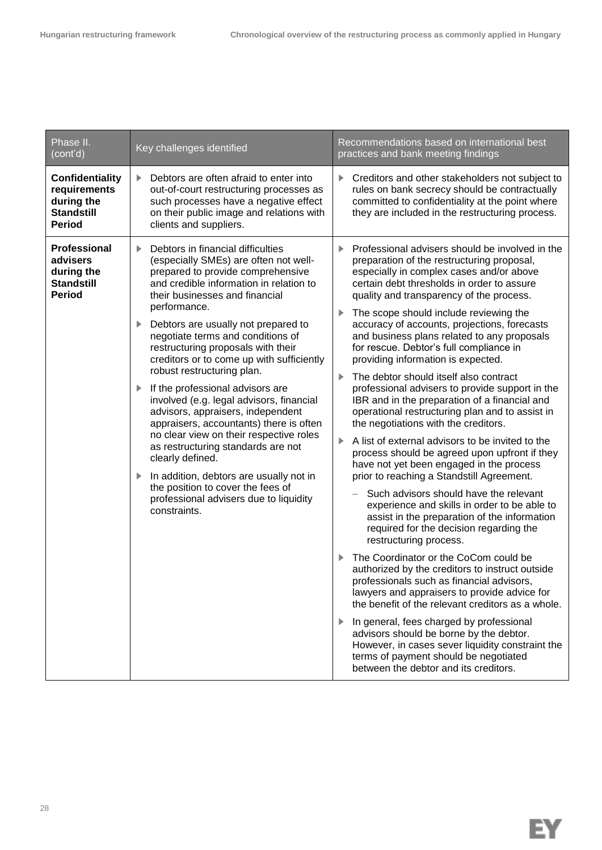| Phase II.<br>(cont'd)                                                               | Key challenges identified                                                                                                                                                                                                                                                                                                                                                                                                                                                                                                                                                                                                                                                                                                                                                                                                          | Recommendations based on international best<br>practices and bank meeting findings                                                                                                                                                                                                                                                                                                                                                                                                                                                                                                                                                                                                                                                                                                                                                                                                                                                                                                                                                                                                                                                                                                                                                                                                                                                                                                                                                                                                                                                                                                                                     |
|-------------------------------------------------------------------------------------|------------------------------------------------------------------------------------------------------------------------------------------------------------------------------------------------------------------------------------------------------------------------------------------------------------------------------------------------------------------------------------------------------------------------------------------------------------------------------------------------------------------------------------------------------------------------------------------------------------------------------------------------------------------------------------------------------------------------------------------------------------------------------------------------------------------------------------|------------------------------------------------------------------------------------------------------------------------------------------------------------------------------------------------------------------------------------------------------------------------------------------------------------------------------------------------------------------------------------------------------------------------------------------------------------------------------------------------------------------------------------------------------------------------------------------------------------------------------------------------------------------------------------------------------------------------------------------------------------------------------------------------------------------------------------------------------------------------------------------------------------------------------------------------------------------------------------------------------------------------------------------------------------------------------------------------------------------------------------------------------------------------------------------------------------------------------------------------------------------------------------------------------------------------------------------------------------------------------------------------------------------------------------------------------------------------------------------------------------------------------------------------------------------------------------------------------------------------|
| Confidentiality<br>requirements<br>during the<br><b>Standstill</b><br><b>Period</b> | Debtors are often afraid to enter into<br>▶<br>out-of-court restructuring processes as<br>such processes have a negative effect<br>on their public image and relations with<br>clients and suppliers.                                                                                                                                                                                                                                                                                                                                                                                                                                                                                                                                                                                                                              | Creditors and other stakeholders not subject to<br>▶<br>rules on bank secrecy should be contractually<br>committed to confidentiality at the point where<br>they are included in the restructuring process.                                                                                                                                                                                                                                                                                                                                                                                                                                                                                                                                                                                                                                                                                                                                                                                                                                                                                                                                                                                                                                                                                                                                                                                                                                                                                                                                                                                                            |
| Professional<br>advisers<br>during the<br><b>Standstill</b><br><b>Period</b>        | Debtors in financial difficulties<br>(especially SMEs) are often not well-<br>prepared to provide comprehensive<br>and credible information in relation to<br>their businesses and financial<br>performance.<br>Debtors are usually not prepared to<br>▶<br>negotiate terms and conditions of<br>restructuring proposals with their<br>creditors or to come up with sufficiently<br>robust restructuring plan.<br>If the professional advisors are<br>involved (e.g. legal advisors, financial<br>advisors, appraisers, independent<br>appraisers, accountants) there is often<br>no clear view on their respective roles<br>as restructuring standards are not<br>clearly defined.<br>In addition, debtors are usually not in<br>▶<br>the position to cover the fees of<br>professional advisers due to liquidity<br>constraints. | Professional advisers should be involved in the<br>▶<br>preparation of the restructuring proposal,<br>especially in complex cases and/or above<br>certain debt thresholds in order to assure<br>quality and transparency of the process.<br>The scope should include reviewing the<br>▶<br>accuracy of accounts, projections, forecasts<br>and business plans related to any proposals<br>for rescue. Debtor's full compliance in<br>providing information is expected.<br>The debtor should itself also contract<br>▶<br>professional advisers to provide support in the<br>IBR and in the preparation of a financial and<br>operational restructuring plan and to assist in<br>the negotiations with the creditors.<br>A list of external advisors to be invited to the<br>▶<br>process should be agreed upon upfront if they<br>have not yet been engaged in the process<br>prior to reaching a Standstill Agreement.<br>Such advisors should have the relevant<br>experience and skills in order to be able to<br>assist in the preparation of the information<br>required for the decision regarding the<br>restructuring process.<br>The Coordinator or the CoCom could be<br>authorized by the creditors to instruct outside<br>professionals such as financial advisors<br>lawyers and appraisers to provide advice for<br>the benefit of the relevant creditors as a whole.<br>In general, fees charged by professional<br>▶<br>advisors should be borne by the debtor.<br>However, in cases sever liquidity constraint the<br>terms of payment should be negotiated<br>between the debtor and its creditors. |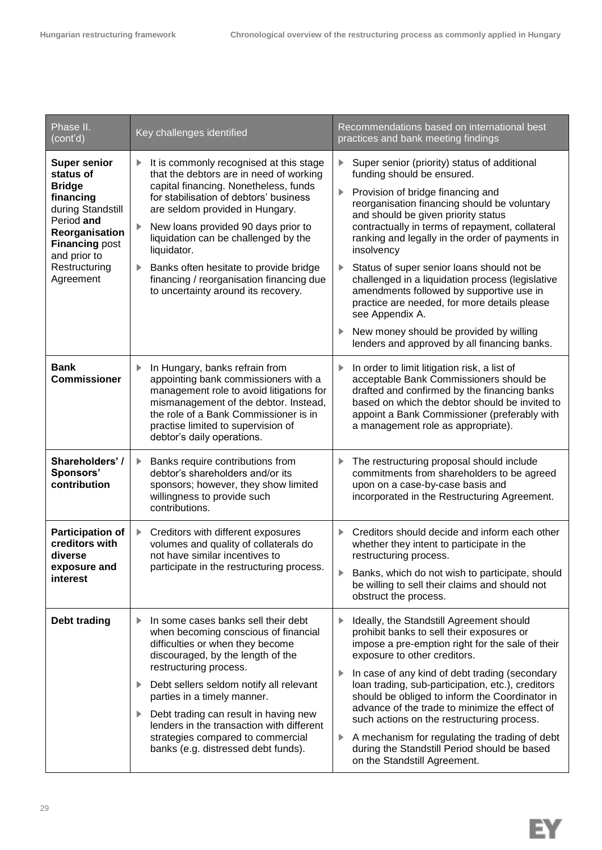| Phase II.<br>(cont'd)                                                                                                                                                                      | Key challenges identified                                                                                                                                                                                                                                                                                                                                                                                                                 | Recommendations based on international best<br>practices and bank meeting findings                                                                                                                                                                                                                                                                                                                                                                                                                                                                                                                                                                                        |
|--------------------------------------------------------------------------------------------------------------------------------------------------------------------------------------------|-------------------------------------------------------------------------------------------------------------------------------------------------------------------------------------------------------------------------------------------------------------------------------------------------------------------------------------------------------------------------------------------------------------------------------------------|---------------------------------------------------------------------------------------------------------------------------------------------------------------------------------------------------------------------------------------------------------------------------------------------------------------------------------------------------------------------------------------------------------------------------------------------------------------------------------------------------------------------------------------------------------------------------------------------------------------------------------------------------------------------------|
| <b>Super senior</b><br>status of<br><b>Bridge</b><br>financing<br>during Standstill<br>Period and<br>Reorganisation<br><b>Financing post</b><br>and prior to<br>Restructuring<br>Agreement | It is commonly recognised at this stage<br>▶<br>that the debtors are in need of working<br>capital financing. Nonetheless, funds<br>for stabilisation of debtors' business<br>are seldom provided in Hungary.<br>New loans provided 90 days prior to<br>liquidation can be challenged by the<br>liquidator.<br>Banks often hesitate to provide bridge<br>financing / reorganisation financing due<br>to uncertainty around its recovery.  | Super senior (priority) status of additional<br>▶<br>funding should be ensured.<br>Provision of bridge financing and<br>▶<br>reorganisation financing should be voluntary<br>and should be given priority status<br>contractually in terms of repayment, collateral<br>ranking and legally in the order of payments in<br>insolvency<br>Status of super senior loans should not be<br>$\blacktriangleright$<br>challenged in a liquidation process (legislative<br>amendments followed by supportive use in<br>practice are needed, for more details please<br>see Appendix A.<br>New money should be provided by willing<br>lenders and approved by all financing banks. |
| <b>Bank</b><br><b>Commissioner</b>                                                                                                                                                         | In Hungary, banks refrain from<br>▶<br>appointing bank commissioners with a<br>management role to avoid litigations for<br>mismanagement of the debtor. Instead,<br>the role of a Bank Commissioner is in<br>practise limited to supervision of<br>debtor's daily operations.                                                                                                                                                             | In order to limit litigation risk, a list of<br>▶<br>acceptable Bank Commissioners should be<br>drafted and confirmed by the financing banks<br>based on which the debtor should be invited to<br>appoint a Bank Commissioner (preferably with<br>a management role as appropriate).                                                                                                                                                                                                                                                                                                                                                                                      |
| Shareholders'/<br>Sponsors'<br>contribution                                                                                                                                                | Banks require contributions from<br>debtor's shareholders and/or its<br>sponsors; however, they show limited<br>willingness to provide such<br>contributions.                                                                                                                                                                                                                                                                             | The restructuring proposal should include<br>▶<br>commitments from shareholders to be agreed<br>upon on a case-by-case basis and<br>incorporated in the Restructuring Agreement.                                                                                                                                                                                                                                                                                                                                                                                                                                                                                          |
| <b>Participation of</b><br>creditors with<br>diverse<br>exposure and<br>interest                                                                                                           | Creditors with different exposures<br>▶<br>volumes and quality of collaterals do<br>not have similar incentives to<br>participate in the restructuring process.                                                                                                                                                                                                                                                                           | Creditors should decide and inform each other<br>▶<br>whether they intent to participate in the<br>restructuring process.<br>Banks, which do not wish to participate, should<br>be willing to sell their claims and should not<br>obstruct the process.                                                                                                                                                                                                                                                                                                                                                                                                                   |
| <b>Debt trading</b>                                                                                                                                                                        | In some cases banks sell their debt<br>▶<br>when becoming conscious of financial<br>difficulties or when they become<br>discouraged, by the length of the<br>restructuring process.<br>Debt sellers seldom notify all relevant<br>▶<br>parties in a timely manner.<br>Debt trading can result in having new<br>▶<br>lenders in the transaction with different<br>strategies compared to commercial<br>banks (e.g. distressed debt funds). | Ideally, the Standstill Agreement should<br>▶<br>prohibit banks to sell their exposures or<br>impose a pre-emption right for the sale of their<br>exposure to other creditors.<br>In case of any kind of debt trading (secondary<br>▶<br>loan trading, sub-participation, etc.), creditors<br>should be obliged to inform the Coordinator in<br>advance of the trade to minimize the effect of<br>such actions on the restructuring process.<br>A mechanism for regulating the trading of debt<br>Þ.<br>during the Standstill Period should be based<br>on the Standstill Agreement.                                                                                      |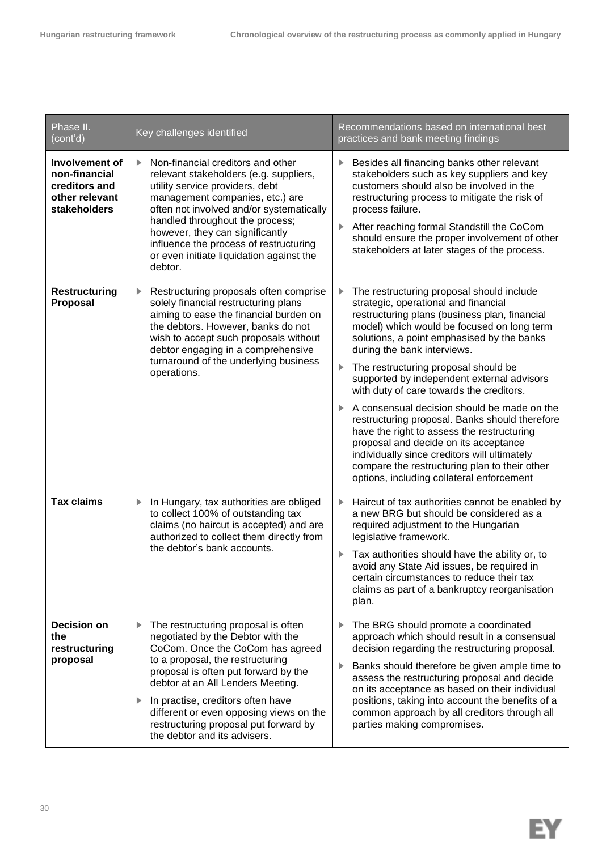| Phase II.<br>(cont'd)                                                              | Key challenges identified                                                                                                                                                                                                                                                                                                                                                                        | Recommendations based on international best<br>practices and bank meeting findings                                                                                                                                                                                                                                                                                                                                                                                                                                                                                                                                                                                                                                                              |
|------------------------------------------------------------------------------------|--------------------------------------------------------------------------------------------------------------------------------------------------------------------------------------------------------------------------------------------------------------------------------------------------------------------------------------------------------------------------------------------------|-------------------------------------------------------------------------------------------------------------------------------------------------------------------------------------------------------------------------------------------------------------------------------------------------------------------------------------------------------------------------------------------------------------------------------------------------------------------------------------------------------------------------------------------------------------------------------------------------------------------------------------------------------------------------------------------------------------------------------------------------|
| Involvement of<br>non-financial<br>creditors and<br>other relevant<br>stakeholders | Non-financial creditors and other<br>ь<br>relevant stakeholders (e.g. suppliers,<br>utility service providers, debt<br>management companies, etc.) are<br>often not involved and/or systematically<br>handled throughout the process;<br>however, they can significantly<br>influence the process of restructuring<br>or even initiate liquidation against the<br>debtor.                        | Besides all financing banks other relevant<br>stakeholders such as key suppliers and key<br>customers should also be involved in the<br>restructuring process to mitigate the risk of<br>process failure.<br>After reaching formal Standstill the CoCom<br>▶<br>should ensure the proper involvement of other<br>stakeholders at later stages of the process.                                                                                                                                                                                                                                                                                                                                                                                   |
| <b>Restructuring</b><br>Proposal                                                   | Restructuring proposals often comprise<br>solely financial restructuring plans<br>aiming to ease the financial burden on<br>the debtors. However, banks do not<br>wish to accept such proposals without<br>debtor engaging in a comprehensive<br>turnaround of the underlying business<br>operations.                                                                                            | The restructuring proposal should include<br>▶<br>strategic, operational and financial<br>restructuring plans (business plan, financial<br>model) which would be focused on long term<br>solutions, a point emphasised by the banks<br>during the bank interviews.<br>The restructuring proposal should be<br>▶<br>supported by independent external advisors<br>with duty of care towards the creditors.<br>A consensual decision should be made on the<br>restructuring proposal. Banks should therefore<br>have the right to assess the restructuring<br>proposal and decide on its acceptance<br>individually since creditors will ultimately<br>compare the restructuring plan to their other<br>options, including collateral enforcement |
| <b>Tax claims</b>                                                                  | In Hungary, tax authorities are obliged<br>▶<br>to collect 100% of outstanding tax<br>claims (no haircut is accepted) and are<br>authorized to collect them directly from<br>the debtor's bank accounts.                                                                                                                                                                                         | Haircut of tax authorities cannot be enabled by<br>▶<br>a new BRG but should be considered as a<br>required adjustment to the Hungarian<br>legislative framework.<br>Tax authorities should have the ability or, to<br>▶<br>avoid any State Aid issues, be required in<br>certain circumstances to reduce their tax<br>claims as part of a bankruptcy reorganisation<br>plan.                                                                                                                                                                                                                                                                                                                                                                   |
| <b>Decision on</b><br>the<br>restructuring<br>proposal                             | The restructuring proposal is often<br>▶<br>negotiated by the Debtor with the<br>CoCom. Once the CoCom has agreed<br>to a proposal, the restructuring<br>proposal is often put forward by the<br>debtor at an All Lenders Meeting.<br>In practise, creditors often have<br>▶<br>different or even opposing views on the<br>restructuring proposal put forward by<br>the debtor and its advisers. | The BRG should promote a coordinated<br>▶<br>approach which should result in a consensual<br>decision regarding the restructuring proposal.<br>Banks should therefore be given ample time to<br>▶<br>assess the restructuring proposal and decide<br>on its acceptance as based on their individual<br>positions, taking into account the benefits of a<br>common approach by all creditors through all<br>parties making compromises.                                                                                                                                                                                                                                                                                                          |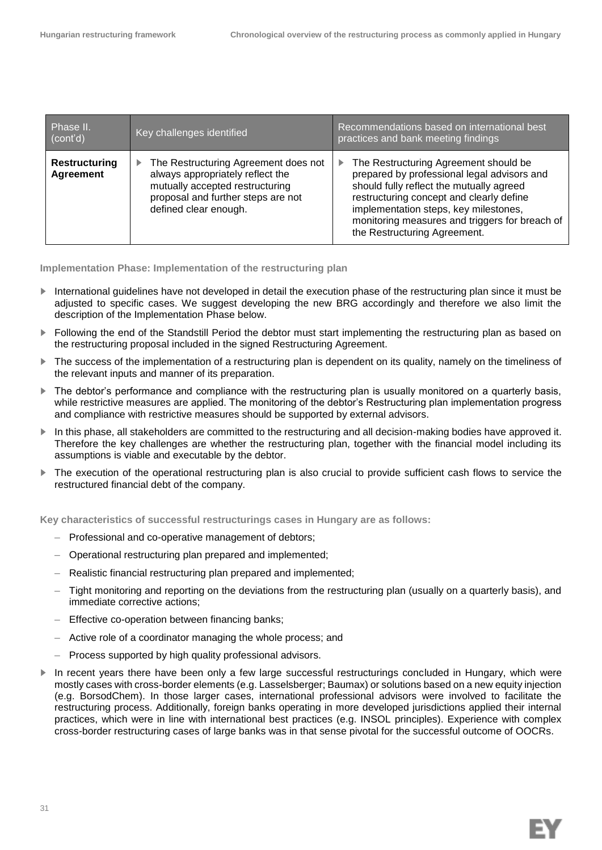| Phase II.<br>(cont'd)             | Key challenges identified                                                                                                                                                       | Recommendations based on international best<br>practices and bank meeting findings                                                                                                                                                                                                                           |
|-----------------------------------|---------------------------------------------------------------------------------------------------------------------------------------------------------------------------------|--------------------------------------------------------------------------------------------------------------------------------------------------------------------------------------------------------------------------------------------------------------------------------------------------------------|
| <b>Restructuring</b><br>Agreement | The Restructuring Agreement does not<br>▶<br>always appropriately reflect the<br>mutually accepted restructuring<br>proposal and further steps are not<br>defined clear enough. | The Restructuring Agreement should be<br>▶<br>prepared by professional legal advisors and<br>should fully reflect the mutually agreed<br>restructuring concept and clearly define<br>implementation steps, key milestones,<br>monitoring measures and triggers for breach of<br>the Restructuring Agreement. |

#### **Implementation Phase: Implementation of the restructuring plan**

- ► International guidelines have not developed in detail the execution phase of the restructuring plan since it must be adjusted to specific cases. We suggest developing the new BRG accordingly and therefore we also limit the description of the Implementation Phase below.
- ► Following the end of the Standstill Period the debtor must start implementing the restructuring plan as based on the restructuring proposal included in the signed Restructuring Agreement.
- ► The success of the implementation of a restructuring plan is dependent on its quality, namely on the timeliness of the relevant inputs and manner of its preparation.
- ► The debtor's performance and compliance with the restructuring plan is usually monitored on a quarterly basis, while restrictive measures are applied. The monitoring of the debtor's Restructuring plan implementation progress and compliance with restrictive measures should be supported by external advisors.
- ► In this phase, all stakeholders are committed to the restructuring and all decision-making bodies have approved it. Therefore the key challenges are whether the restructuring plan, together with the financial model including its assumptions is viable and executable by the debtor.
- ► The execution of the operational restructuring plan is also crucial to provide sufficient cash flows to service the restructured financial debt of the company.

**Key characteristics of successful restructurings cases in Hungary are as follows:** 

- Professional and co-operative management of debtors;
- Operational restructuring plan prepared and implemented;
- Realistic financial restructuring plan prepared and implemented;
- Tight monitoring and reporting on the deviations from the restructuring plan (usually on a quarterly basis), and immediate corrective actions;
- Effective co-operation between financing banks;
- Active role of a coordinator managing the whole process; and
- Process supported by high quality professional advisors.
- In recent years there have been only a few large successful restructurings concluded in Hungary, which were mostly cases with cross-border elements (e.g. Lasselsberger; Baumax) or solutions based on a new equity injection (e.g. BorsodChem). In those larger cases, international professional advisors were involved to facilitate the restructuring process. Additionally, foreign banks operating in more developed jurisdictions applied their internal practices, which were in line with international best practices (e.g. INSOL principles). Experience with complex cross-border restructuring cases of large banks was in that sense pivotal for the successful outcome of OOCRs.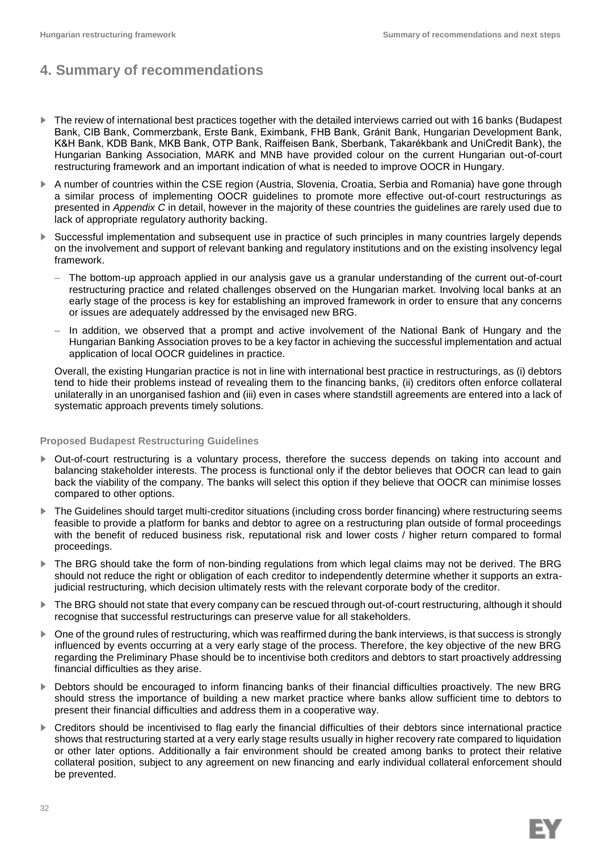## **4. Summary of recommendations**

- ► The review of international best practices together with the detailed interviews carried out with 16 banks (Budapest Bank, CIB Bank, Commerzbank, Erste Bank, Eximbank, FHB Bank, Gránit Bank, Hungarian Development Bank, K&H Bank, KDB Bank, MKB Bank, OTP Bank, Raiffeisen Bank, Sberbank, Takarékbank and UniCredit Bank), the Hungarian Banking Association, MARK and MNB have provided colour on the current Hungarian out-of-court restructuring framework and an important indication of what is needed to improve OOCR in Hungary.
- ► A number of countries within the CSE region (Austria, Slovenia, Croatia, Serbia and Romania) have gone through a similar process of implementing OOCR guidelines to promote more effective out-of-court restructurings as presented in *Appendix C* in detail, however in the majority of these countries the guidelines are rarely used due to lack of appropriate regulatory authority backing.
- Successful implementation and subsequent use in practice of such principles in many countries largely depends on the involvement and support of relevant banking and regulatory institutions and on the existing insolvency legal framework.
	- The bottom-up approach applied in our analysis gave us a granular understanding of the current out-of-court restructuring practice and related challenges observed on the Hungarian market. Involving local banks at an early stage of the process is key for establishing an improved framework in order to ensure that any concerns or issues are adequately addressed by the envisaged new BRG.
	- In addition, we observed that a prompt and active involvement of the National Bank of Hungary and the Hungarian Banking Association proves to be a key factor in achieving the successful implementation and actual application of local OOCR guidelines in practice.

Overall, the existing Hungarian practice is not in line with international best practice in restructurings, as (i) debtors tend to hide their problems instead of revealing them to the financing banks, (ii) creditors often enforce collateral unilaterally in an unorganised fashion and (iii) even in cases where standstill agreements are entered into a lack of systematic approach prevents timely solutions.

#### **Proposed Budapest Restructuring Guidelines**

- ► Out-of-court restructuring is a voluntary process, therefore the success depends on taking into account and balancing stakeholder interests. The process is functional only if the debtor believes that OOCR can lead to gain back the viability of the company. The banks will select this option if they believe that OOCR can minimise losses compared to other options.
- The Guidelines should target multi-creditor situations (including cross border financing) where restructuring seems feasible to provide a platform for banks and debtor to agree on a restructuring plan outside of formal proceedings with the benefit of reduced business risk, reputational risk and lower costs / higher return compared to formal proceedings.
- The BRG should take the form of non-binding regulations from which legal claims may not be derived. The BRG should not reduce the right or obligation of each creditor to independently determine whether it supports an extrajudicial restructuring, which decision ultimately rests with the relevant corporate body of the creditor.
- ► The BRG should not state that every company can be rescued through out-of-court restructuring, although it should recognise that successful restructurings can preserve value for all stakeholders.
- ► One of the ground rules of restructuring, which was reaffirmed during the bank interviews, is that success is strongly influenced by events occurring at a very early stage of the process. Therefore, the key objective of the new BRG regarding the Preliminary Phase should be to incentivise both creditors and debtors to start proactively addressing financial difficulties as they arise.
- ► Debtors should be encouraged to inform financing banks of their financial difficulties proactively. The new BRG should stress the importance of building a new market practice where banks allow sufficient time to debtors to present their financial difficulties and address them in a cooperative way.
- ► Creditors should be incentivised to flag early the financial difficulties of their debtors since international practice shows that restructuring started at a very early stage results usually in higher recovery rate compared to liquidation or other later options. Additionally a fair environment should be created among banks to protect their relative collateral position, subject to any agreement on new financing and early individual collateral enforcement should be prevented.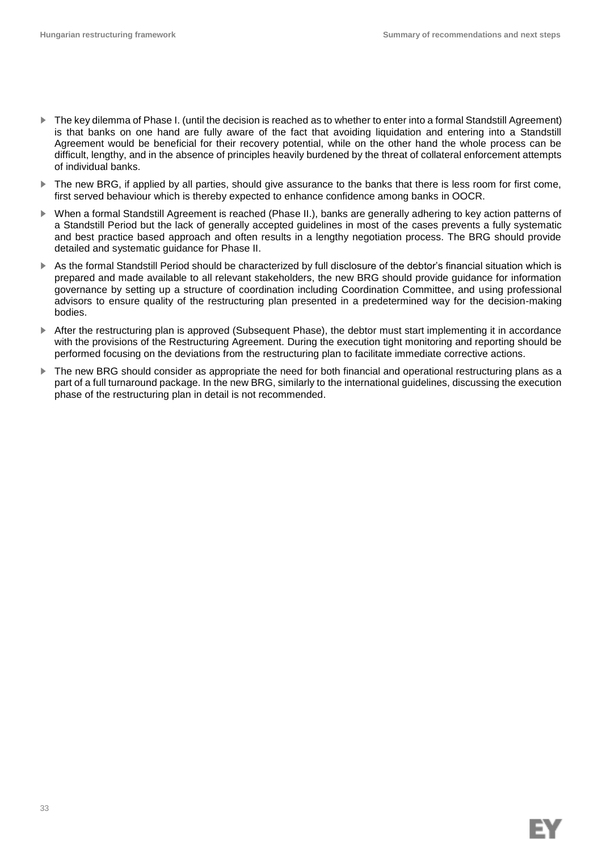- ► The key dilemma of Phase I. (until the decision is reached as to whether to enter into a formal Standstill Agreement) is that banks on one hand are fully aware of the fact that avoiding liquidation and entering into a Standstill Agreement would be beneficial for their recovery potential, while on the other hand the whole process can be difficult, lengthy, and in the absence of principles heavily burdened by the threat of collateral enforcement attempts of individual banks.
- The new BRG, if applied by all parties, should give assurance to the banks that there is less room for first come, first served behaviour which is thereby expected to enhance confidence among banks in OOCR.
- ► When a formal Standstill Agreement is reached (Phase II.), banks are generally adhering to key action patterns of a Standstill Period but the lack of generally accepted guidelines in most of the cases prevents a fully systematic and best practice based approach and often results in a lengthy negotiation process. The BRG should provide detailed and systematic guidance for Phase II.
- ► As the formal Standstill Period should be characterized by full disclosure of the debtor's financial situation which is prepared and made available to all relevant stakeholders, the new BRG should provide guidance for information governance by setting up a structure of coordination including Coordination Committee, and using professional advisors to ensure quality of the restructuring plan presented in a predetermined way for the decision-making bodies.
- After the restructuring plan is approved (Subsequent Phase), the debtor must start implementing it in accordance with the provisions of the Restructuring Agreement. During the execution tight monitoring and reporting should be performed focusing on the deviations from the restructuring plan to facilitate immediate corrective actions.
- The new BRG should consider as appropriate the need for both financial and operational restructuring plans as a part of a full turnaround package. In the new BRG, similarly to the international guidelines, discussing the execution phase of the restructuring plan in detail is not recommended.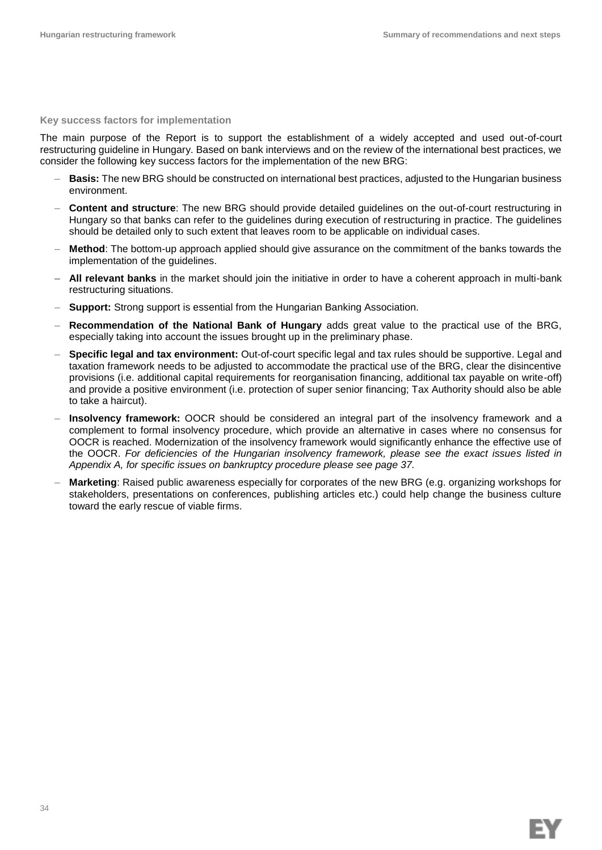EΥ

#### **Key success factors for implementation**

The main purpose of the Report is to support the establishment of a widely accepted and used out-of-court restructuring guideline in Hungary. Based on bank interviews and on the review of the international best practices, we consider the following key success factors for the implementation of the new BRG:

- **Basis:** The new BRG should be constructed on international best practices, adjusted to the Hungarian business environment.
- **Content and structure**: The new BRG should provide detailed guidelines on the out-of-court restructuring in Hungary so that banks can refer to the guidelines during execution of restructuring in practice. The guidelines should be detailed only to such extent that leaves room to be applicable on individual cases.
- **Method**: The bottom-up approach applied should give assurance on the commitment of the banks towards the implementation of the guidelines.
- **– All relevant banks** in the market should join the initiative in order to have a coherent approach in multi-bank restructuring situations.
- **Support:** Strong support is essential from the Hungarian Banking Association.
- **Recommendation of the National Bank of Hungary** adds great value to the practical use of the BRG, especially taking into account the issues brought up in the preliminary phase.
- **Specific legal and tax environment:** Out-of-court specific legal and tax rules should be supportive. Legal and taxation framework needs to be adjusted to accommodate the practical use of the BRG, clear the disincentive provisions (i.e. additional capital requirements for reorganisation financing, additional tax payable on write-off) and provide a positive environment (i.e. protection of super senior financing; Tax Authority should also be able to take a haircut).
- **Insolvency framework:** OOCR should be considered an integral part of the insolvency framework and a complement to formal insolvency procedure, which provide an alternative in cases where no consensus for OOCR is reached. Modernization of the insolvency framework would significantly enhance the effective use of the OOCR. *For deficiencies of the Hungarian insolvency framework, please see the exact issues listed in Appendix A, for specific issues on bankruptcy procedure please see page 37.*
- **Marketing**: Raised public awareness especially for corporates of the new BRG (e.g. organizing workshops for stakeholders, presentations on conferences, publishing articles etc.) could help change the business culture toward the early rescue of viable firms.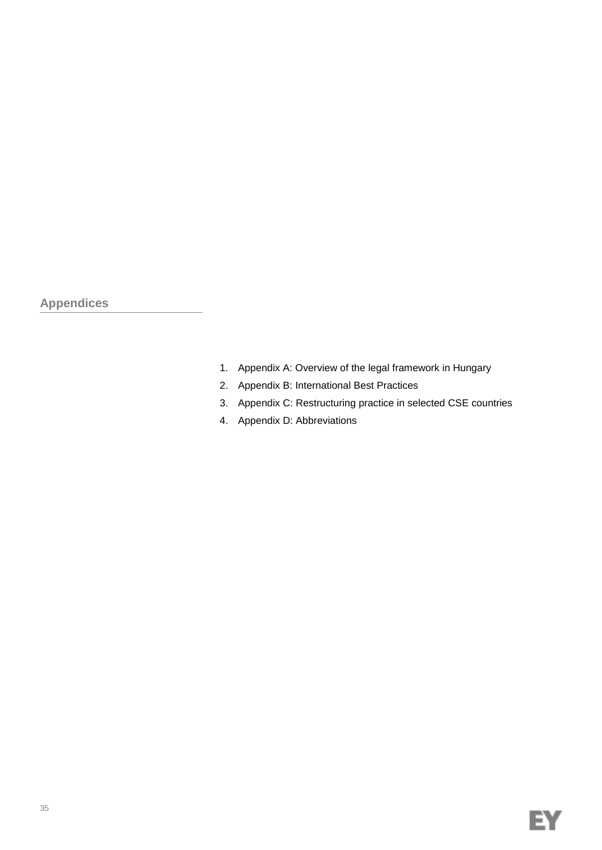**Appendices**

- 1. Appendix A: Overview of the legal framework in Hungary
- 2. Appendix B: International Best Practices
- 3. Appendix C: Restructuring practice in selected CSE countries
- 4. Appendix D: Abbreviations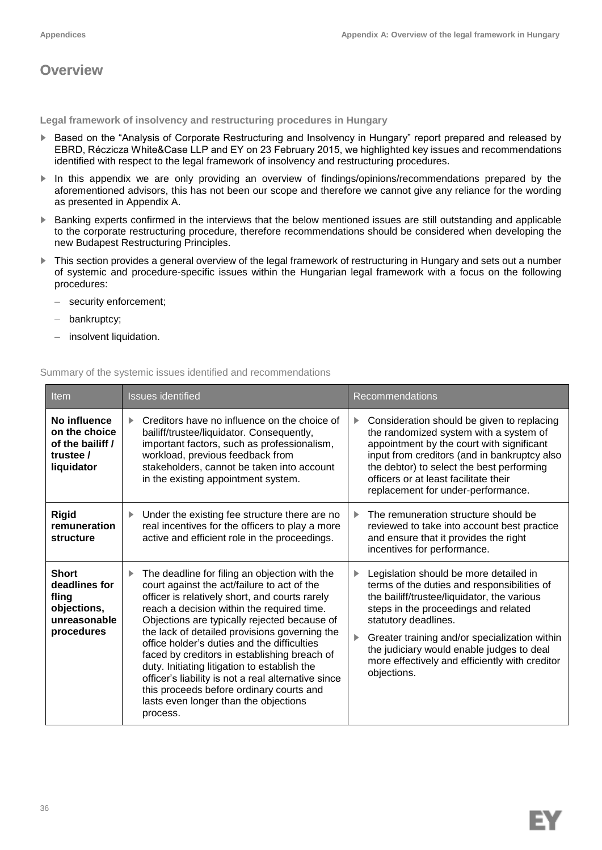## **Overview**

**Legal framework of insolvency and restructuring procedures in Hungary**

- ► Based on the "Analysis of Corporate Restructuring and Insolvency in Hungary" report prepared and released by EBRD, Réczicza White&Case LLP and EY on 23 February 2015, we highlighted key issues and recommendations identified with respect to the legal framework of insolvency and restructuring procedures.
- ▶ In this appendix we are only providing an overview of findings/opinions/recommendations prepared by the aforementioned advisors, this has not been our scope and therefore we cannot give any reliance for the wording as presented in Appendix A.
- ► Banking experts confirmed in the interviews that the below mentioned issues are still outstanding and applicable to the corporate restructuring procedure, therefore recommendations should be considered when developing the new Budapest Restructuring Principles.
- ► This section provides a general overview of the legal framework of restructuring in Hungary and sets out a number of systemic and procedure-specific issues within the Hungarian legal framework with a focus on the following procedures:
	- security enforcement;
	- bankruptcy;
	- insolvent liquidation.

### Summary of the systemic issues identified and recommendations

| Item                                                                                | <b>Issues identified</b>                                                                                                                                                                                                                                                                                                                                                                                                                                                                                                                                                                                  | Recommendations                                                                                                                                                                                                                                                                                                                                                          |
|-------------------------------------------------------------------------------------|-----------------------------------------------------------------------------------------------------------------------------------------------------------------------------------------------------------------------------------------------------------------------------------------------------------------------------------------------------------------------------------------------------------------------------------------------------------------------------------------------------------------------------------------------------------------------------------------------------------|--------------------------------------------------------------------------------------------------------------------------------------------------------------------------------------------------------------------------------------------------------------------------------------------------------------------------------------------------------------------------|
| No influence<br>on the choice<br>of the bailiff /<br>trustee /<br>liquidator        | Creditors have no influence on the choice of<br>ь<br>bailiff/trustee/liquidator. Consequently,<br>important factors, such as professionalism,<br>workload, previous feedback from<br>stakeholders, cannot be taken into account<br>in the existing appointment system.                                                                                                                                                                                                                                                                                                                                    | Consideration should be given to replacing<br>▶<br>the randomized system with a system of<br>appointment by the court with significant<br>input from creditors (and in bankruptcy also<br>the debtor) to select the best performing<br>officers or at least facilitate their<br>replacement for under-performance.                                                       |
| <b>Rigid</b><br>remuneration<br>structure                                           | Under the existing fee structure there are no<br>▶<br>real incentives for the officers to play a more<br>active and efficient role in the proceedings.                                                                                                                                                                                                                                                                                                                                                                                                                                                    | The remuneration structure should be<br>▶<br>reviewed to take into account best practice<br>and ensure that it provides the right<br>incentives for performance.                                                                                                                                                                                                         |
| <b>Short</b><br>deadlines for<br>fling<br>objections,<br>unreasonable<br>procedures | The deadline for filing an objection with the<br>▶<br>court against the act/failure to act of the<br>officer is relatively short, and courts rarely<br>reach a decision within the required time.<br>Objections are typically rejected because of<br>the lack of detailed provisions governing the<br>office holder's duties and the difficulties<br>faced by creditors in establishing breach of<br>duty. Initiating litigation to establish the<br>officer's liability is not a real alternative since<br>this proceeds before ordinary courts and<br>lasts even longer than the objections<br>process. | Legislation should be more detailed in<br>▶<br>terms of the duties and responsibilities of<br>the bailiff/trustee/liquidator, the various<br>steps in the proceedings and related<br>statutory deadlines.<br>Greater training and/or specialization within<br>the judiciary would enable judges to deal<br>more effectively and efficiently with creditor<br>objections. |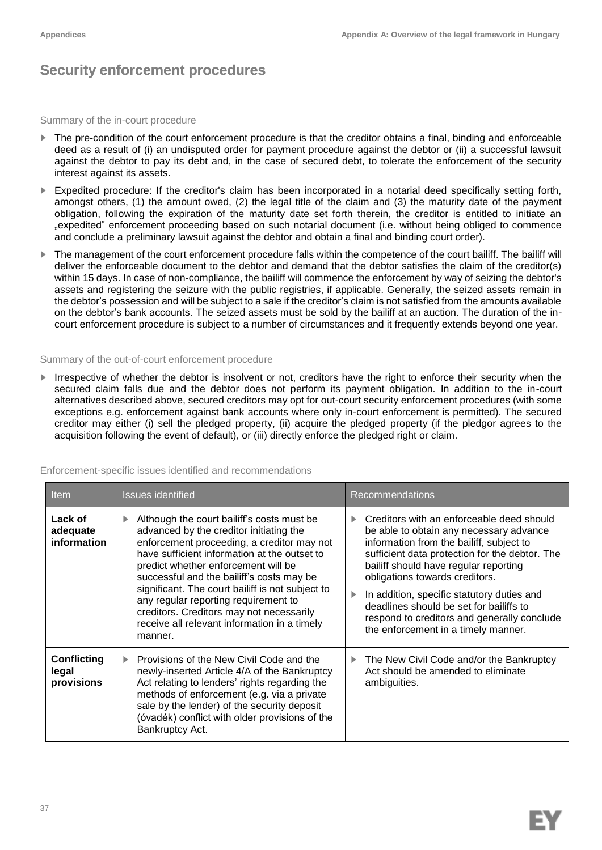## **Security enforcement procedures**

#### Summary of the in-court procedure

- ► The pre-condition of the court enforcement procedure is that the creditor obtains a final, binding and enforceable deed as a result of (i) an undisputed order for payment procedure against the debtor or (ii) a successful lawsuit against the debtor to pay its debt and, in the case of secured debt, to tolerate the enforcement of the security interest against its assets.
- ► Expedited procedure: If the creditor's claim has been incorporated in a notarial deed specifically setting forth, amongst others, (1) the amount owed, (2) the legal title of the claim and (3) the maturity date of the payment obligation, following the expiration of the maturity date set forth therein, the creditor is entitled to initiate an "expedited" enforcement proceeding based on such notarial document (i.e. without being obliged to commence and conclude a preliminary lawsuit against the debtor and obtain a final and binding court order).
- ► The management of the court enforcement procedure falls within the competence of the court bailiff. The bailiff will deliver the enforceable document to the debtor and demand that the debtor satisfies the claim of the creditor(s) within 15 days. In case of non-compliance, the bailiff will commence the enforcement by way of seizing the debtor's assets and registering the seizure with the public registries, if applicable. Generally, the seized assets remain in the debtor's possession and will be subject to a sale if the creditor's claim is not satisfied from the amounts available on the debtor's bank accounts. The seized assets must be sold by the bailiff at an auction. The duration of the incourt enforcement procedure is subject to a number of circumstances and it frequently extends beyond one year.

## Summary of the out-of-court enforcement procedure

► Irrespective of whether the debtor is insolvent or not, creditors have the right to enforce their security when the secured claim falls due and the debtor does not perform its payment obligation. In addition to the in-court alternatives described above, secured creditors may opt for out-court security enforcement procedures (with some exceptions e.g. enforcement against bank accounts where only in-court enforcement is permitted). The secured creditor may either (i) sell the pledged property, (ii) acquire the pledged property (if the pledgor agrees to the acquisition following the event of default), or (iii) directly enforce the pledged right or claim.

#### Enforcement-specific issues identified and recommendations

| Item                                      | Issues identified                                                                                                                                                                                                                                                                                                                                                                                                                                                               | <b>Recommendations</b>                                                                                                                                                                                                                                                                                                                                                                                                                       |  |  |
|-------------------------------------------|---------------------------------------------------------------------------------------------------------------------------------------------------------------------------------------------------------------------------------------------------------------------------------------------------------------------------------------------------------------------------------------------------------------------------------------------------------------------------------|----------------------------------------------------------------------------------------------------------------------------------------------------------------------------------------------------------------------------------------------------------------------------------------------------------------------------------------------------------------------------------------------------------------------------------------------|--|--|
| Lack of<br>adequate<br>information        | Although the court bailiff's costs must be<br>▶<br>advanced by the creditor initiating the<br>enforcement proceeding, a creditor may not<br>have sufficient information at the outset to<br>predict whether enforcement will be<br>successful and the bailiff's costs may be<br>significant. The court bailiff is not subject to<br>any regular reporting requirement to<br>creditors. Creditors may not necessarily<br>receive all relevant information in a timely<br>manner. | Creditors with an enforceable deed should<br>be able to obtain any necessary advance<br>information from the bailiff, subject to<br>sufficient data protection for the debtor. The<br>bailiff should have regular reporting<br>obligations towards creditors.<br>In addition, specific statutory duties and<br>deadlines should be set for bailiffs to<br>respond to creditors and generally conclude<br>the enforcement in a timely manner. |  |  |
| <b>Conflicting</b><br>legal<br>provisions | Provisions of the New Civil Code and the<br>newly-inserted Article 4/A of the Bankruptcy<br>Act relating to lenders' rights regarding the<br>methods of enforcement (e.g. via a private<br>sale by the lender) of the security deposit<br>(óvadék) conflict with older provisions of the<br>Bankruptcy Act.                                                                                                                                                                     | The New Civil Code and/or the Bankruptcy<br>Act should be amended to eliminate<br>ambiguities.                                                                                                                                                                                                                                                                                                                                               |  |  |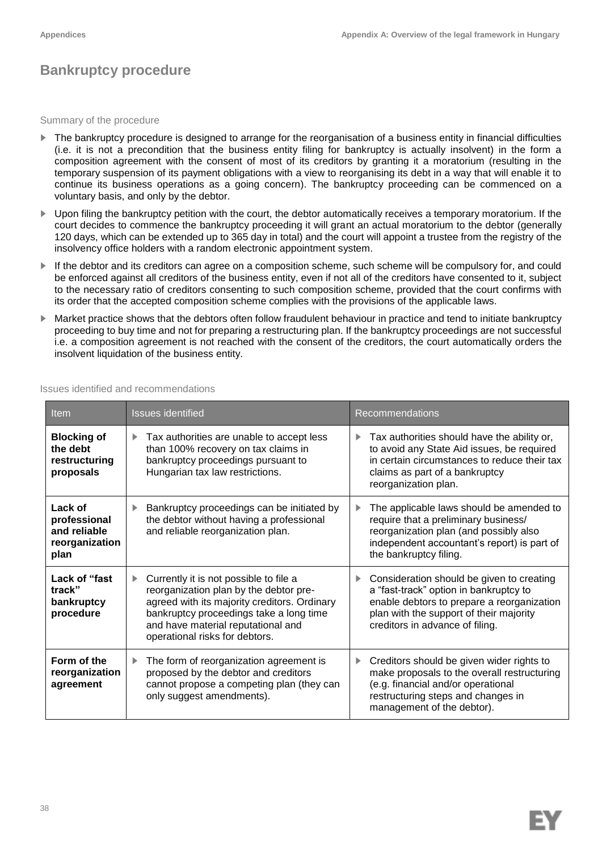## **Bankruptcy procedure**

Summary of the procedure

- ► The bankruptcy procedure is designed to arrange for the reorganisation of a business entity in financial difficulties (i.e. it is not a precondition that the business entity filing for bankruptcy is actually insolvent) in the form a composition agreement with the consent of most of its creditors by granting it a moratorium (resulting in the temporary suspension of its payment obligations with a view to reorganising its debt in a way that will enable it to continue its business operations as a going concern). The bankruptcy proceeding can be commenced on a voluntary basis, and only by the debtor.
- ► Upon filing the bankruptcy petition with the court, the debtor automatically receives a temporary moratorium. If the court decides to commence the bankruptcy proceeding it will grant an actual moratorium to the debtor (generally 120 days, which can be extended up to 365 day in total) and the court will appoint a trustee from the registry of the insolvency office holders with a random electronic appointment system.
- If the debtor and its creditors can agree on a composition scheme, such scheme will be compulsory for, and could be enforced against all creditors of the business entity, even if not all of the creditors have consented to it, subject to the necessary ratio of creditors consenting to such composition scheme, provided that the court confirms with its order that the accepted composition scheme complies with the provisions of the applicable laws.
- ► Market practice shows that the debtors often follow fraudulent behaviour in practice and tend to initiate bankruptcy proceeding to buy time and not for preparing a restructuring plan. If the bankruptcy proceedings are not successful i.e. a composition agreement is not reached with the consent of the creditors, the court automatically orders the insolvent liquidation of the business entity.

| Item                                                              | <b>Issues identified</b>                                                                                                                                                                                                                            | Recommendations                                                                                                                                                                                                 |  |  |
|-------------------------------------------------------------------|-----------------------------------------------------------------------------------------------------------------------------------------------------------------------------------------------------------------------------------------------------|-----------------------------------------------------------------------------------------------------------------------------------------------------------------------------------------------------------------|--|--|
| <b>Blocking of</b><br>the debt<br>restructuring<br>proposals      | Tax authorities are unable to accept less<br>than 100% recovery on tax claims in<br>bankruptcy proceedings pursuant to<br>Hungarian tax law restrictions.                                                                                           | Tax authorities should have the ability or,<br>▶<br>to avoid any State Aid issues, be required<br>in certain circumstances to reduce their tax<br>claims as part of a bankruptcy<br>reorganization plan.        |  |  |
| Lack of<br>professional<br>and reliable<br>reorganization<br>plan | Bankruptcy proceedings can be initiated by<br>the debtor without having a professional<br>and reliable reorganization plan.                                                                                                                         | The applicable laws should be amended to<br>require that a preliminary business/<br>reorganization plan (and possibly also<br>independent accountant's report) is part of<br>the bankruptcy filing.             |  |  |
| Lack of "fast<br>track"<br>bankruptcy<br>procedure                | Currently it is not possible to file a<br>reorganization plan by the debtor pre-<br>agreed with its majority creditors. Ordinary<br>bankruptcy proceedings take a long time<br>and have material reputational and<br>operational risks for debtors. | Consideration should be given to creating<br>a "fast-track" option in bankruptcy to<br>enable debtors to prepare a reorganization<br>plan with the support of their majority<br>creditors in advance of filing. |  |  |
| Form of the<br>reorganization<br>agreement                        | The form of reorganization agreement is<br>Þ.<br>proposed by the debtor and creditors<br>cannot propose a competing plan (they can<br>only suggest amendments).                                                                                     | Creditors should be given wider rights to<br>▶<br>make proposals to the overall restructuring<br>(e.g. financial and/or operational<br>restructuring steps and changes in<br>management of the debtor).         |  |  |

#### Issues identified and recommendations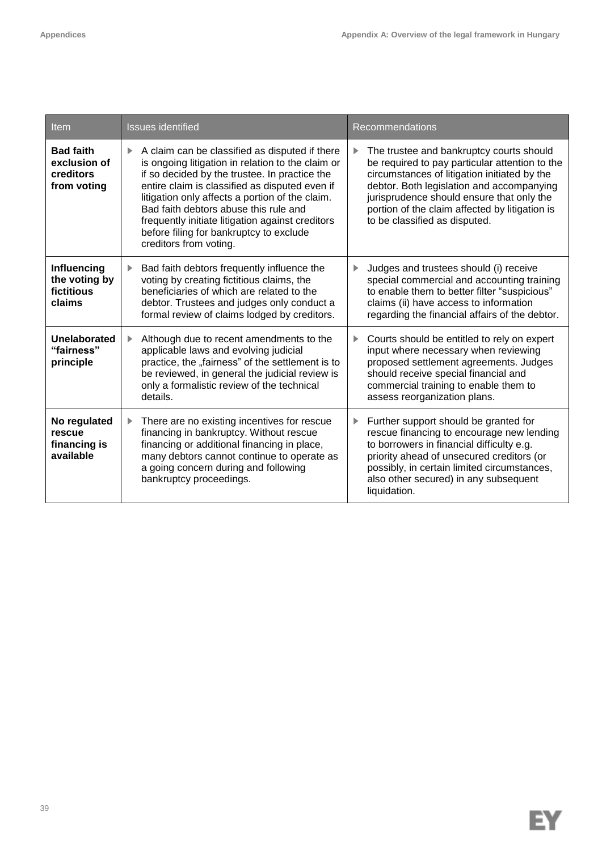| Item                                                         | <b>Issues identified</b>                                                                                                                                                                                                                                                                                                                                                                                                          | <b>Recommendations</b>                                                                                                                                                                                                                                                                                                       |  |  |
|--------------------------------------------------------------|-----------------------------------------------------------------------------------------------------------------------------------------------------------------------------------------------------------------------------------------------------------------------------------------------------------------------------------------------------------------------------------------------------------------------------------|------------------------------------------------------------------------------------------------------------------------------------------------------------------------------------------------------------------------------------------------------------------------------------------------------------------------------|--|--|
| <b>Bad faith</b><br>exclusion of<br>creditors<br>from voting | A claim can be classified as disputed if there<br>Þ.<br>is ongoing litigation in relation to the claim or<br>if so decided by the trustee. In practice the<br>entire claim is classified as disputed even if<br>litigation only affects a portion of the claim.<br>Bad faith debtors abuse this rule and<br>frequently initiate litigation against creditors<br>before filing for bankruptcy to exclude<br>creditors from voting. | The trustee and bankruptcy courts should<br>▶<br>be required to pay particular attention to the<br>circumstances of litigation initiated by the<br>debtor. Both legislation and accompanying<br>jurisprudence should ensure that only the<br>portion of the claim affected by litigation is<br>to be classified as disputed. |  |  |
| Influencing<br>the voting by<br>fictitious<br>claims         | Bad faith debtors frequently influence the<br>Þ.<br>voting by creating fictitious claims, the<br>beneficiaries of which are related to the<br>debtor. Trustees and judges only conduct a<br>formal review of claims lodged by creditors.                                                                                                                                                                                          | Judges and trustees should (i) receive<br>▶<br>special commercial and accounting training<br>to enable them to better filter "suspicious"<br>claims (ii) have access to information<br>regarding the financial affairs of the debtor.                                                                                        |  |  |
| Unelaborated<br>"fairness"<br>principle                      | Although due to recent amendments to the<br>▶.<br>applicable laws and evolving judicial<br>practice, the "fairness" of the settlement is to<br>be reviewed, in general the judicial review is<br>only a formalistic review of the technical<br>details.                                                                                                                                                                           | Courts should be entitled to rely on expert<br>▶<br>input where necessary when reviewing<br>proposed settlement agreements. Judges<br>should receive special financial and<br>commercial training to enable them to<br>assess reorganization plans.                                                                          |  |  |
| No regulated<br>rescue<br>financing is<br>available          | There are no existing incentives for rescue<br>Þ.<br>financing in bankruptcy. Without rescue<br>financing or additional financing in place,<br>many debtors cannot continue to operate as<br>a going concern during and following<br>bankruptcy proceedings.                                                                                                                                                                      | Further support should be granted for<br>▶<br>rescue financing to encourage new lending<br>to borrowers in financial difficulty e.g.<br>priority ahead of unsecured creditors (or<br>possibly, in certain limited circumstances,<br>also other secured) in any subsequent<br>liquidation.                                    |  |  |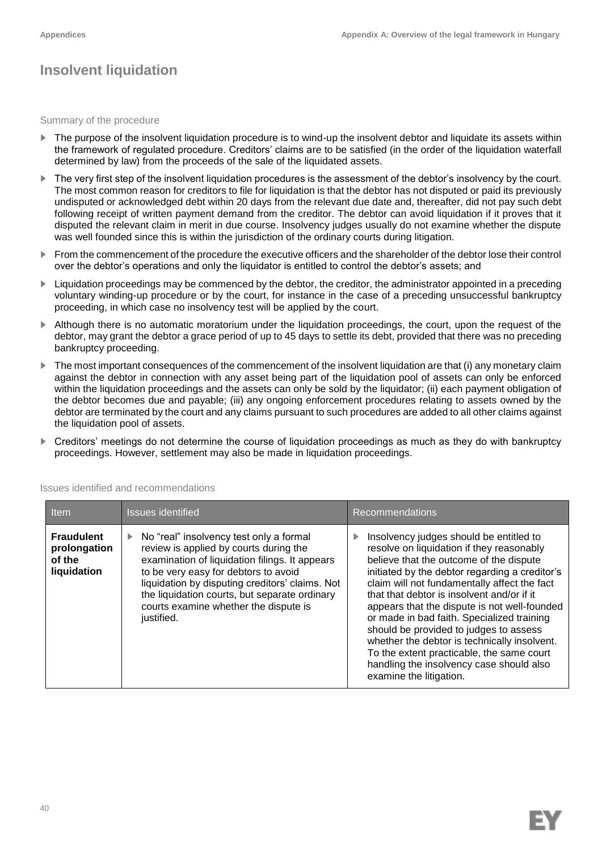# **Insolvent liquidation**

Summary of the procedure

- The purpose of the insolvent liquidation procedure is to wind-up the insolvent debtor and liquidate its assets within the framework of regulated procedure. Creditors' claims are to be satisfied (in the order of the liquidation waterfall determined by law) from the proceeds of the sale of the liquidated assets.
- ► The very first step of the insolvent liquidation procedures is the assessment of the debtor's insolvency by the court. The most common reason for creditors to file for liquidation is that the debtor has not disputed or paid its previously undisputed or acknowledged debt within 20 days from the relevant due date and, thereafter, did not pay such debt following receipt of written payment demand from the creditor. The debtor can avoid liquidation if it proves that it disputed the relevant claim in merit in due course. Insolvency judges usually do not examine whether the dispute was well founded since this is within the jurisdiction of the ordinary courts during litigation.
- ► From the commencement of the procedure the executive officers and the shareholder of the debtor lose their control over the debtor's operations and only the liquidator is entitled to control the debtor's assets; and
- ► Liquidation proceedings may be commenced by the debtor, the creditor, the administrator appointed in a preceding voluntary winding-up procedure or by the court, for instance in the case of a preceding unsuccessful bankruptcy proceeding, in which case no insolvency test will be applied by the court.
- ► Although there is no automatic moratorium under the liquidation proceedings, the court, upon the request of the debtor, may grant the debtor a grace period of up to 45 days to settle its debt, provided that there was no preceding bankruptcy proceeding.
- ► The most important consequences of the commencement of the insolvent liquidation are that (i) any monetary claim against the debtor in connection with any asset being part of the liquidation pool of assets can only be enforced within the liquidation proceedings and the assets can only be sold by the liquidator; (ii) each payment obligation of the debtor becomes due and payable; (iii) any ongoing enforcement procedures relating to assets owned by the debtor are terminated by the court and any claims pursuant to such procedures are added to all other claims against the liquidation pool of assets.
- ► Creditors' meetings do not determine the course of liquidation proceedings as much as they do with bankruptcy proceedings. However, settlement may also be made in liquidation proceedings.

| Item                                                       | <b>Issues identified</b>                                                                                                                                                                                                                                                                                                                                | <b>Recommendations</b>                                                                                                                                                                                                                                                                                                                                                                                                                                                                                                                                                                      |  |  |
|------------------------------------------------------------|---------------------------------------------------------------------------------------------------------------------------------------------------------------------------------------------------------------------------------------------------------------------------------------------------------------------------------------------------------|---------------------------------------------------------------------------------------------------------------------------------------------------------------------------------------------------------------------------------------------------------------------------------------------------------------------------------------------------------------------------------------------------------------------------------------------------------------------------------------------------------------------------------------------------------------------------------------------|--|--|
| <b>Fraudulent</b><br>prolongation<br>of the<br>liquidation | $\triangleright$ No "real" insolvency test only a formal<br>review is applied by courts during the<br>examination of liquidation filings. It appears<br>to be very easy for debtors to avoid<br>liquidation by disputing creditors' claims. Not<br>the liquidation courts, but separate ordinary<br>courts examine whether the dispute is<br>justified. | Insolvency judges should be entitled to<br>resolve on liquidation if they reasonably<br>believe that the outcome of the dispute<br>initiated by the debtor regarding a creditor's<br>claim will not fundamentally affect the fact<br>that that debtor is insolvent and/or if it<br>appears that the dispute is not well-founded<br>or made in bad faith. Specialized training<br>should be provided to judges to assess<br>whether the debtor is technically insolvent.<br>To the extent practicable, the same court<br>handling the insolvency case should also<br>examine the litigation. |  |  |

Issues identified and recommendations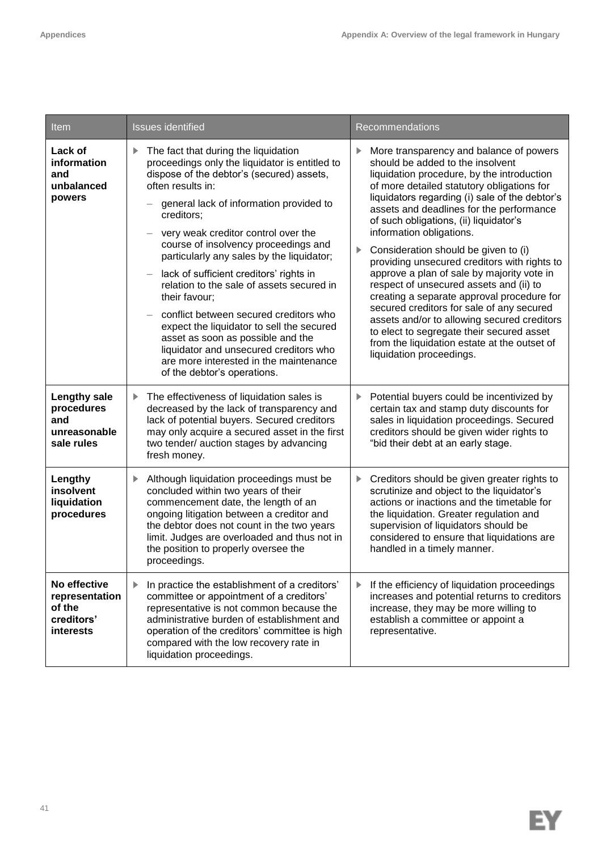| Item                                                                                                                                                                                                                                                                                                                                                                                   | <b>Issues identified</b>                                                                                                                                                                                                                                                                                                                                                                                                                                                                                                                                                                                                                                                                                    | Recommendations                                                                                                                                                                                                                                                                                                                                                                                                                                                                                                                                                                                                                                                                                                                                                                                           |  |
|----------------------------------------------------------------------------------------------------------------------------------------------------------------------------------------------------------------------------------------------------------------------------------------------------------------------------------------------------------------------------------------|-------------------------------------------------------------------------------------------------------------------------------------------------------------------------------------------------------------------------------------------------------------------------------------------------------------------------------------------------------------------------------------------------------------------------------------------------------------------------------------------------------------------------------------------------------------------------------------------------------------------------------------------------------------------------------------------------------------|-----------------------------------------------------------------------------------------------------------------------------------------------------------------------------------------------------------------------------------------------------------------------------------------------------------------------------------------------------------------------------------------------------------------------------------------------------------------------------------------------------------------------------------------------------------------------------------------------------------------------------------------------------------------------------------------------------------------------------------------------------------------------------------------------------------|--|
| Lack of<br>information<br>and<br>unbalanced<br>powers                                                                                                                                                                                                                                                                                                                                  | The fact that during the liquidation<br>Þ.<br>proceedings only the liquidator is entitled to<br>dispose of the debtor's (secured) assets,<br>often results in:<br>general lack of information provided to<br>creditors:<br>very weak creditor control over the<br>course of insolvency proceedings and<br>particularly any sales by the liquidator;<br>lack of sufficient creditors' rights in<br>relation to the sale of assets secured in<br>their favour;<br>conflict between secured creditors who<br>expect the liquidator to sell the secured<br>asset as soon as possible and the<br>liquidator and unsecured creditors who<br>are more interested in the maintenance<br>of the debtor's operations. | More transparency and balance of powers<br>▶<br>should be added to the insolvent<br>liquidation procedure, by the introduction<br>of more detailed statutory obligations for<br>liquidators regarding (i) sale of the debtor's<br>assets and deadlines for the performance<br>of such obligations, (ii) liquidator's<br>information obligations.<br>Consideration should be given to (i)<br>▶<br>providing unsecured creditors with rights to<br>approve a plan of sale by majority vote in<br>respect of unsecured assets and (ii) to<br>creating a separate approval procedure for<br>secured creditors for sale of any secured<br>assets and/or to allowing secured creditors<br>to elect to segregate their secured asset<br>from the liquidation estate at the outset of<br>liquidation proceedings. |  |
| <b>Lengthy sale</b><br>procedures<br>and<br>unreasonable<br>sale rules                                                                                                                                                                                                                                                                                                                 | The effectiveness of liquidation sales is<br>Þ.<br>decreased by the lack of transparency and<br>lack of potential buyers. Secured creditors<br>may only acquire a secured asset in the first<br>two tender/ auction stages by advancing<br>fresh money.                                                                                                                                                                                                                                                                                                                                                                                                                                                     | Potential buyers could be incentivized by<br>▶<br>certain tax and stamp duty discounts for<br>sales in liquidation proceedings. Secured<br>creditors should be given wider rights to<br>"bid their debt at an early stage.                                                                                                                                                                                                                                                                                                                                                                                                                                                                                                                                                                                |  |
| Lengthy<br>insolvent<br>liquidation<br>procedures                                                                                                                                                                                                                                                                                                                                      | Although liquidation proceedings must be<br>concluded within two years of their<br>commencement date, the length of an<br>ongoing litigation between a creditor and<br>the debtor does not count in the two years<br>limit. Judges are overloaded and thus not in<br>the position to properly oversee the<br>proceedings.                                                                                                                                                                                                                                                                                                                                                                                   | Creditors should be given greater rights to<br>▶<br>scrutinize and object to the liquidator's<br>actions or inactions and the timetable for<br>the liquidation. Greater regulation and<br>supervision of liquidators should be<br>considered to ensure that liquidations are<br>handled in a timely manner.                                                                                                                                                                                                                                                                                                                                                                                                                                                                                               |  |
| No effective<br>In practice the establishment of a creditors'<br>▶<br>committee or appointment of a creditors'<br>representation<br>of the<br>representative is not common because the<br>creditors'<br>administrative burden of establishment and<br>interests<br>operation of the creditors' committee is high<br>compared with the low recovery rate in<br>liquidation proceedings. |                                                                                                                                                                                                                                                                                                                                                                                                                                                                                                                                                                                                                                                                                                             | If the efficiency of liquidation proceedings<br>▶<br>increases and potential returns to creditors<br>increase, they may be more willing to<br>establish a committee or appoint a<br>representative.                                                                                                                                                                                                                                                                                                                                                                                                                                                                                                                                                                                                       |  |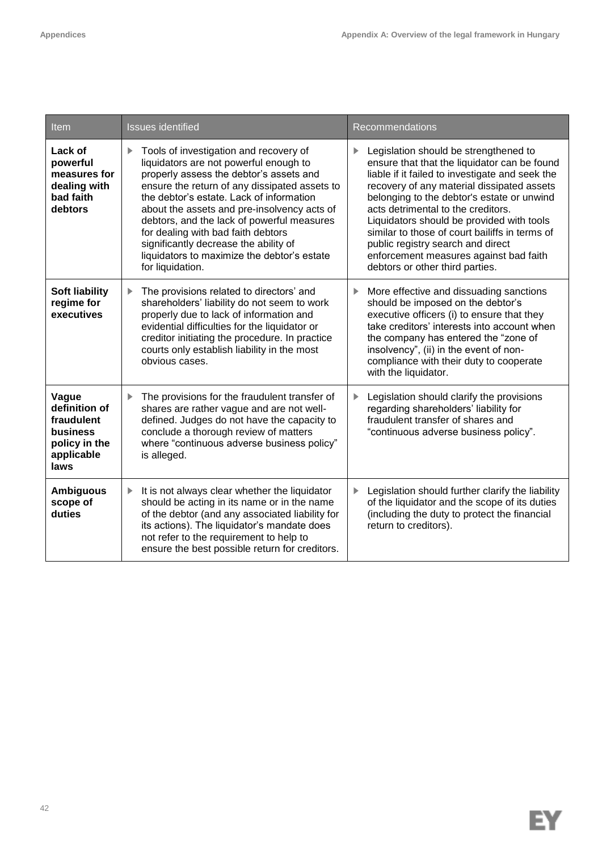| Item                                                                                    | <b>Issues identified</b>                                                                                                                                                                                                                                                                                                                                                                                                                                                | Recommendations                                                                                                                                                                                                                                                                                                                                                                                                                                                                             |  |  |
|-----------------------------------------------------------------------------------------|-------------------------------------------------------------------------------------------------------------------------------------------------------------------------------------------------------------------------------------------------------------------------------------------------------------------------------------------------------------------------------------------------------------------------------------------------------------------------|---------------------------------------------------------------------------------------------------------------------------------------------------------------------------------------------------------------------------------------------------------------------------------------------------------------------------------------------------------------------------------------------------------------------------------------------------------------------------------------------|--|--|
| Lack of<br>powerful<br>measures for<br>dealing with<br>bad faith<br>debtors             | Tools of investigation and recovery of<br>liquidators are not powerful enough to<br>properly assess the debtor's assets and<br>ensure the return of any dissipated assets to<br>the debtor's estate. Lack of information<br>about the assets and pre-insolvency acts of<br>debtors, and the lack of powerful measures<br>for dealing with bad faith debtors<br>significantly decrease the ability of<br>liquidators to maximize the debtor's estate<br>for liquidation. | Legislation should be strengthened to<br>ensure that that the liquidator can be found<br>liable if it failed to investigate and seek the<br>recovery of any material dissipated assets<br>belonging to the debtor's estate or unwind<br>acts detrimental to the creditors.<br>Liquidators should be provided with tools<br>similar to those of court bailiffs in terms of<br>public registry search and direct<br>enforcement measures against bad faith<br>debtors or other third parties. |  |  |
| <b>Soft liability</b><br>regime for<br>executives                                       | The provisions related to directors' and<br>Þ.<br>shareholders' liability do not seem to work<br>properly due to lack of information and<br>evidential difficulties for the liquidator or<br>creditor initiating the procedure. In practice<br>courts only establish liability in the most<br>obvious cases.                                                                                                                                                            | More effective and dissuading sanctions<br>▶<br>should be imposed on the debtor's<br>executive officers (i) to ensure that they<br>take creditors' interests into account when<br>the company has entered the "zone of<br>insolvency", (ii) in the event of non-<br>compliance with their duty to cooperate<br>with the liquidator.                                                                                                                                                         |  |  |
| Vague<br>definition of<br>fraudulent<br>business<br>policy in the<br>applicable<br>laws | The provisions for the fraudulent transfer of<br>▶<br>shares are rather vague and are not well-<br>defined. Judges do not have the capacity to<br>conclude a thorough review of matters<br>where "continuous adverse business policy"<br>is alleged.                                                                                                                                                                                                                    | Legislation should clarify the provisions<br>▶<br>regarding shareholders' liability for<br>fraudulent transfer of shares and<br>"continuous adverse business policy".                                                                                                                                                                                                                                                                                                                       |  |  |
| <b>Ambiguous</b><br>scope of<br>duties                                                  | It is not always clear whether the liquidator<br>▶<br>should be acting in its name or in the name<br>of the debtor (and any associated liability for<br>its actions). The liquidator's mandate does<br>not refer to the requirement to help to<br>ensure the best possible return for creditors.                                                                                                                                                                        | Legislation should further clarify the liability<br>▶<br>of the liquidator and the scope of its duties<br>(including the duty to protect the financial<br>return to creditors).                                                                                                                                                                                                                                                                                                             |  |  |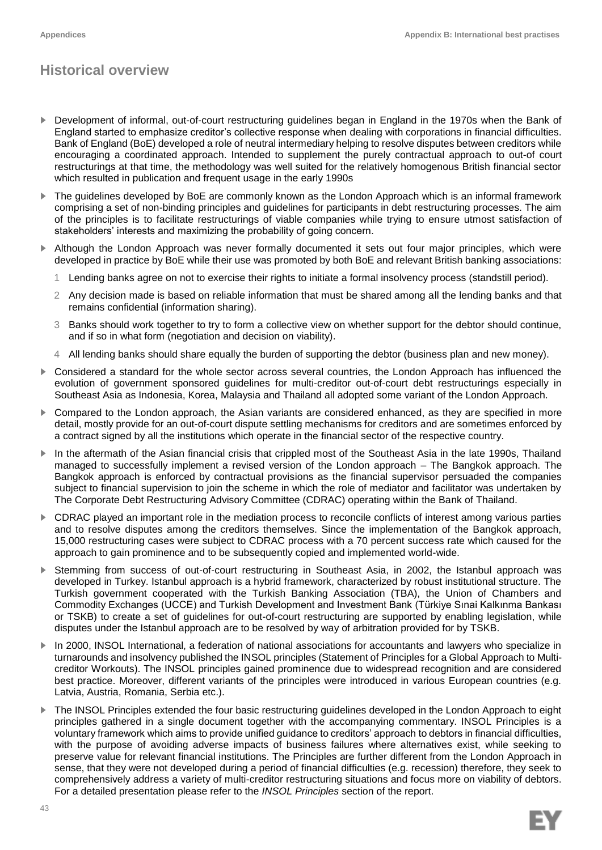# **Historical overview**

- ► Development of informal, out-of-court restructuring guidelines began in England in the 1970s when the Bank of England started to emphasize creditor's collective response when dealing with corporations in financial difficulties. Bank of England (BoE) developed a role of neutral intermediary helping to resolve disputes between creditors while encouraging a coordinated approach. Intended to supplement the purely contractual approach to out-of court restructurings at that time, the methodology was well suited for the relatively homogenous British financial sector which resulted in publication and frequent usage in the early 1990s
- The guidelines developed by BoE are commonly known as the London Approach which is an informal framework comprising a set of non-binding principles and guidelines for participants in debt restructuring processes. The aim of the principles is to facilitate restructurings of viable companies while trying to ensure utmost satisfaction of stakeholders' interests and maximizing the probability of going concern.
- Although the London Approach was never formally documented it sets out four major principles, which were developed in practice by BoE while their use was promoted by both BoE and relevant British banking associations:
	- 1 Lending banks agree on not to exercise their rights to initiate a formal insolvency process (standstill period).
	- 2 Any decision made is based on reliable information that must be shared among all the lending banks and that remains confidential (information sharing).
	- 3 Banks should work together to try to form a collective view on whether support for the debtor should continue, and if so in what form (negotiation and decision on viability).
	- 4 All lending banks should share equally the burden of supporting the debtor (business plan and new money).
- ► Considered a standard for the whole sector across several countries, the London Approach has influenced the evolution of government sponsored guidelines for multi-creditor out-of-court debt restructurings especially in Southeast Asia as Indonesia, Korea, Malaysia and Thailand all adopted some variant of the London Approach.
- ► Compared to the London approach, the Asian variants are considered enhanced, as they are specified in more detail, mostly provide for an out-of-court dispute settling mechanisms for creditors and are sometimes enforced by a contract signed by all the institutions which operate in the financial sector of the respective country.
- ► In the aftermath of the Asian financial crisis that crippled most of the Southeast Asia in the late 1990s, Thailand managed to successfully implement a revised version of the London approach – The Bangkok approach. The Bangkok approach is enforced by contractual provisions as the financial supervisor persuaded the companies subject to financial supervision to join the scheme in which the role of mediator and facilitator was undertaken by The Corporate Debt Restructuring Advisory Committee (CDRAC) operating within the Bank of Thailand.
- CDRAC played an important role in the mediation process to reconcile conflicts of interest among various parties and to resolve disputes among the creditors themselves. Since the implementation of the Bangkok approach, 15,000 restructuring cases were subject to CDRAC process with a 70 percent success rate which caused for the approach to gain prominence and to be subsequently copied and implemented world-wide.
- ► Stemming from success of out-of-court restructuring in Southeast Asia, in 2002, the Istanbul approach was developed in Turkey. Istanbul approach is a hybrid framework, characterized by robust institutional structure. The Turkish government cooperated with the Turkish Banking Association (TBA), the Union of Chambers and Commodity Exchanges (UCCE) and Turkish Development and Investment Bank (Türkiye Sınai Kalkınma Bankası or TSKB) to create a set of guidelines for out-of-court restructuring are supported by enabling legislation, while disputes under the Istanbul approach are to be resolved by way of arbitration provided for by TSKB.
- ► In 2000, INSOL International, a federation of national associations for accountants and lawyers who specialize in turnarounds and insolvency published the INSOL principles (Statement of Principles for a Global Approach to Multicreditor Workouts). The INSOL principles gained prominence due to widespread recognition and are considered best practice. Moreover, different variants of the principles were introduced in various European countries (e.g. Latvia, Austria, Romania, Serbia etc.).
- The INSOL Principles extended the four basic restructuring guidelines developed in the London Approach to eight principles gathered in a single document together with the accompanying commentary. INSOL Principles is a voluntary framework which aims to provide unified guidance to creditors' approach to debtors in financial difficulties, with the purpose of avoiding adverse impacts of business failures where alternatives exist, while seeking to preserve value for relevant financial institutions. The Principles are further different from the London Approach in sense, that they were not developed during a period of financial difficulties (e.g. recession) therefore, they seek to comprehensively address a variety of multi-creditor restructuring situations and focus more on viability of debtors. For a detailed presentation please refer to the *INSOL Principles* section of the report.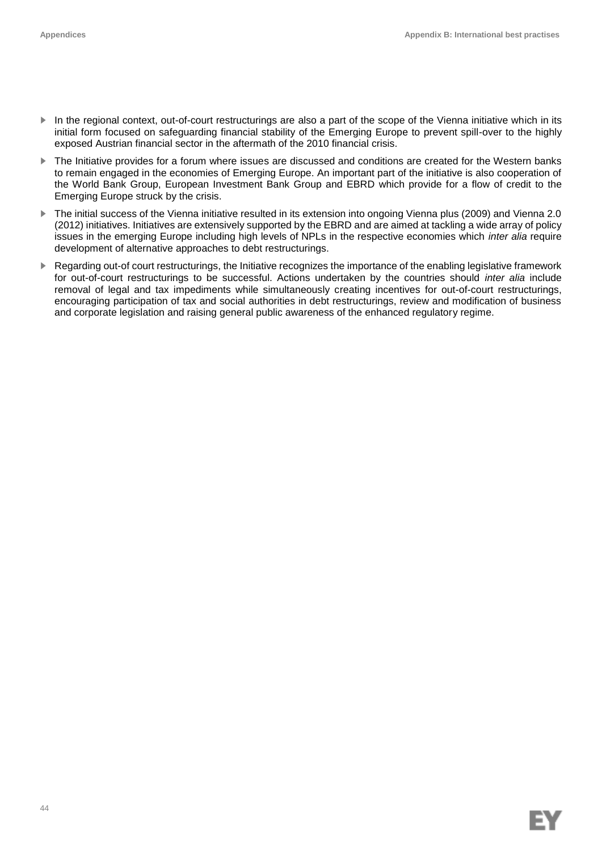- ► In the regional context, out-of-court restructurings are also a part of the scope of the Vienna initiative which in its initial form focused on safeguarding financial stability of the Emerging Europe to prevent spill-over to the highly exposed Austrian financial sector in the aftermath of the 2010 financial crisis.
- The Initiative provides for a forum where issues are discussed and conditions are created for the Western banks to remain engaged in the economies of Emerging Europe. An important part of the initiative is also cooperation of the World Bank Group, European Investment Bank Group and EBRD which provide for a flow of credit to the Emerging Europe struck by the crisis.
- ► The initial success of the Vienna initiative resulted in its extension into ongoing Vienna plus (2009) and Vienna 2.0 (2012) initiatives. Initiatives are extensively supported by the EBRD and are aimed at tackling a wide array of policy issues in the emerging Europe including high levels of NPLs in the respective economies which *inter alia* require development of alternative approaches to debt restructurings.
- ► Regarding out-of court restructurings, the Initiative recognizes the importance of the enabling legislative framework for out-of-court restructurings to be successful. Actions undertaken by the countries should *inter alia* include removal of legal and tax impediments while simultaneously creating incentives for out-of-court restructurings, encouraging participation of tax and social authorities in debt restructurings, review and modification of business and corporate legislation and raising general public awareness of the enhanced regulatory regime.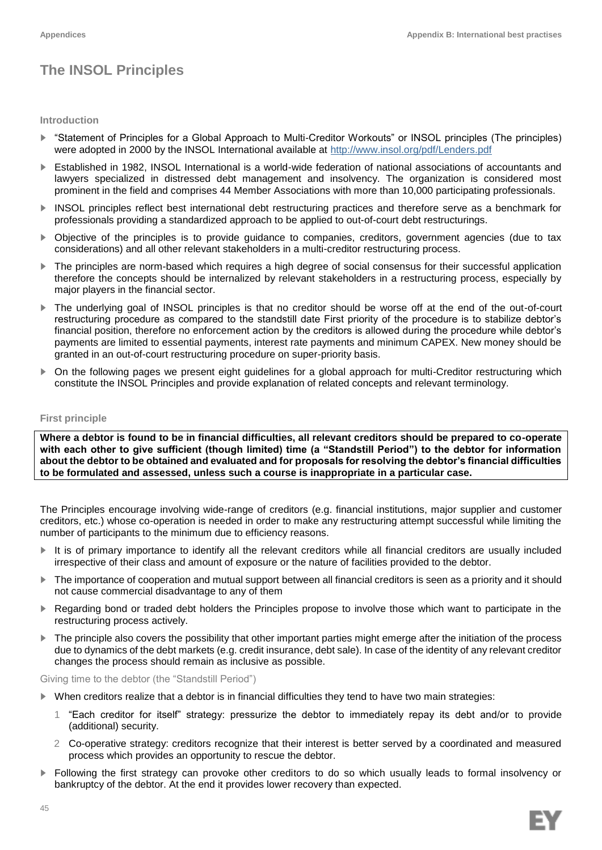# **The INSOL Principles**

#### **Introduction**

- ► "Statement of Principles for a Global Approach to Multi-Creditor Workouts" or INSOL principles (The principles) were adopted in 2000 by the INSOL International available at<http://www.insol.org/pdf/Lenders.pdf>
- ► Established in 1982, INSOL International is a world-wide federation of national associations of accountants and lawyers specialized in distressed debt management and insolvency. The organization is considered most prominent in the field and comprises 44 Member Associations with more than 10,000 participating professionals.
- ► INSOL principles reflect best international debt restructuring practices and therefore serve as a benchmark for professionals providing a standardized approach to be applied to out-of-court debt restructurings.
- ► Objective of the principles is to provide guidance to companies, creditors, government agencies (due to tax considerations) and all other relevant stakeholders in a multi-creditor restructuring process.
- ► The principles are norm-based which requires a high degree of social consensus for their successful application therefore the concepts should be internalized by relevant stakeholders in a restructuring process, especially by major players in the financial sector.
- ► The underlying goal of INSOL principles is that no creditor should be worse off at the end of the out-of-court restructuring procedure as compared to the standstill date First priority of the procedure is to stabilize debtor's financial position, therefore no enforcement action by the creditors is allowed during the procedure while debtor's payments are limited to essential payments, interest rate payments and minimum CAPEX. New money should be granted in an out-of-court restructuring procedure on super-priority basis.
- ► On the following pages we present eight guidelines for a global approach for multi-Creditor restructuring which constitute the INSOL Principles and provide explanation of related concepts and relevant terminology.

## **First principle**

**Where a debtor is found to be in financial difficulties, all relevant creditors should be prepared to co-operate with each other to give sufficient (though limited) time (a "Standstill Period") to the debtor for information about the debtor to be obtained and evaluated and for proposals for resolving the debtor's financial difficulties to be formulated and assessed, unless such a course is inappropriate in a particular case.**

The Principles encourage involving wide-range of creditors (e.g. financial institutions, major supplier and customer creditors, etc.) whose co-operation is needed in order to make any restructuring attempt successful while limiting the number of participants to the minimum due to efficiency reasons.

- ► It is of primary importance to identify all the relevant creditors while all financial creditors are usually included irrespective of their class and amount of exposure or the nature of facilities provided to the debtor.
- ► The importance of cooperation and mutual support between all financial creditors is seen as a priority and it should not cause commercial disadvantage to any of them
- Regarding bond or traded debt holders the Principles propose to involve those which want to participate in the restructuring process actively.
- ► The principle also covers the possibility that other important parties might emerge after the initiation of the process due to dynamics of the debt markets (e.g. credit insurance, debt sale). In case of the identity of any relevant creditor changes the process should remain as inclusive as possible.

Giving time to the debtor (the "Standstill Period")

- ► When creditors realize that a debtor is in financial difficulties they tend to have two main strategies:
	- 1 "Each creditor for itself" strategy: pressurize the debtor to immediately repay its debt and/or to provide (additional) security.
	- 2 Co-operative strategy: creditors recognize that their interest is better served by a coordinated and measured process which provides an opportunity to rescue the debtor.
- ► Following the first strategy can provoke other creditors to do so which usually leads to formal insolvency or bankruptcy of the debtor. At the end it provides lower recovery than expected.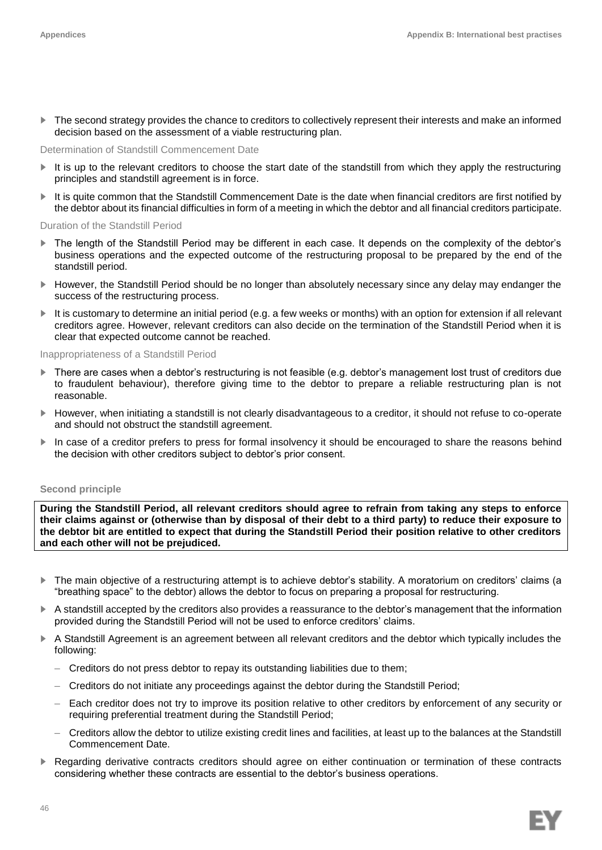► The second strategy provides the chance to creditors to collectively represent their interests and make an informed decision based on the assessment of a viable restructuring plan.

#### Determination of Standstill Commencement Date

- ► It is up to the relevant creditors to choose the start date of the standstill from which they apply the restructuring principles and standstill agreement is in force.
- ► It is quite common that the Standstill Commencement Date is the date when financial creditors are first notified by the debtor about its financial difficulties in form of a meeting in which the debtor and all financial creditors participate.

#### Duration of the Standstill Period

- ► The length of the Standstill Period may be different in each case. It depends on the complexity of the debtor's business operations and the expected outcome of the restructuring proposal to be prepared by the end of the standstill period.
- ► However, the Standstill Period should be no longer than absolutely necessary since any delay may endanger the success of the restructuring process.
- It is customary to determine an initial period (e.g. a few weeks or months) with an option for extension if all relevant creditors agree. However, relevant creditors can also decide on the termination of the Standstill Period when it is clear that expected outcome cannot be reached.

### Inappropriateness of a Standstill Period

- ► There are cases when a debtor's restructuring is not feasible (e.g. debtor's management lost trust of creditors due to fraudulent behaviour), therefore giving time to the debtor to prepare a reliable restructuring plan is not reasonable.
- ► However, when initiating a standstill is not clearly disadvantageous to a creditor, it should not refuse to co-operate and should not obstruct the standstill agreement.
- ► In case of a creditor prefers to press for formal insolvency it should be encouraged to share the reasons behind the decision with other creditors subject to debtor's prior consent.

#### **Second principle**

**During the Standstill Period, all relevant creditors should agree to refrain from taking any steps to enforce their claims against or (otherwise than by disposal of their debt to a third party) to reduce their exposure to the debtor bit are entitled to expect that during the Standstill Period their position relative to other creditors and each other will not be prejudiced.**

- ► The main objective of a restructuring attempt is to achieve debtor's stability. A moratorium on creditors' claims (a "breathing space" to the debtor) allows the debtor to focus on preparing a proposal for restructuring.
- ► A standstill accepted by the creditors also provides a reassurance to the debtor's management that the information provided during the Standstill Period will not be used to enforce creditors' claims.
- ► A Standstill Agreement is an agreement between all relevant creditors and the debtor which typically includes the following:
	- Creditors do not press debtor to repay its outstanding liabilities due to them;
	- Creditors do not initiate any proceedings against the debtor during the Standstill Period;
	- Each creditor does not try to improve its position relative to other creditors by enforcement of any security or requiring preferential treatment during the Standstill Period;
	- Creditors allow the debtor to utilize existing credit lines and facilities, at least up to the balances at the Standstill Commencement Date.
- Regarding derivative contracts creditors should agree on either continuation or termination of these contracts considering whether these contracts are essential to the debtor's business operations.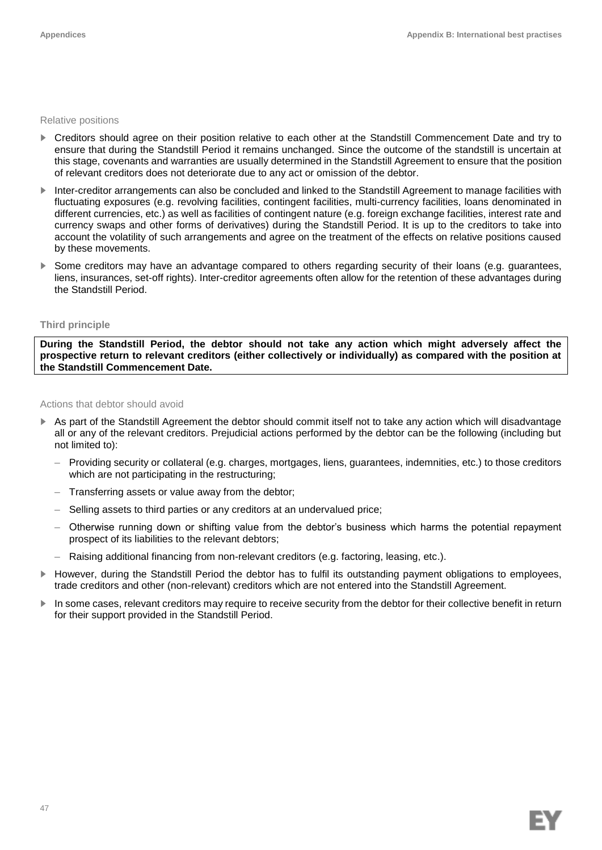#### Relative positions

- ► Creditors should agree on their position relative to each other at the Standstill Commencement Date and try to ensure that during the Standstill Period it remains unchanged. Since the outcome of the standstill is uncertain at this stage, covenants and warranties are usually determined in the Standstill Agreement to ensure that the position of relevant creditors does not deteriorate due to any act or omission of the debtor.
- ► Inter-creditor arrangements can also be concluded and linked to the Standstill Agreement to manage facilities with fluctuating exposures (e.g. revolving facilities, contingent facilities, multi-currency facilities, loans denominated in different currencies, etc.) as well as facilities of contingent nature (e.g. foreign exchange facilities, interest rate and currency swaps and other forms of derivatives) during the Standstill Period. It is up to the creditors to take into account the volatility of such arrangements and agree on the treatment of the effects on relative positions caused by these movements.
- Some creditors may have an advantage compared to others regarding security of their loans (e.g. guarantees, liens, insurances, set-off rights). Inter-creditor agreements often allow for the retention of these advantages during the Standstill Period.

## **Third principle**

**During the Standstill Period, the debtor should not take any action which might adversely affect the prospective return to relevant creditors (either collectively or individually) as compared with the position at the Standstill Commencement Date.**

Actions that debtor should avoid

- ► As part of the Standstill Agreement the debtor should commit itself not to take any action which will disadvantage all or any of the relevant creditors. Prejudicial actions performed by the debtor can be the following (including but not limited to):
	- Providing security or collateral (e.g. charges, mortgages, liens, guarantees, indemnities, etc.) to those creditors which are not participating in the restructuring;
	- Transferring assets or value away from the debtor;
	- Selling assets to third parties or any creditors at an undervalued price;
	- Otherwise running down or shifting value from the debtor's business which harms the potential repayment prospect of its liabilities to the relevant debtors;
	- Raising additional financing from non-relevant creditors (e.g. factoring, leasing, etc.).
- ► However, during the Standstill Period the debtor has to fulfil its outstanding payment obligations to employees, trade creditors and other (non-relevant) creditors which are not entered into the Standstill Agreement.
- In some cases, relevant creditors may require to receive security from the debtor for their collective benefit in return for their support provided in the Standstill Period.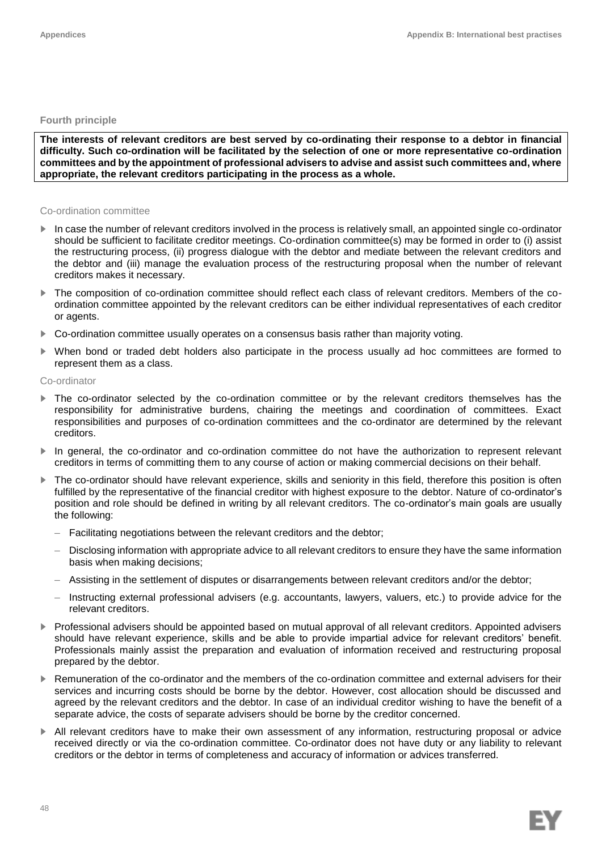## **Fourth principle**

**The interests of relevant creditors are best served by co-ordinating their response to a debtor in financial difficulty. Such co-ordination will be facilitated by the selection of one or more representative co-ordination committees and by the appointment of professional advisers to advise and assist such committees and, where appropriate, the relevant creditors participating in the process as a whole.**

#### Co-ordination committee

- ► In case the number of relevant creditors involved in the process is relatively small, an appointed single co-ordinator should be sufficient to facilitate creditor meetings. Co-ordination committee(s) may be formed in order to (i) assist the restructuring process, (ii) progress dialogue with the debtor and mediate between the relevant creditors and the debtor and (iii) manage the evaluation process of the restructuring proposal when the number of relevant creditors makes it necessary.
- ► The composition of co-ordination committee should reflect each class of relevant creditors. Members of the coordination committee appointed by the relevant creditors can be either individual representatives of each creditor or agents.
- ► Co-ordination committee usually operates on a consensus basis rather than majority voting.
- When bond or traded debt holders also participate in the process usually ad hoc committees are formed to represent them as a class.

## Co-ordinator

- The co-ordinator selected by the co-ordination committee or by the relevant creditors themselves has the responsibility for administrative burdens, chairing the meetings and coordination of committees. Exact responsibilities and purposes of co-ordination committees and the co-ordinator are determined by the relevant creditors.
- In general, the co-ordinator and co-ordination committee do not have the authorization to represent relevant creditors in terms of committing them to any course of action or making commercial decisions on their behalf.
- ► The co-ordinator should have relevant experience, skills and seniority in this field, therefore this position is often fulfilled by the representative of the financial creditor with highest exposure to the debtor. Nature of co-ordinator's position and role should be defined in writing by all relevant creditors. The co-ordinator's main goals are usually the following:
	- Facilitating negotiations between the relevant creditors and the debtor;
	- Disclosing information with appropriate advice to all relevant creditors to ensure they have the same information basis when making decisions;
	- Assisting in the settlement of disputes or disarrangements between relevant creditors and/or the debtor;
	- Instructing external professional advisers (e.g. accountants, lawyers, valuers, etc.) to provide advice for the relevant creditors.
- ► Professional advisers should be appointed based on mutual approval of all relevant creditors. Appointed advisers should have relevant experience, skills and be able to provide impartial advice for relevant creditors' benefit. Professionals mainly assist the preparation and evaluation of information received and restructuring proposal prepared by the debtor.
- ► Remuneration of the co-ordinator and the members of the co-ordination committee and external advisers for their services and incurring costs should be borne by the debtor. However, cost allocation should be discussed and agreed by the relevant creditors and the debtor. In case of an individual creditor wishing to have the benefit of a separate advice, the costs of separate advisers should be borne by the creditor concerned.
- ► All relevant creditors have to make their own assessment of any information, restructuring proposal or advice received directly or via the co-ordination committee. Co-ordinator does not have duty or any liability to relevant creditors or the debtor in terms of completeness and accuracy of information or advices transferred.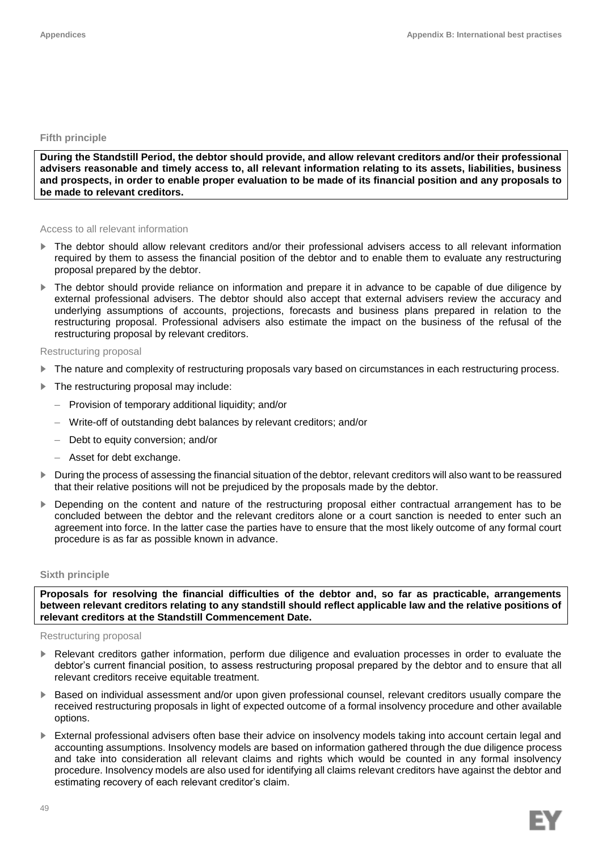## **Fifth principle**

**During the Standstill Period, the debtor should provide, and allow relevant creditors and/or their professional advisers reasonable and timely access to, all relevant information relating to its assets, liabilities, business and prospects, in order to enable proper evaluation to be made of its financial position and any proposals to be made to relevant creditors.**

#### Access to all relevant information

- The debtor should allow relevant creditors and/or their professional advisers access to all relevant information required by them to assess the financial position of the debtor and to enable them to evaluate any restructuring proposal prepared by the debtor.
- The debtor should provide reliance on information and prepare it in advance to be capable of due diligence by external professional advisers. The debtor should also accept that external advisers review the accuracy and underlying assumptions of accounts, projections, forecasts and business plans prepared in relation to the restructuring proposal. Professional advisers also estimate the impact on the business of the refusal of the restructuring proposal by relevant creditors.

#### Restructuring proposal

- ► The nature and complexity of restructuring proposals vary based on circumstances in each restructuring process.
- The restructuring proposal may include:
	- Provision of temporary additional liquidity; and/or
	- Write-off of outstanding debt balances by relevant creditors; and/or
	- Debt to equity conversion; and/or
	- Asset for debt exchange.
- ► During the process of assessing the financial situation of the debtor, relevant creditors will also want to be reassured that their relative positions will not be prejudiced by the proposals made by the debtor.
- ► Depending on the content and nature of the restructuring proposal either contractual arrangement has to be concluded between the debtor and the relevant creditors alone or a court sanction is needed to enter such an agreement into force. In the latter case the parties have to ensure that the most likely outcome of any formal court procedure is as far as possible known in advance.

#### **Sixth principle**

**Proposals for resolving the financial difficulties of the debtor and, so far as practicable, arrangements between relevant creditors relating to any standstill should reflect applicable law and the relative positions of relevant creditors at the Standstill Commencement Date.**

#### Restructuring proposal

- Relevant creditors gather information, perform due diligence and evaluation processes in order to evaluate the debtor's current financial position, to assess restructuring proposal prepared by the debtor and to ensure that all relevant creditors receive equitable treatment.
- ► Based on individual assessment and/or upon given professional counsel, relevant creditors usually compare the received restructuring proposals in light of expected outcome of a formal insolvency procedure and other available options.
- ► External professional advisers often base their advice on insolvency models taking into account certain legal and accounting assumptions. Insolvency models are based on information gathered through the due diligence process and take into consideration all relevant claims and rights which would be counted in any formal insolvency procedure. Insolvency models are also used for identifying all claims relevant creditors have against the debtor and estimating recovery of each relevant creditor's claim.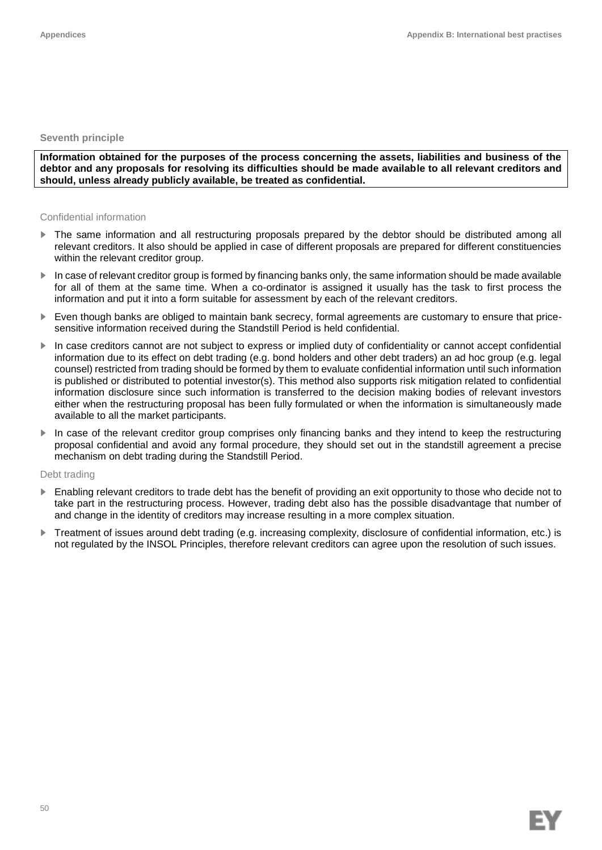### **Seventh principle**

**Information obtained for the purposes of the process concerning the assets, liabilities and business of the debtor and any proposals for resolving its difficulties should be made available to all relevant creditors and should, unless already publicly available, be treated as confidential.**

### Confidential information

- The same information and all restructuring proposals prepared by the debtor should be distributed among all relevant creditors. It also should be applied in case of different proposals are prepared for different constituencies within the relevant creditor group.
- ► In case of relevant creditor group is formed by financing banks only, the same information should be made available for all of them at the same time. When a co-ordinator is assigned it usually has the task to first process the information and put it into a form suitable for assessment by each of the relevant creditors.
- ► Even though banks are obliged to maintain bank secrecy, formal agreements are customary to ensure that pricesensitive information received during the Standstill Period is held confidential.
- ► In case creditors cannot are not subject to express or implied duty of confidentiality or cannot accept confidential information due to its effect on debt trading (e.g. bond holders and other debt traders) an ad hoc group (e.g. legal counsel) restricted from trading should be formed by them to evaluate confidential information until such information is published or distributed to potential investor(s). This method also supports risk mitigation related to confidential information disclosure since such information is transferred to the decision making bodies of relevant investors either when the restructuring proposal has been fully formulated or when the information is simultaneously made available to all the market participants.
- In case of the relevant creditor group comprises only financing banks and they intend to keep the restructuring proposal confidential and avoid any formal procedure, they should set out in the standstill agreement a precise mechanism on debt trading during the Standstill Period.

## Debt trading

- ► Enabling relevant creditors to trade debt has the benefit of providing an exit opportunity to those who decide not to take part in the restructuring process. However, trading debt also has the possible disadvantage that number of and change in the identity of creditors may increase resulting in a more complex situation.
- ► Treatment of issues around debt trading (e.g. increasing complexity, disclosure of confidential information, etc.) is not regulated by the INSOL Principles, therefore relevant creditors can agree upon the resolution of such issues.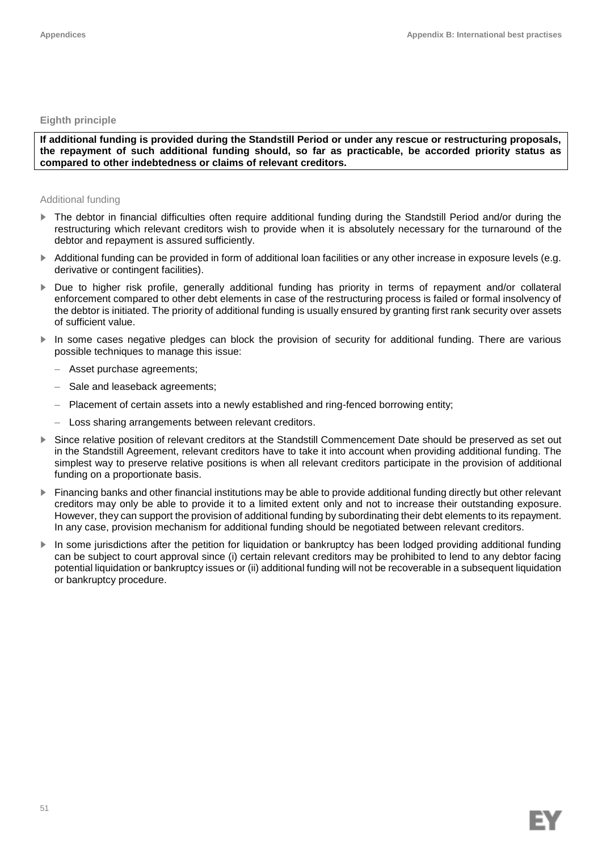## **Eighth principle**

**If additional funding is provided during the Standstill Period or under any rescue or restructuring proposals, the repayment of such additional funding should, so far as practicable, be accorded priority status as compared to other indebtedness or claims of relevant creditors.**

## Additional funding

- ► The debtor in financial difficulties often require additional funding during the Standstill Period and/or during the restructuring which relevant creditors wish to provide when it is absolutely necessary for the turnaround of the debtor and repayment is assured sufficiently.
- ► Additional funding can be provided in form of additional loan facilities or any other increase in exposure levels (e.g. derivative or contingent facilities).
- ► Due to higher risk profile, generally additional funding has priority in terms of repayment and/or collateral enforcement compared to other debt elements in case of the restructuring process is failed or formal insolvency of the debtor is initiated. The priority of additional funding is usually ensured by granting first rank security over assets of sufficient value.
- ► In some cases negative pledges can block the provision of security for additional funding. There are various possible techniques to manage this issue:
	- Asset purchase agreements;
	- Sale and leaseback agreements;
	- Placement of certain assets into a newly established and ring-fenced borrowing entity;
	- Loss sharing arrangements between relevant creditors.
- ► Since relative position of relevant creditors at the Standstill Commencement Date should be preserved as set out in the Standstill Agreement, relevant creditors have to take it into account when providing additional funding. The simplest way to preserve relative positions is when all relevant creditors participate in the provision of additional funding on a proportionate basis.
- ► Financing banks and other financial institutions may be able to provide additional funding directly but other relevant creditors may only be able to provide it to a limited extent only and not to increase their outstanding exposure. However, they can support the provision of additional funding by subordinating their debt elements to its repayment. In any case, provision mechanism for additional funding should be negotiated between relevant creditors.
- ► In some jurisdictions after the petition for liquidation or bankruptcy has been lodged providing additional funding can be subject to court approval since (i) certain relevant creditors may be prohibited to lend to any debtor facing potential liquidation or bankruptcy issues or (ii) additional funding will not be recoverable in a subsequent liquidation or bankruptcy procedure.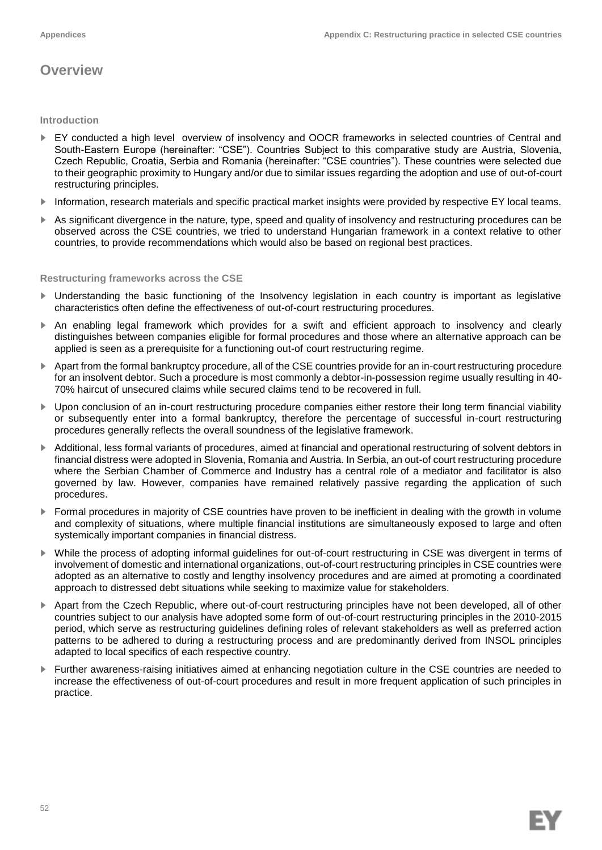## **Overview**

## **Introduction**

- ► EY conducted a high level overview of insolvency and OOCR frameworks in selected countries of Central and South-Eastern Europe (hereinafter: "CSE"). Countries Subject to this comparative study are Austria, Slovenia, Czech Republic, Croatia, Serbia and Romania (hereinafter: "CSE countries"). These countries were selected due to their geographic proximity to Hungary and/or due to similar issues regarding the adoption and use of out-of-court restructuring principles.
- ► Information, research materials and specific practical market insights were provided by respective EY local teams.
- ► As significant divergence in the nature, type, speed and quality of insolvency and restructuring procedures can be observed across the CSE countries, we tried to understand Hungarian framework in a context relative to other countries, to provide recommendations which would also be based on regional best practices.

## **Restructuring frameworks across the CSE**

- ► Understanding the basic functioning of the Insolvency legislation in each country is important as legislative characteristics often define the effectiveness of out-of-court restructuring procedures.
- ► An enabling legal framework which provides for a swift and efficient approach to insolvency and clearly distinguishes between companies eligible for formal procedures and those where an alternative approach can be applied is seen as a prerequisite for a functioning out-of-court restructuring regime.
- ► Apart from the formal bankruptcy procedure, all of the CSE countries provide for an in-court restructuring procedure for an insolvent debtor. Such a procedure is most commonly a debtor-in-possession regime usually resulting in 40- 70% haircut of unsecured claims while secured claims tend to be recovered in full.
- ► Upon conclusion of an in-court restructuring procedure companies either restore their long term financial viability or subsequently enter into a formal bankruptcy, therefore the percentage of successful in-court restructuring procedures generally reflects the overall soundness of the legislative framework.
- ► Additional, less formal variants of procedures, aimed at financial and operational restructuring of solvent debtors in financial distress were adopted in Slovenia, Romania and Austria. In Serbia, an out-of court restructuring procedure where the Serbian Chamber of Commerce and Industry has a central role of a mediator and facilitator is also governed by law. However, companies have remained relatively passive regarding the application of such procedures.
- ► Formal procedures in majority of CSE countries have proven to be inefficient in dealing with the growth in volume and complexity of situations, where multiple financial institutions are simultaneously exposed to large and often systemically important companies in financial distress.
- ► While the process of adopting informal guidelines for out-of-court restructuring in CSE was divergent in terms of involvement of domestic and international organizations, out-of-court restructuring principles in CSE countries were adopted as an alternative to costly and lengthy insolvency procedures and are aimed at promoting a coordinated approach to distressed debt situations while seeking to maximize value for stakeholders.
- ► Apart from the Czech Republic, where out-of-court restructuring principles have not been developed, all of other countries subject to our analysis have adopted some form of out-of-court restructuring principles in the 2010-2015 period, which serve as restructuring guidelines defining roles of relevant stakeholders as well as preferred action patterns to be adhered to during a restructuring process and are predominantly derived from INSOL principles adapted to local specifics of each respective country.
- ► Further awareness-raising initiatives aimed at enhancing negotiation culture in the CSE countries are needed to increase the effectiveness of out-of-court procedures and result in more frequent application of such principles in practice.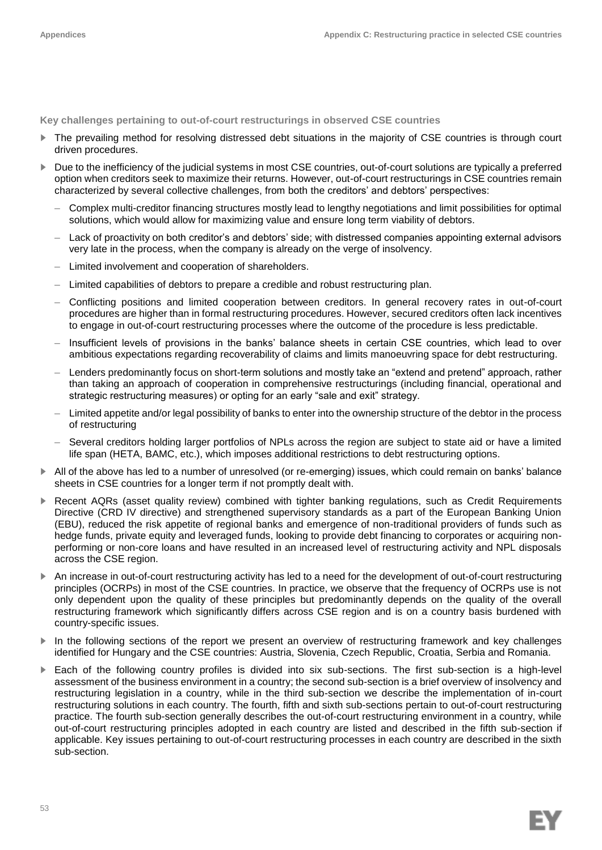**Key challenges pertaining to out-of-court restructurings in observed CSE countries**

- The prevailing method for resolving distressed debt situations in the majority of CSE countries is through court driven procedures.
- Due to the inefficiency of the judicial systems in most CSE countries, out-of-court solutions are typically a preferred option when creditors seek to maximize their returns. However, out-of-court restructurings in CSE countries remain characterized by several collective challenges, from both the creditors' and debtors' perspectives:
	- Complex multi-creditor financing structures mostly lead to lengthy negotiations and limit possibilities for optimal solutions, which would allow for maximizing value and ensure long term viability of debtors.
	- Lack of proactivity on both creditor's and debtors' side; with distressed companies appointing external advisors very late in the process, when the company is already on the verge of insolvency.
	- Limited involvement and cooperation of shareholders.
	- Limited capabilities of debtors to prepare a credible and robust restructuring plan.
	- Conflicting positions and limited cooperation between creditors. In general recovery rates in out-of-court procedures are higher than in formal restructuring procedures. However, secured creditors often lack incentives to engage in out-of-court restructuring processes where the outcome of the procedure is less predictable.
	- Insufficient levels of provisions in the banks' balance sheets in certain CSE countries, which lead to over ambitious expectations regarding recoverability of claims and limits manoeuvring space for debt restructuring.
	- Lenders predominantly focus on short-term solutions and mostly take an "extend and pretend" approach, rather than taking an approach of cooperation in comprehensive restructurings (including financial, operational and strategic restructuring measures) or opting for an early "sale and exit" strategy.
	- Limited appetite and/or legal possibility of banks to enter into the ownership structure of the debtor in the process of restructuring
	- Several creditors holding larger portfolios of NPLs across the region are subject to state aid or have a limited life span (HETA, BAMC, etc.), which imposes additional restrictions to debt restructuring options.
- ► All of the above has led to a number of unresolved (or re-emerging) issues, which could remain on banks' balance sheets in CSE countries for a longer term if not promptly dealt with.
- Recent AQRs (asset quality review) combined with tighter banking regulations, such as Credit Requirements Directive (CRD IV directive) and strengthened supervisory standards as a part of the European Banking Union (EBU), reduced the risk appetite of regional banks and emergence of non-traditional providers of funds such as hedge funds, private equity and leveraged funds, looking to provide debt financing to corporates or acquiring nonperforming or non-core loans and have resulted in an increased level of restructuring activity and NPL disposals across the CSE region.
- ► An increase in out-of-court restructuring activity has led to a need for the development of out-of-court restructuring principles (OCRPs) in most of the CSE countries. In practice, we observe that the frequency of OCRPs use is not only dependent upon the quality of these principles but predominantly depends on the quality of the overall restructuring framework which significantly differs across CSE region and is on a country basis burdened with country-specific issues.
- ► In the following sections of the report we present an overview of restructuring framework and key challenges identified for Hungary and the CSE countries: Austria, Slovenia, Czech Republic, Croatia, Serbia and Romania.
- ► Each of the following country profiles is divided into six sub-sections. The first sub-section is a high-level assessment of the business environment in a country; the second sub-section is a brief overview of insolvency and restructuring legislation in a country, while in the third sub-section we describe the implementation of in-court restructuring solutions in each country. The fourth, fifth and sixth sub-sections pertain to out-of-court restructuring practice. The fourth sub-section generally describes the out-of-court restructuring environment in a country, while out-of-court restructuring principles adopted in each country are listed and described in the fifth sub-section if applicable. Key issues pertaining to out-of-court restructuring processes in each country are described in the sixth sub-section.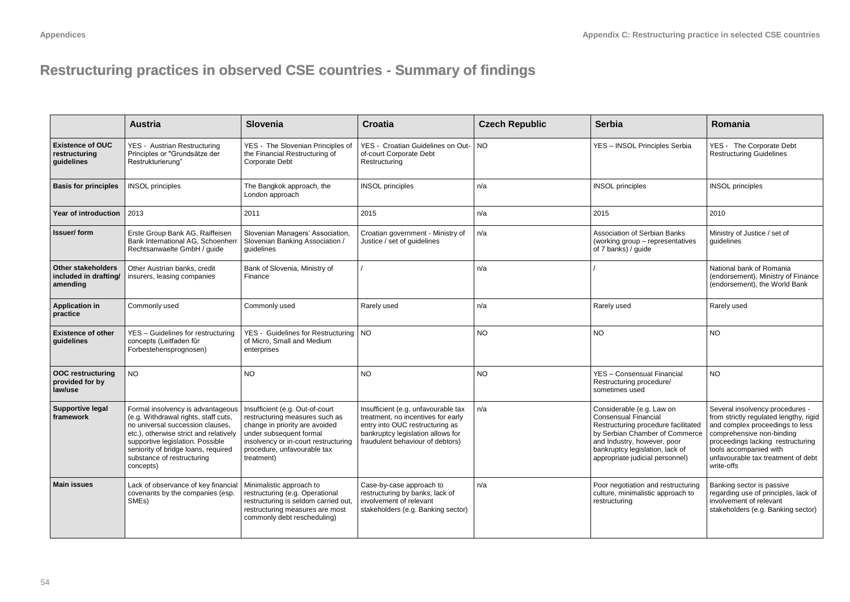## **Restructuring practices in observed CSE countries - Summary of findings countries**

|                                                                | <b>Austria</b>                                                                                                                                                                                                                                                                | Slovenia                                                                                                                                                                                                            | <b>Croatia</b>                                                                                                                                                                        | <b>Czech Republic</b> | <b>Serbia</b>                                                                                                                                                                                                                          | Romania                                                                                                                                                                                                                                                      |
|----------------------------------------------------------------|-------------------------------------------------------------------------------------------------------------------------------------------------------------------------------------------------------------------------------------------------------------------------------|---------------------------------------------------------------------------------------------------------------------------------------------------------------------------------------------------------------------|---------------------------------------------------------------------------------------------------------------------------------------------------------------------------------------|-----------------------|----------------------------------------------------------------------------------------------------------------------------------------------------------------------------------------------------------------------------------------|--------------------------------------------------------------------------------------------------------------------------------------------------------------------------------------------------------------------------------------------------------------|
| <b>Existence of OUC</b><br>restructuring<br>guidelines         | YES - Austrian Restructuring<br>Principles or "Grundsätze der<br>Restrukturierung"                                                                                                                                                                                            | YES - The Slovenian Principles of<br>the Financial Restructuring of<br>Corporate Debt                                                                                                                               | YES - Croatian Guidelines on Out-<br>of-court Corporate Debt<br>Restructuring                                                                                                         | <b>NO</b>             | YES - INSOL Principles Serbia                                                                                                                                                                                                          | YES - The Corporate Debt<br><b>Restructuring Guidelines</b>                                                                                                                                                                                                  |
| <b>Basis for principles</b>                                    | <b>INSOL</b> principles                                                                                                                                                                                                                                                       | The Bangkok approach, the<br>London approach                                                                                                                                                                        | <b>INSOL</b> principles                                                                                                                                                               | n/a                   | <b>INSOL</b> principles                                                                                                                                                                                                                | <b>INSOL</b> principles                                                                                                                                                                                                                                      |
| Year of introduction                                           | 2013                                                                                                                                                                                                                                                                          | 2011                                                                                                                                                                                                                | 2015                                                                                                                                                                                  | n/a                   | 2015                                                                                                                                                                                                                                   | 2010                                                                                                                                                                                                                                                         |
| Issuer/form                                                    | Erste Group Bank AG, Raiffeisen<br>Bank International AG. Schoenherr<br>Rechtsanwaelte GmbH / quide                                                                                                                                                                           | Slovenian Managers' Association,<br>Slovenian Banking Association /<br>quidelines                                                                                                                                   | Croatian government - Ministry of<br>Justice / set of quidelines                                                                                                                      | n/a                   | Association of Serbian Banks<br>(working group - representatives<br>of 7 banks) / guide                                                                                                                                                | Ministry of Justice / set of<br>quidelines                                                                                                                                                                                                                   |
| <b>Other stakeholders</b><br>included in drafting/<br>amending | Other Austrian banks, credit<br>insurers, leasing companies                                                                                                                                                                                                                   | Bank of Slovenia, Ministry of<br>Finance                                                                                                                                                                            |                                                                                                                                                                                       | n/a                   |                                                                                                                                                                                                                                        | National bank of Romania<br>(endorsement), Ministry of Finance<br>(endorsement), the World Bank                                                                                                                                                              |
| <b>Application in</b><br>practice                              | Commonly used                                                                                                                                                                                                                                                                 | Commonly used                                                                                                                                                                                                       | Rarely used                                                                                                                                                                           | n/a                   | Rarely used                                                                                                                                                                                                                            | Rarely used                                                                                                                                                                                                                                                  |
| <b>Existence of other</b><br>quidelines                        | YES - Guidelines for restructuring<br>concepts (Leitfaden für<br>Forbestehensprognosen)                                                                                                                                                                                       | YES - Guidelines for Restructuring   NO<br>of Micro. Small and Medium<br>enterprises                                                                                                                                |                                                                                                                                                                                       | NO.                   | <b>NO</b>                                                                                                                                                                                                                              | <b>NO</b>                                                                                                                                                                                                                                                    |
| <b>OOC</b> restructuring<br>provided for by<br>law/use         | <b>NO</b>                                                                                                                                                                                                                                                                     | <b>NO</b>                                                                                                                                                                                                           | NO.                                                                                                                                                                                   | NO.                   | YES - Consensual Financial<br>Restructuring procedure/<br>sometimes used                                                                                                                                                               | <b>NO</b>                                                                                                                                                                                                                                                    |
| Supportive legal<br>framework                                  | Formal insolvency is advantageous<br>(e.g. Withdrawal rights, staff cuts,<br>no universal succession clauses.<br>etc.), otherwise strict and relatively<br>supportive legislation. Possible<br>seniority of bridge loans, required<br>substance of restructuring<br>concepts) | Insufficient (e.g. Out-of-court<br>restructuring measures such as<br>change in priority are avoided<br>under subsequent formal<br>insolvency or in-court restructuring<br>procedure, unfavourable tax<br>treatment) | Insufficient (e.g. unfavourable tax<br>treatment, no incentives for early<br>entry into OUC restructuring as<br>bankruptcy legislation allows for<br>fraudulent behaviour of debtors) | n/a                   | Considerable (e.g. Law on<br><b>Consensual Financial</b><br>Restructuring procedure facilitated<br>by Serbian Chamber of Commerce<br>and Industry, however, poor<br>bankruptcy legislation, lack of<br>appropriate judicial personnel) | Several insolvency procedures -<br>from strictly regulated lengthy, rigid<br>and complex proceedings to less<br>comprehensive non-binding<br>proceedings lacking restructuring<br>tools accompanied with<br>unfavourable tax treatment of debt<br>write-offs |
| <b>Main issues</b>                                             | Lack of observance of key financial<br>covenants by the companies (esp.<br>SME <sub>s</sub> )                                                                                                                                                                                 | Minimalistic approach to<br>restructuring (e.g. Operational<br>restructuring is seldom carried out,<br>restructuring measures are most<br>commonly debt rescheduling)                                               | Case-by-case approach to<br>restructuring by banks, lack of<br>involvement of relevant<br>stakeholders (e.g. Banking sector)                                                          | n/a                   | Poor negotiation and restructuring<br>culture, minimalistic approach to<br>restructuring                                                                                                                                               | Banking sector is passive<br>regarding use of principles, lack of<br>involvement of relevant<br>stakeholders (e.g. Banking sector)                                                                                                                           |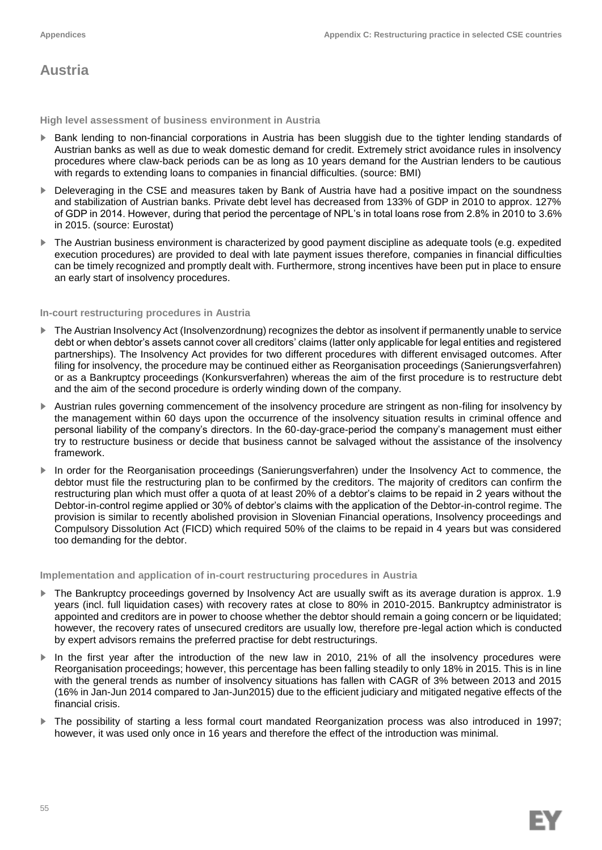## **Austria**

**High level assessment of business environment in Austria**

- ► Bank lending to non-financial corporations in Austria has been sluggish due to the tighter lending standards of Austrian banks as well as due to weak domestic demand for credit. Extremely strict avoidance rules in insolvency procedures where claw-back periods can be as long as 10 years demand for the Austrian lenders to be cautious with regards to extending loans to companies in financial difficulties. (source: BMI)
- Deleveraging in the CSE and measures taken by Bank of Austria have had a positive impact on the soundness and stabilization of Austrian banks. Private debt level has decreased from 133% of GDP in 2010 to approx. 127% of GDP in 2014. However, during that period the percentage of NPL's in total loans rose from 2.8% in 2010 to 3.6% in 2015. (source: Eurostat)
- The Austrian business environment is characterized by good payment discipline as adequate tools (e.g. expedited execution procedures) are provided to deal with late payment issues therefore, companies in financial difficulties can be timely recognized and promptly dealt with. Furthermore, strong incentives have been put in place to ensure an early start of insolvency procedures.

## **In-court restructuring procedures in Austria**

- The Austrian Insolvency Act (Insolvenzordnung) recognizes the debtor as insolvent if permanently unable to service debt or when debtor's assets cannot cover all creditors' claims (latter only applicable for legal entities and registered partnerships). The Insolvency Act provides for two different procedures with different envisaged outcomes. After filing for insolvency, the procedure may be continued either as Reorganisation proceedings (Sanierungsverfahren) or as a Bankruptcy proceedings (Konkursverfahren) whereas the aim of the first procedure is to restructure debt and the aim of the second procedure is orderly winding down of the company.
- ► Austrian rules governing commencement of the insolvency procedure are stringent as non-filing for insolvency by the management within 60 days upon the occurrence of the insolvency situation results in criminal offence and personal liability of the company's directors. In the 60-day-grace-period the company's management must either try to restructure business or decide that business cannot be salvaged without the assistance of the insolvency framework.
- In order for the Reorganisation proceedings (Sanierungsverfahren) under the Insolvency Act to commence, the debtor must file the restructuring plan to be confirmed by the creditors. The majority of creditors can confirm the restructuring plan which must offer a quota of at least 20% of a debtor's claims to be repaid in 2 years without the Debtor-in-control regime applied or 30% of debtor's claims with the application of the Debtor-in-control regime. The provision is similar to recently abolished provision in Slovenian Financial operations, Insolvency proceedings and Compulsory Dissolution Act (FICD) which required 50% of the claims to be repaid in 4 years but was considered too demanding for the debtor.

**Implementation and application of in-court restructuring procedures in Austria**

- The Bankruptcy proceedings governed by Insolvency Act are usually swift as its average duration is approx. 1.9 years (incl. full liquidation cases) with recovery rates at close to 80% in 2010-2015. Bankruptcy administrator is appointed and creditors are in power to choose whether the debtor should remain a going concern or be liquidated; however, the recovery rates of unsecured creditors are usually low, therefore pre-legal action which is conducted by expert advisors remains the preferred practise for debt restructurings.
- ► In the first year after the introduction of the new law in 2010, 21% of all the insolvency procedures were Reorganisation proceedings; however, this percentage has been falling steadily to only 18% in 2015. This is in line with the general trends as number of insolvency situations has fallen with CAGR of 3% between 2013 and 2015 (16% in Jan-Jun 2014 compared to Jan-Jun2015) due to the efficient judiciary and mitigated negative effects of the financial crisis.
- The possibility of starting a less formal court mandated Reorganization process was also introduced in 1997; however, it was used only once in 16 years and therefore the effect of the introduction was minimal.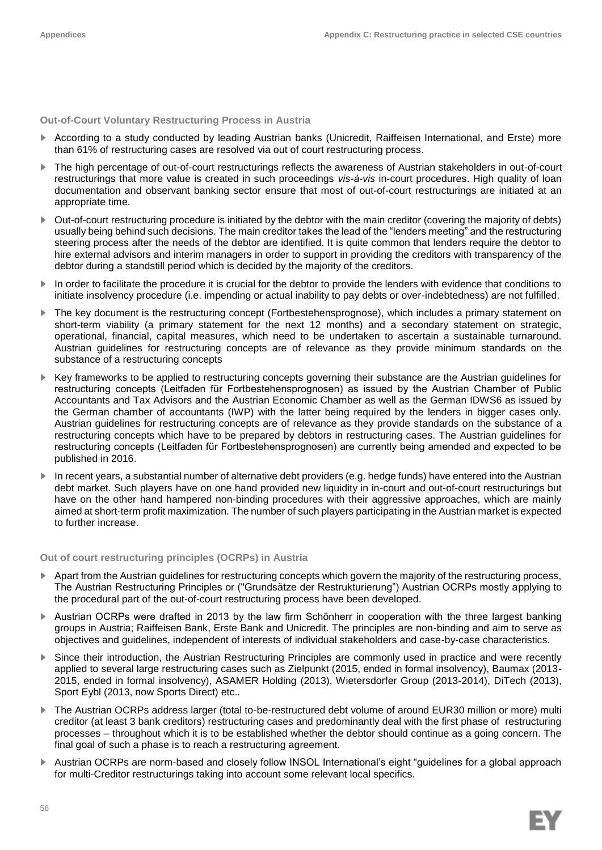**Out-of-Court Voluntary Restructuring Process in Austria**

- ► According to a study conducted by leading Austrian banks (Unicredit, Raiffeisen International, and Erste) more than 61% of restructuring cases are resolved via out of court restructuring process.
- The high percentage of out-of-court restructurings reflects the awareness of Austrian stakeholders in out-of-court restructurings that more value is created in such proceedings *vis-à-vis* in-court procedures. High quality of loan documentation and observant banking sector ensure that most of out-of-court restructurings are initiated at an appropriate time.
- ► Out-of-court restructuring procedure is initiated by the debtor with the main creditor (covering the majority of debts) usually being behind such decisions. The main creditor takes the lead of the "lenders meeting" and the restructuring steering process after the needs of the debtor are identified. It is quite common that lenders require the debtor to hire external advisors and interim managers in order to support in providing the creditors with transparency of the debtor during a standstill period which is decided by the majority of the creditors.
- ► In order to facilitate the procedure it is crucial for the debtor to provide the lenders with evidence that conditions to initiate insolvency procedure (i.e. impending or actual inability to pay debts or over-indebtedness) are not fulfilled.
- ► The key document is the restructuring concept (Fortbestehensprognose), which includes a primary statement on short-term viability (a primary statement for the next 12 months) and a secondary statement on strategic, operational, financial, capital measures, which need to be undertaken to ascertain a sustainable turnaround. Austrian guidelines for restructuring concepts are of relevance as they provide minimum standards on the substance of a restructuring concepts
- ► Key frameworks to be applied to restructuring concepts governing their substance are the Austrian guidelines for restructuring concepts (Leitfaden für Fortbestehensprognosen) as issued by the Austrian Chamber of Public Accountants and Tax Advisors and the Austrian Economic Chamber as well as the German IDWS6 as issued by the German chamber of accountants (IWP) with the latter being required by the lenders in bigger cases only. Austrian guidelines for restructuring concepts are of relevance as they provide standards on the substance of a restructuring concepts which have to be prepared by debtors in restructuring cases. The Austrian guidelines for restructuring concepts (Leitfaden für Fortbestehensprognosen) are currently being amended and expected to be published in 2016.
- ► In recent years, a substantial number of alternative debt providers (e.g. hedge funds) have entered into the Austrian debt market. Such players have on one hand provided new liquidity in in-court and out-of-court restructurings but have on the other hand hampered non-binding procedures with their aggressive approaches, which are mainly aimed at short-term profit maximization. The number of such players participating in the Austrian market is expected to further increase.

**Out of court restructuring principles (OCRPs) in Austria**

- Apart from the Austrian guidelines for restructuring concepts which govern the majority of the restructuring process, The Austrian Restructuring Principles or ("Grundsätze der Restrukturierung") Austrian OCRPs mostly applying to the procedural part of the out-of-court restructuring process have been developed.
- ► Austrian OCRPs were drafted in 2013 by the law firm Schönherr in cooperation with the three largest banking groups in Austria; Raiffeisen Bank, Erste Bank and Unicredit. The principles are non-binding and aim to serve as objectives and guidelines, independent of interests of individual stakeholders and case-by-case characteristics.
- ► Since their introduction, the Austrian Restructuring Principles are commonly used in practice and were recently applied to several large restructuring cases such as Zielpunkt (2015, ended in formal insolvency), Baumax (2013- 2015, ended in formal insolvency), ASAMER Holding (2013), Wietersdorfer Group (2013-2014), DiTech (2013), Sport Eybl (2013, now Sports Direct) etc..
- ► The Austrian OCRPs address larger (total to-be-restructured debt volume of around EUR30 million or more) multi creditor (at least 3 bank creditors) restructuring cases and predominantly deal with the first phase of restructuring processes – throughout which it is to be established whether the debtor should continue as a going concern. The final goal of such a phase is to reach a restructuring agreement.
- ► Austrian OCRPs are norm-based and closely follow INSOL International's eight "guidelines for a global approach for multi-Creditor restructurings taking into account some relevant local specifics.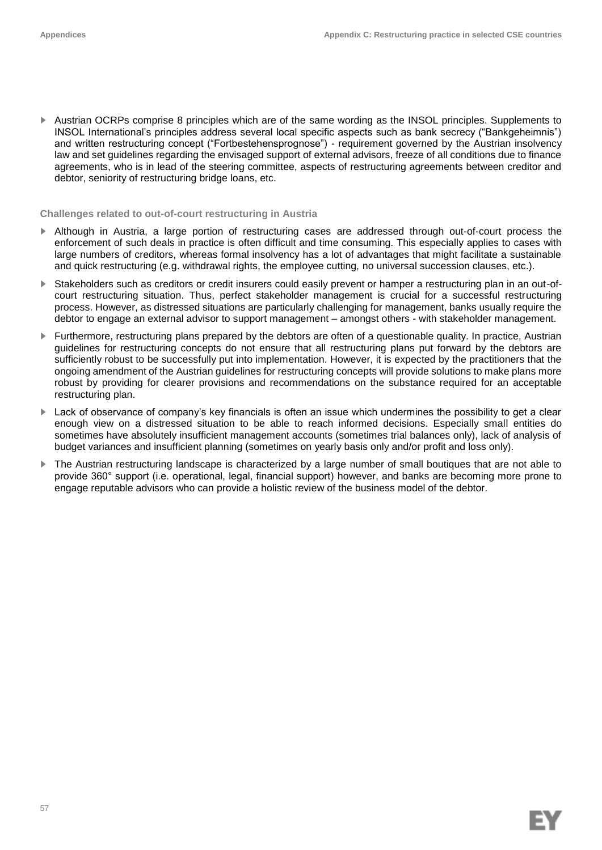► Austrian OCRPs comprise 8 principles which are of the same wording as the INSOL principles. Supplements to INSOL International's principles address several local specific aspects such as bank secrecy ("Bankgeheimnis") and written restructuring concept ("Fortbestehensprognose") - requirement governed by the Austrian insolvency law and set guidelines regarding the envisaged support of external advisors, freeze of all conditions due to finance agreements, who is in lead of the steering committee, aspects of restructuring agreements between creditor and debtor, seniority of restructuring bridge loans, etc.

### **Challenges related to out-of-court restructuring in Austria**

- ► Although in Austria, a large portion of restructuring cases are addressed through out-of-court process the enforcement of such deals in practice is often difficult and time consuming. This especially applies to cases with large numbers of creditors, whereas formal insolvency has a lot of advantages that might facilitate a sustainable and quick restructuring (e.g. withdrawal rights, the employee cutting, no universal succession clauses, etc.).
- ► Stakeholders such as creditors or credit insurers could easily prevent or hamper a restructuring plan in an out-ofcourt restructuring situation. Thus, perfect stakeholder management is crucial for a successful restructuring process. However, as distressed situations are particularly challenging for management, banks usually require the debtor to engage an external advisor to support management – amongst others - with stakeholder management.
- ► Furthermore, restructuring plans prepared by the debtors are often of a questionable quality. In practice, Austrian guidelines for restructuring concepts do not ensure that all restructuring plans put forward by the debtors are sufficiently robust to be successfully put into implementation. However, it is expected by the practitioners that the ongoing amendment of the Austrian guidelines for restructuring concepts will provide solutions to make plans more robust by providing for clearer provisions and recommendations on the substance required for an acceptable restructuring plan.
- ► Lack of observance of company's key financials is often an issue which undermines the possibility to get a clear enough view on a distressed situation to be able to reach informed decisions. Especially small entities do sometimes have absolutely insufficient management accounts (sometimes trial balances only), lack of analysis of budget variances and insufficient planning (sometimes on yearly basis only and/or profit and loss only).
- The Austrian restructuring landscape is characterized by a large number of small boutiques that are not able to provide 360° support (i.e. operational, legal, financial support) however, and banks are becoming more prone to engage reputable advisors who can provide a holistic review of the business model of the debtor.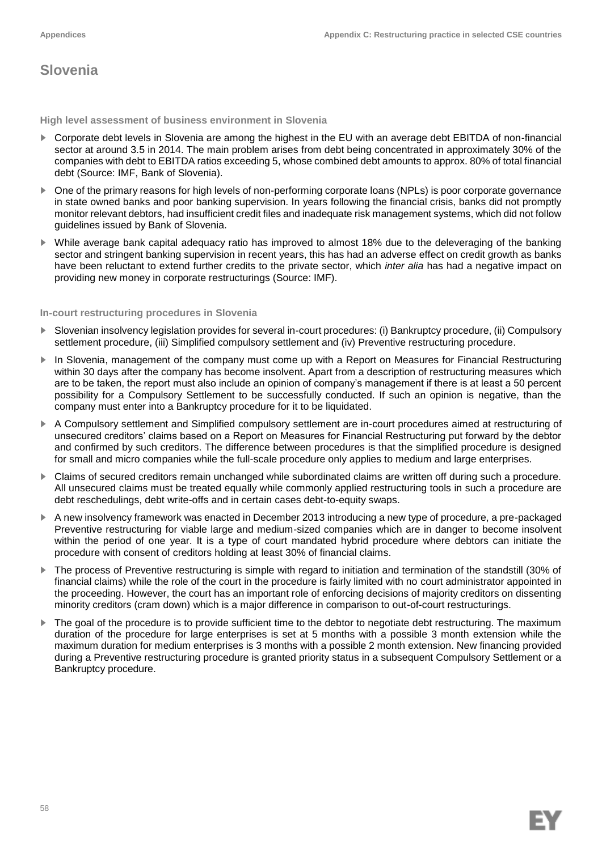## **Slovenia**

**High level assessment of business environment in Slovenia**

- ► Corporate debt levels in Slovenia are among the highest in the EU with an average debt EBITDA of non-financial sector at around 3.5 in 2014. The main problem arises from debt being concentrated in approximately 30% of the companies with debt to EBITDA ratios exceeding 5, whose combined debt amounts to approx. 80% of total financial debt (Source: IMF, Bank of Slovenia).
- One of the primary reasons for high levels of non-performing corporate loans (NPLs) is poor corporate governance in state owned banks and poor banking supervision. In years following the financial crisis, banks did not promptly monitor relevant debtors, had insufficient credit files and inadequate risk management systems, which did not follow guidelines issued by Bank of Slovenia.
- While average bank capital adequacy ratio has improved to almost 18% due to the deleveraging of the banking sector and stringent banking supervision in recent years, this has had an adverse effect on credit growth as banks have been reluctant to extend further credits to the private sector, which *inter alia* has had a negative impact on providing new money in corporate restructurings (Source: IMF).

### **In-court restructuring procedures in Slovenia**

- Slovenian insolvency legislation provides for several in-court procedures: (i) Bankruptcy procedure, (ii) Compulsory settlement procedure, (iii) Simplified compulsory settlement and (iv) Preventive restructuring procedure.
- In Slovenia, management of the company must come up with a Report on Measures for Financial Restructuring within 30 days after the company has become insolvent. Apart from a description of restructuring measures which are to be taken, the report must also include an opinion of company's management if there is at least a 50 percent possibility for a Compulsory Settlement to be successfully conducted. If such an opinion is negative, than the company must enter into a Bankruptcy procedure for it to be liquidated.
- ► A Compulsory settlement and Simplified compulsory settlement are in-court procedures aimed at restructuring of unsecured creditors' claims based on a Report on Measures for Financial Restructuring put forward by the debtor and confirmed by such creditors. The difference between procedures is that the simplified procedure is designed for small and micro companies while the full-scale procedure only applies to medium and large enterprises.
- ► Claims of secured creditors remain unchanged while subordinated claims are written off during such a procedure. All unsecured claims must be treated equally while commonly applied restructuring tools in such a procedure are debt reschedulings, debt write-offs and in certain cases debt-to-equity swaps.
- ► A new insolvency framework was enacted in December 2013 introducing a new type of procedure, a pre-packaged Preventive restructuring for viable large and medium-sized companies which are in danger to become insolvent within the period of one year. It is a type of court mandated hybrid procedure where debtors can initiate the procedure with consent of creditors holding at least 30% of financial claims.
- ► The process of Preventive restructuring is simple with regard to initiation and termination of the standstill (30% of financial claims) while the role of the court in the procedure is fairly limited with no court administrator appointed in the proceeding. However, the court has an important role of enforcing decisions of majority creditors on dissenting minority creditors (cram down) which is a major difference in comparison to out-of-court restructurings.
- The goal of the procedure is to provide sufficient time to the debtor to negotiate debt restructuring. The maximum duration of the procedure for large enterprises is set at 5 months with a possible 3 month extension while the maximum duration for medium enterprises is 3 months with a possible 2 month extension. New financing provided during a Preventive restructuring procedure is granted priority status in a subsequent Compulsory Settlement or a Bankruptcy procedure.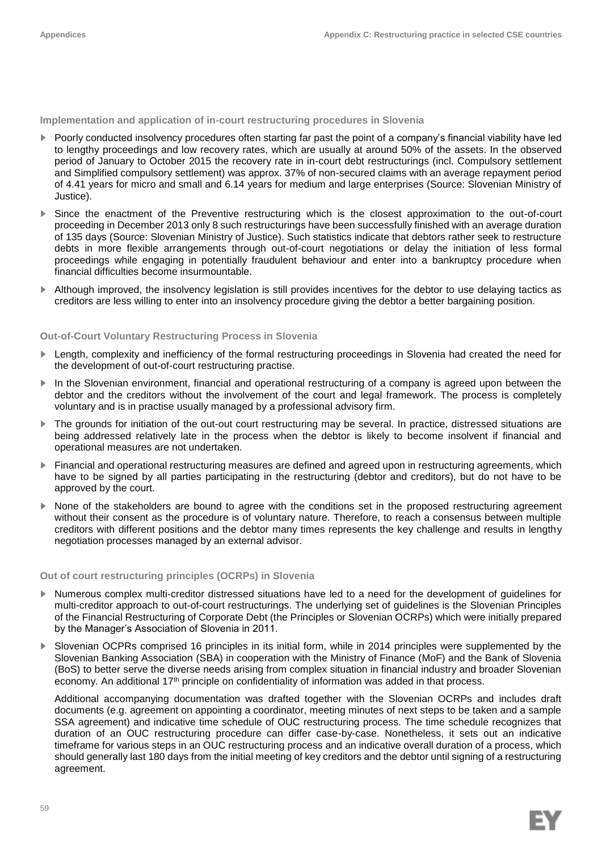**Implementation and application of in-court restructuring procedures in Slovenia**

- ► Poorly conducted insolvency procedures often starting far past the point of a company's financial viability have led to lengthy proceedings and low recovery rates, which are usually at around 50% of the assets. In the observed period of January to October 2015 the recovery rate in in-court debt restructurings (incl. Compulsory settlement and Simplified compulsory settlement) was approx. 37% of non-secured claims with an average repayment period of 4.41 years for micro and small and 6.14 years for medium and large enterprises (Source: Slovenian Ministry of Justice).
- ► Since the enactment of the Preventive restructuring which is the closest approximation to the out-of-court proceeding in December 2013 only 8 such restructurings have been successfully finished with an average duration of 135 days (Source: Slovenian Ministry of Justice). Such statistics indicate that debtors rather seek to restructure debts in more flexible arrangements through out-of-court negotiations or delay the initiation of less formal proceedings while engaging in potentially fraudulent behaviour and enter into a bankruptcy procedure when financial difficulties become insurmountable.
- ► Although improved, the insolvency legislation is still provides incentives for the debtor to use delaying tactics as creditors are less willing to enter into an insolvency procedure giving the debtor a better bargaining position.

## **Out-of-Court Voluntary Restructuring Process in Slovenia**

- ► Length, complexity and inefficiency of the formal restructuring proceedings in Slovenia had created the need for the development of out-of-court restructuring practise.
- ► In the Slovenian environment, financial and operational restructuring of a company is agreed upon between the debtor and the creditors without the involvement of the court and legal framework. The process is completely voluntary and is in practise usually managed by a professional advisory firm.
- ► The grounds for initiation of the out-out court restructuring may be several. In practice, distressed situations are being addressed relatively late in the process when the debtor is likely to become insolvent if financial and operational measures are not undertaken.
- ► Financial and operational restructuring measures are defined and agreed upon in restructuring agreements, which have to be signed by all parties participating in the restructuring (debtor and creditors), but do not have to be approved by the court.
- None of the stakeholders are bound to agree with the conditions set in the proposed restructuring agreement without their consent as the procedure is of voluntary nature. Therefore, to reach a consensus between multiple creditors with different positions and the debtor many times represents the key challenge and results in lengthy negotiation processes managed by an external advisor.

### **Out of court restructuring principles (OCRPs) in Slovenia**

- ► Numerous complex multi-creditor distressed situations have led to a need for the development of guidelines for multi-creditor approach to out-of-court restructurings. The underlying set of guidelines is the Slovenian Principles of the Financial Restructuring of Corporate Debt (the Principles or Slovenian OCRPs) which were initially prepared by the Manager's Association of Slovenia in 2011.
- Slovenian OCPRs comprised 16 principles in its initial form, while in 2014 principles were supplemented by the Slovenian Banking Association (SBA) in cooperation with the Ministry of Finance (MoF) and the Bank of Slovenia (BoS) to better serve the diverse needs arising from complex situation in financial industry and broader Slovenian economy. An additional 17<sup>th</sup> principle on confidentiality of information was added in that process.

Additional accompanying documentation was drafted together with the Slovenian OCRPs and includes draft documents (e.g. agreement on appointing a coordinator, meeting minutes of next steps to be taken and a sample SSA agreement) and indicative time schedule of OUC restructuring process. The time schedule recognizes that duration of an OUC restructuring procedure can differ case-by-case. Nonetheless, it sets out an indicative timeframe for various steps in an OUC restructuring process and an indicative overall duration of a process, which should generally last 180 days from the initial meeting of key creditors and the debtor until signing of a restructuring agreement.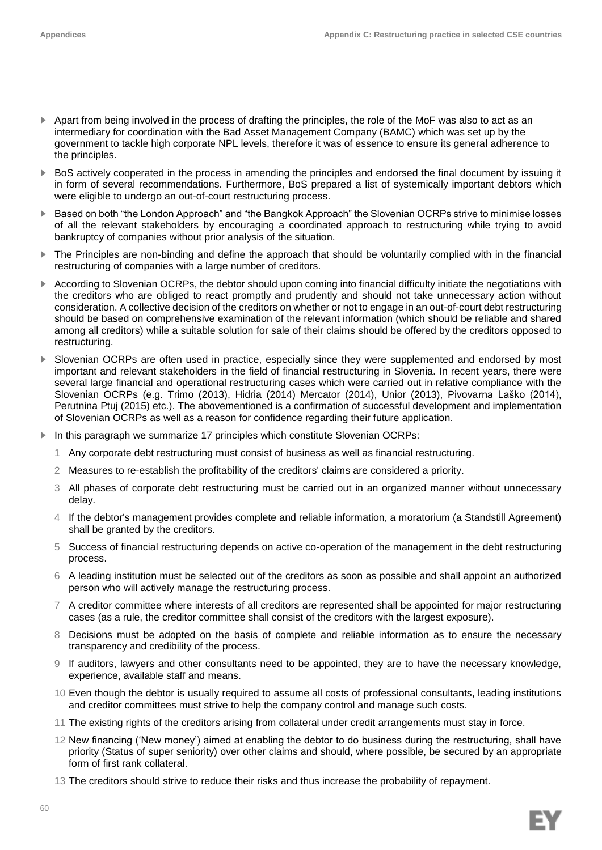- ► Apart from being involved in the process of drafting the principles, the role of the MoF was also to act as an intermediary for coordination with the Bad Asset Management Company (BAMC) which was set up by the government to tackle high corporate NPL levels, therefore it was of essence to ensure its general adherence to the principles.
- ► BoS actively cooperated in the process in amending the principles and endorsed the final document by issuing it in form of several recommendations. Furthermore, BoS prepared a list of systemically important debtors which were eligible to undergo an out-of-court restructuring process.
- ► Based on both "the London Approach" and "the Bangkok Approach" the Slovenian OCRPs strive to minimise losses of all the relevant stakeholders by encouraging a coordinated approach to restructuring while trying to avoid bankruptcy of companies without prior analysis of the situation.
- ► The Principles are non-binding and define the approach that should be voluntarily complied with in the financial restructuring of companies with a large number of creditors.
- ► According to Slovenian OCRPs, the debtor should upon coming into financial difficulty initiate the negotiations with the creditors who are obliged to react promptly and prudently and should not take unnecessary action without consideration. A collective decision of the creditors on whether or not to engage in an out-of-court debt restructuring should be based on comprehensive examination of the relevant information (which should be reliable and shared among all creditors) while a suitable solution for sale of their claims should be offered by the creditors opposed to restructuring.
- Slovenian OCRPs are often used in practice, especially since they were supplemented and endorsed by most important and relevant stakeholders in the field of financial restructuring in Slovenia. In recent years, there were several large financial and operational restructuring cases which were carried out in relative compliance with the Slovenian OCRPs (e.g. Trimo (2013), Hidria (2014) Mercator (2014), Unior (2013), Pivovarna Laško (2014), Perutnina Ptuj (2015) etc.). The abovementioned is a confirmation of successful development and implementation of Slovenian OCRPs as well as a reason for confidence regarding their future application.
- ► In this paragraph we summarize 17 principles which constitute Slovenian OCRPs:
	- 1 Any corporate debt restructuring must consist of business as well as financial restructuring.
	- 2 Measures to re-establish the profitability of the creditors' claims are considered a priority.
	- 3 All phases of corporate debt restructuring must be carried out in an organized manner without unnecessary delay.
	- 4 If the debtor's management provides complete and reliable information, a moratorium (a Standstill Agreement) shall be granted by the creditors.
	- 5 Success of financial restructuring depends on active co-operation of the management in the debt restructuring process.
	- 6 A leading institution must be selected out of the creditors as soon as possible and shall appoint an authorized person who will actively manage the restructuring process.
	- 7 A creditor committee where interests of all creditors are represented shall be appointed for major restructuring cases (as a rule, the creditor committee shall consist of the creditors with the largest exposure).
	- 8 Decisions must be adopted on the basis of complete and reliable information as to ensure the necessary transparency and credibility of the process.
	- 9 If auditors, lawyers and other consultants need to be appointed, they are to have the necessary knowledge, experience, available staff and means.
	- 10 Even though the debtor is usually required to assume all costs of professional consultants, leading institutions and creditor committees must strive to help the company control and manage such costs.
	- 11 The existing rights of the creditors arising from collateral under credit arrangements must stay in force.
	- 12 New financing ('New money') aimed at enabling the debtor to do business during the restructuring, shall have priority (Status of super seniority) over other claims and should, where possible, be secured by an appropriate form of first rank collateral.
	- 13 The creditors should strive to reduce their risks and thus increase the probability of repayment.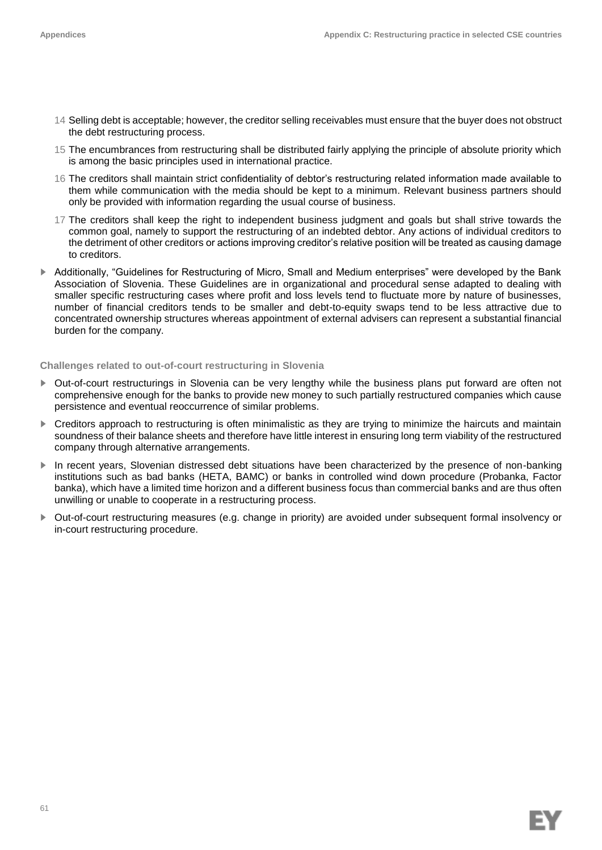- 14 Selling debt is acceptable; however, the creditor selling receivables must ensure that the buyer does not obstruct the debt restructuring process.
- 15 The encumbrances from restructuring shall be distributed fairly applying the principle of absolute priority which is among the basic principles used in international practice.
- 16 The creditors shall maintain strict confidentiality of debtor's restructuring related information made available to them while communication with the media should be kept to a minimum. Relevant business partners should only be provided with information regarding the usual course of business.
- 17 The creditors shall keep the right to independent business judgment and goals but shall strive towards the common goal, namely to support the restructuring of an indebted debtor. Any actions of individual creditors to the detriment of other creditors or actions improving creditor's relative position will be treated as causing damage to creditors.
- ► Additionally, "Guidelines for Restructuring of Micro, Small and Medium enterprises" were developed by the Bank Association of Slovenia. These Guidelines are in organizational and procedural sense adapted to dealing with smaller specific restructuring cases where profit and loss levels tend to fluctuate more by nature of businesses, number of financial creditors tends to be smaller and debt-to-equity swaps tend to be less attractive due to concentrated ownership structures whereas appointment of external advisers can represent a substantial financial burden for the company.

## **Challenges related to out-of-court restructuring in Slovenia**

- ► Out-of-court restructurings in Slovenia can be very lengthy while the business plans put forward are often not comprehensive enough for the banks to provide new money to such partially restructured companies which cause persistence and eventual reoccurrence of similar problems.
- ► Creditors approach to restructuring is often minimalistic as they are trying to minimize the haircuts and maintain soundness of their balance sheets and therefore have little interest in ensuring long term viability of the restructured company through alternative arrangements.
- ► In recent years, Slovenian distressed debt situations have been characterized by the presence of non-banking institutions such as bad banks (HETA, BAMC) or banks in controlled wind down procedure (Probanka, Factor banka), which have a limited time horizon and a different business focus than commercial banks and are thus often unwilling or unable to cooperate in a restructuring process.
- ► Out-of-court restructuring measures (e.g. change in priority) are avoided under subsequent formal insolvency or in-court restructuring procedure.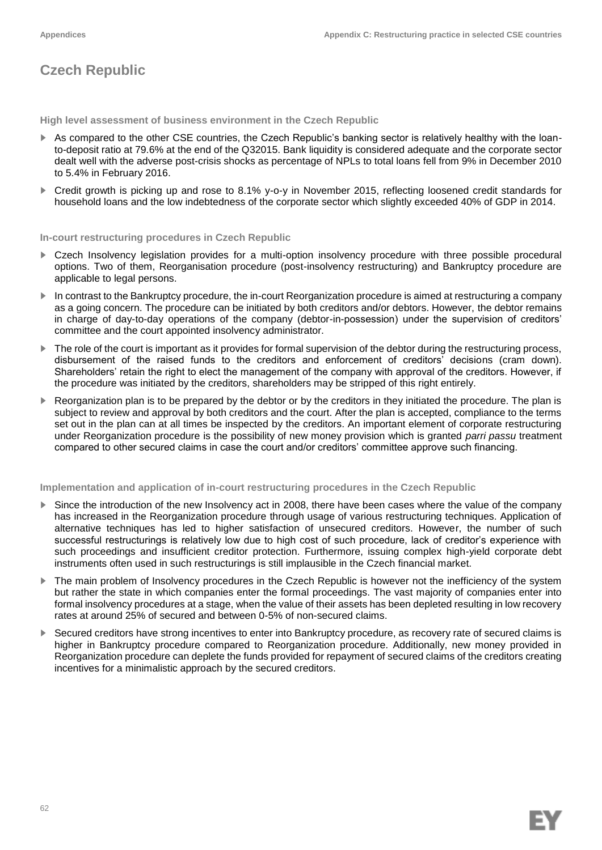# **Czech Republic**

**High level assessment of business environment in the Czech Republic**

- ► As compared to the other CSE countries, the Czech Republic's banking sector is relatively healthy with the loanto-deposit ratio at 79.6% at the end of the Q32015. Bank liquidity is considered adequate and the corporate sector dealt well with the adverse post-crisis shocks as percentage of NPLs to total loans fell from 9% in December 2010 to 5.4% in February 2016.
- ► Credit growth is picking up and rose to 8.1% y-o-y in November 2015, reflecting loosened credit standards for household loans and the low indebtedness of the corporate sector which slightly exceeded 40% of GDP in 2014.

**In-court restructuring procedures in Czech Republic**

- ► Czech Insolvency legislation provides for a multi-option insolvency procedure with three possible procedural options. Two of them, Reorganisation procedure (post-insolvency restructuring) and Bankruptcy procedure are applicable to legal persons.
- ► In contrast to the Bankruptcy procedure, the in-court Reorganization procedure is aimed at restructuring a company as a going concern. The procedure can be initiated by both creditors and/or debtors. However, the debtor remains in charge of day-to-day operations of the company (debtor-in-possession) under the supervision of creditors' committee and the court appointed insolvency administrator.
- The role of the court is important as it provides for formal supervision of the debtor during the restructuring process, disbursement of the raised funds to the creditors and enforcement of creditors' decisions (cram down). Shareholders' retain the right to elect the management of the company with approval of the creditors. However, if the procedure was initiated by the creditors, shareholders may be stripped of this right entirely.
- ► Reorganization plan is to be prepared by the debtor or by the creditors in they initiated the procedure. The plan is subject to review and approval by both creditors and the court. After the plan is accepted, compliance to the terms set out in the plan can at all times be inspected by the creditors. An important element of corporate restructuring under Reorganization procedure is the possibility of new money provision which is granted *parri passu* treatment compared to other secured claims in case the court and/or creditors' committee approve such financing.

## **Implementation and application of in-court restructuring procedures in the Czech Republic**

- ► Since the introduction of the new Insolvency act in 2008, there have been cases where the value of the company has increased in the Reorganization procedure through usage of various restructuring techniques. Application of alternative techniques has led to higher satisfaction of unsecured creditors. However, the number of such successful restructurings is relatively low due to high cost of such procedure, lack of creditor's experience with such proceedings and insufficient creditor protection. Furthermore, issuing complex high-yield corporate debt instruments often used in such restructurings is still implausible in the Czech financial market.
- The main problem of Insolvency procedures in the Czech Republic is however not the inefficiency of the system but rather the state in which companies enter the formal proceedings. The vast majority of companies enter into formal insolvency procedures at a stage, when the value of their assets has been depleted resulting in low recovery rates at around 25% of secured and between 0-5% of non-secured claims.
- ► Secured creditors have strong incentives to enter into Bankruptcy procedure, as recovery rate of secured claims is higher in Bankruptcy procedure compared to Reorganization procedure. Additionally, new money provided in Reorganization procedure can deplete the funds provided for repayment of secured claims of the creditors creating incentives for a minimalistic approach by the secured creditors.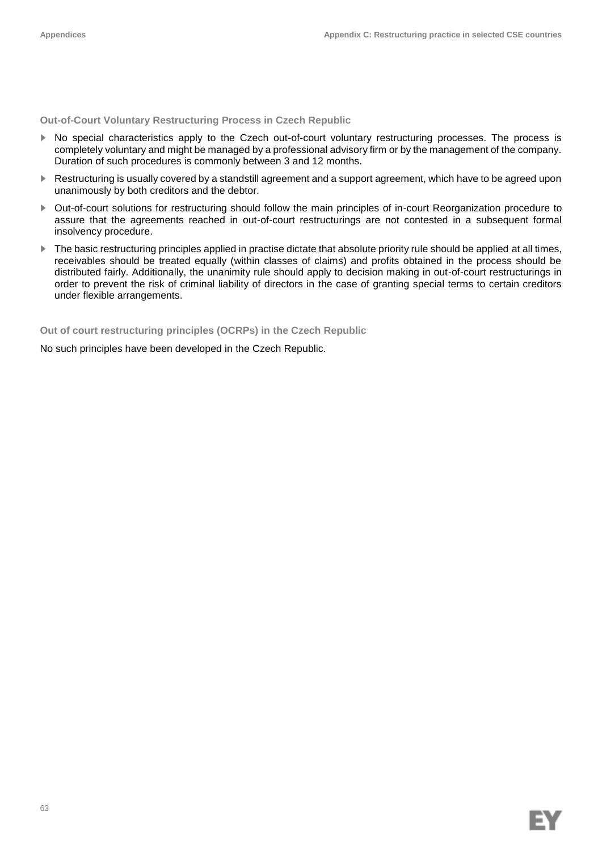**Out-of-Court Voluntary Restructuring Process in Czech Republic**

- ► No special characteristics apply to the Czech out-of-court voluntary restructuring processes. The process is completely voluntary and might be managed by a professional advisory firm or by the management of the company. Duration of such procedures is commonly between 3 and 12 months.
- ► Restructuring is usually covered by a standstill agreement and a support agreement, which have to be agreed upon unanimously by both creditors and the debtor.
- ► Out-of-court solutions for restructuring should follow the main principles of in-court Reorganization procedure to assure that the agreements reached in out-of-court restructurings are not contested in a subsequent formal insolvency procedure.
- ► The basic restructuring principles applied in practise dictate that absolute priority rule should be applied at all times, receivables should be treated equally (within classes of claims) and profits obtained in the process should be distributed fairly. Additionally, the unanimity rule should apply to decision making in out-of-court restructurings in order to prevent the risk of criminal liability of directors in the case of granting special terms to certain creditors under flexible arrangements.

**Out of court restructuring principles (OCRPs) in the Czech Republic**

No such principles have been developed in the Czech Republic.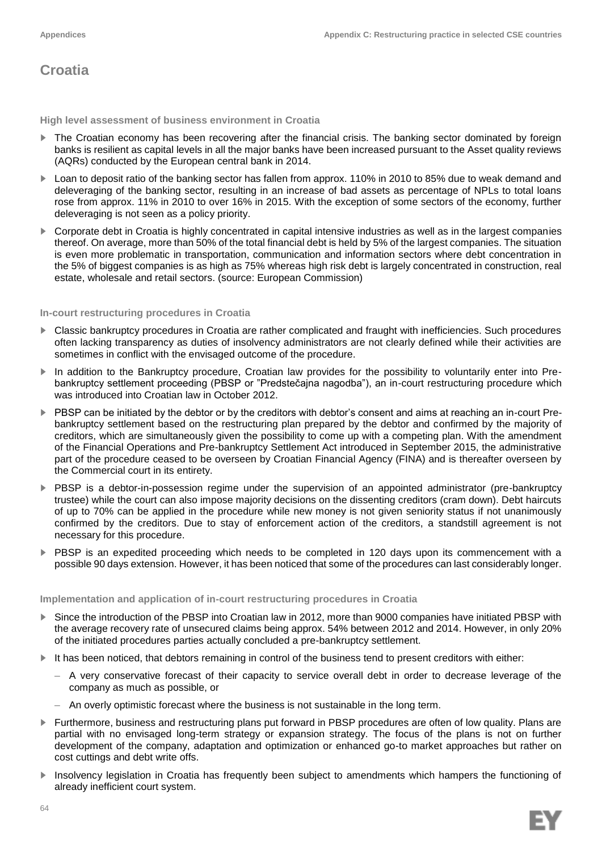## **Croatia**

**High level assessment of business environment in Croatia**

- ► The Croatian economy has been recovering after the financial crisis. The banking sector dominated by foreign banks is resilient as capital levels in all the major banks have been increased pursuant to the Asset quality reviews (AQRs) conducted by the European central bank in 2014.
- ► Loan to deposit ratio of the banking sector has fallen from approx. 110% in 2010 to 85% due to weak demand and deleveraging of the banking sector, resulting in an increase of bad assets as percentage of NPLs to total loans rose from approx. 11% in 2010 to over 16% in 2015. With the exception of some sectors of the economy, further deleveraging is not seen as a policy priority.
- ► Corporate debt in Croatia is highly concentrated in capital intensive industries as well as in the largest companies thereof. On average, more than 50% of the total financial debt is held by 5% of the largest companies. The situation is even more problematic in transportation, communication and information sectors where debt concentration in the 5% of biggest companies is as high as 75% whereas high risk debt is largely concentrated in construction, real estate, wholesale and retail sectors. (source: European Commission)

### **In-court restructuring procedures in Croatia**

- ► Classic bankruptcy procedures in Croatia are rather complicated and fraught with inefficiencies. Such procedures often lacking transparency as duties of insolvency administrators are not clearly defined while their activities are sometimes in conflict with the envisaged outcome of the procedure.
- ► In addition to the Bankruptcy procedure, Croatian law provides for the possibility to voluntarily enter into Prebankruptcy settlement proceeding (PBSP or "Predstečajna nagodba"), an in-court restructuring procedure which was introduced into Croatian law in October 2012.
- ► PBSP can be initiated by the debtor or by the creditors with debtor's consent and aims at reaching an in-court Prebankruptcy settlement based on the restructuring plan prepared by the debtor and confirmed by the majority of creditors, which are simultaneously given the possibility to come up with a competing plan. With the amendment of the Financial Operations and Pre-bankruptcy Settlement Act introduced in September 2015, the administrative part of the procedure ceased to be overseen by Croatian Financial Agency (FINA) and is thereafter overseen by the Commercial court in its entirety.
- ► PBSP is a debtor-in-possession regime under the supervision of an appointed administrator (pre-bankruptcy trustee) while the court can also impose majority decisions on the dissenting creditors (cram down). Debt haircuts of up to 70% can be applied in the procedure while new money is not given seniority status if not unanimously confirmed by the creditors. Due to stay of enforcement action of the creditors, a standstill agreement is not necessary for this procedure.
- ► PBSP is an expedited proceeding which needs to be completed in 120 days upon its commencement with a possible 90 days extension. However, it has been noticed that some of the procedures can last considerably longer.

#### **Implementation and application of in-court restructuring procedures in Croatia**

- Since the introduction of the PBSP into Croatian law in 2012, more than 9000 companies have initiated PBSP with the average recovery rate of unsecured claims being approx. 54% between 2012 and 2014. However, in only 20% of the initiated procedures parties actually concluded a pre-bankruptcy settlement.
- ► It has been noticed, that debtors remaining in control of the business tend to present creditors with either:
	- A very conservative forecast of their capacity to service overall debt in order to decrease leverage of the company as much as possible, or
	- An overly optimistic forecast where the business is not sustainable in the long term.
- ► Furthermore, business and restructuring plans put forward in PBSP procedures are often of low quality. Plans are partial with no envisaged long-term strategy or expansion strategy. The focus of the plans is not on further development of the company, adaptation and optimization or enhanced go-to market approaches but rather on cost cuttings and debt write offs.
- ► Insolvency legislation in Croatia has frequently been subject to amendments which hampers the functioning of already inefficient court system.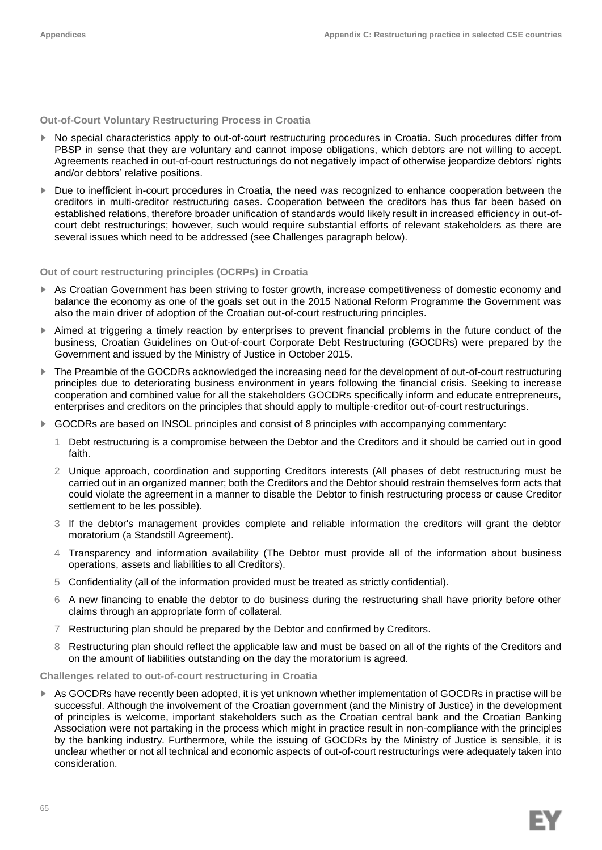## **Out-of-Court Voluntary Restructuring Process in Croatia**

- ► No special characteristics apply to out-of-court restructuring procedures in Croatia. Such procedures differ from PBSP in sense that they are voluntary and cannot impose obligations, which debtors are not willing to accept. Agreements reached in out-of-court restructurings do not negatively impact of otherwise jeopardize debtors' rights and/or debtors' relative positions.
- ► Due to inefficient in-court procedures in Croatia, the need was recognized to enhance cooperation between the creditors in multi-creditor restructuring cases. Cooperation between the creditors has thus far been based on established relations, therefore broader unification of standards would likely result in increased efficiency in out-ofcourt debt restructurings; however, such would require substantial efforts of relevant stakeholders as there are several issues which need to be addressed (see Challenges paragraph below).

### **Out of court restructuring principles (OCRPs) in Croatia**

- ▶ As Croatian Government has been striving to foster growth, increase competitiveness of domestic economy and balance the economy as one of the goals set out in the 2015 National Reform Programme the Government was also the main driver of adoption of the Croatian out-of-court restructuring principles.
- ► Aimed at triggering a timely reaction by enterprises to prevent financial problems in the future conduct of the business, Croatian Guidelines on Out-of-court Corporate Debt Restructuring (GOCDRs) were prepared by the Government and issued by the Ministry of Justice in October 2015.
- ► The Preamble of the GOCDRs acknowledged the increasing need for the development of out-of-court restructuring principles due to deteriorating business environment in years following the financial crisis. Seeking to increase cooperation and combined value for all the stakeholders GOCDRs specifically inform and educate entrepreneurs, enterprises and creditors on the principles that should apply to multiple-creditor out-of-court restructurings.
- ► GOCDRs are based on INSOL principles and consist of 8 principles with accompanying commentary:
	- 1 Debt restructuring is a compromise between the Debtor and the Creditors and it should be carried out in good faith.
	- 2 Unique approach, coordination and supporting Creditors interests (All phases of debt restructuring must be carried out in an organized manner; both the Creditors and the Debtor should restrain themselves form acts that could violate the agreement in a manner to disable the Debtor to finish restructuring process or cause Creditor settlement to be les possible).
	- 3 If the debtor's management provides complete and reliable information the creditors will grant the debtor moratorium (a Standstill Agreement).
	- 4 Transparency and information availability (The Debtor must provide all of the information about business operations, assets and liabilities to all Creditors).
	- 5 Confidentiality (all of the information provided must be treated as strictly confidential).
	- 6 A new financing to enable the debtor to do business during the restructuring shall have priority before other claims through an appropriate form of collateral.
	- 7 Restructuring plan should be prepared by the Debtor and confirmed by Creditors.
	- 8 Restructuring plan should reflect the applicable law and must be based on all of the rights of the Creditors and on the amount of liabilities outstanding on the day the moratorium is agreed.

#### **Challenges related to out-of-court restructuring in Croatia**

► As GOCDRs have recently been adopted, it is yet unknown whether implementation of GOCDRs in practise will be successful. Although the involvement of the Croatian government (and the Ministry of Justice) in the development of principles is welcome, important stakeholders such as the Croatian central bank and the Croatian Banking Association were not partaking in the process which might in practice result in non-compliance with the principles by the banking industry. Furthermore, while the issuing of GOCDRs by the Ministry of Justice is sensible, it is unclear whether or not all technical and economic aspects of out-of-court restructurings were adequately taken into consideration.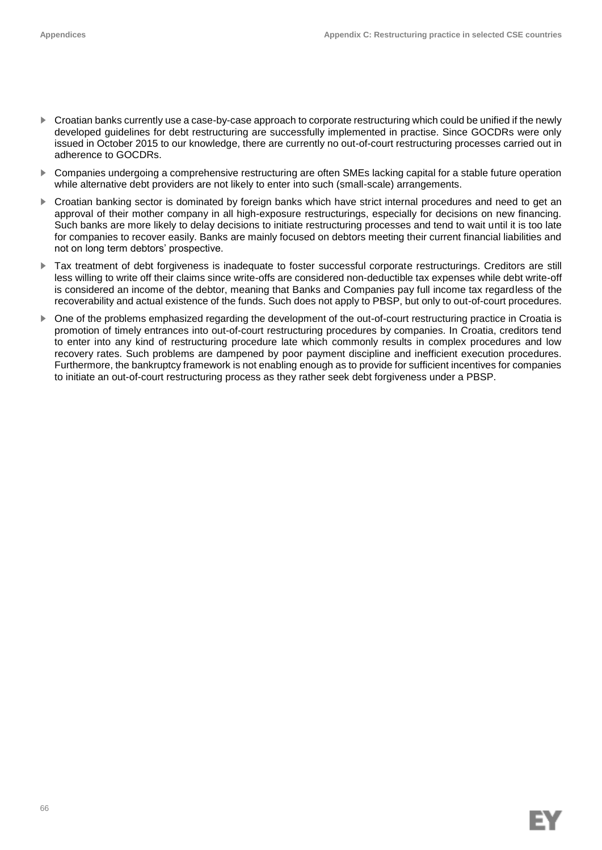- ► Croatian banks currently use a case-by-case approach to corporate restructuring which could be unified if the newly developed guidelines for debt restructuring are successfully implemented in practise. Since GOCDRs were only issued in October 2015 to our knowledge, there are currently no out-of-court restructuring processes carried out in adherence to GOCDRs.
- ► Companies undergoing a comprehensive restructuring are often SMEs lacking capital for a stable future operation while alternative debt providers are not likely to enter into such (small-scale) arrangements.
- ► Croatian banking sector is dominated by foreign banks which have strict internal procedures and need to get an approval of their mother company in all high-exposure restructurings, especially for decisions on new financing. Such banks are more likely to delay decisions to initiate restructuring processes and tend to wait until it is too late for companies to recover easily. Banks are mainly focused on debtors meeting their current financial liabilities and not on long term debtors' prospective.
- Tax treatment of debt forgiveness is inadequate to foster successful corporate restructurings. Creditors are still less willing to write off their claims since write-offs are considered non-deductible tax expenses while debt write-off is considered an income of the debtor, meaning that Banks and Companies pay full income tax regardless of the recoverability and actual existence of the funds. Such does not apply to PBSP, but only to out-of-court procedures.
- ► One of the problems emphasized regarding the development of the out-of-court restructuring practice in Croatia is promotion of timely entrances into out-of-court restructuring procedures by companies. In Croatia, creditors tend to enter into any kind of restructuring procedure late which commonly results in complex procedures and low recovery rates. Such problems are dampened by poor payment discipline and inefficient execution procedures. Furthermore, the bankruptcy framework is not enabling enough as to provide for sufficient incentives for companies to initiate an out-of-court restructuring process as they rather seek debt forgiveness under a PBSP.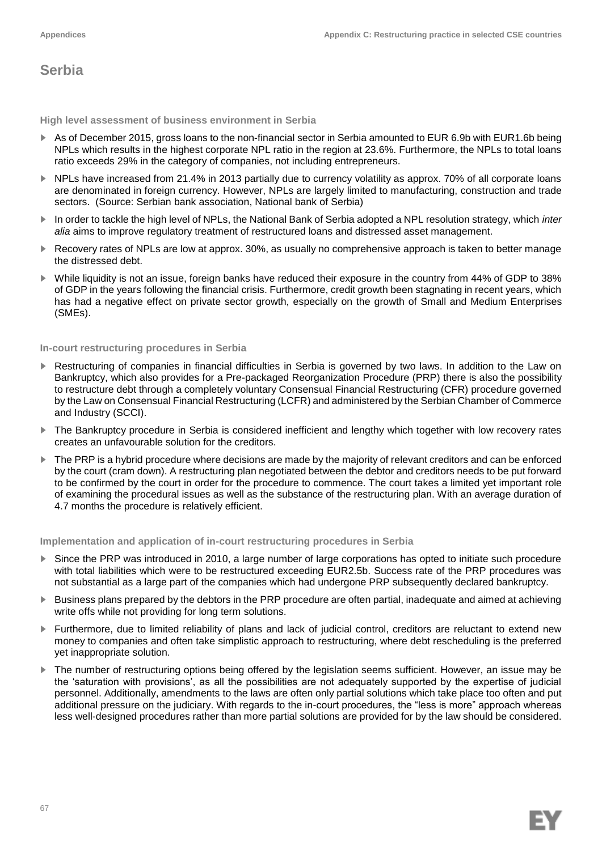## **Serbia**

**High level assessment of business environment in Serbia**

- ► As of December 2015, gross loans to the non-financial sector in Serbia amounted to EUR 6.9b with EUR1.6b being NPLs which results in the highest corporate NPL ratio in the region at 23.6%. Furthermore, the NPLs to total loans ratio exceeds 29% in the category of companies, not including entrepreneurs.
- ► NPLs have increased from 21.4% in 2013 partially due to currency volatility as approx. 70% of all corporate loans are denominated in foreign currency. However, NPLs are largely limited to manufacturing, construction and trade sectors. (Source: Serbian bank association, National bank of Serbia)
- ► In order to tackle the high level of NPLs, the National Bank of Serbia adopted a NPL resolution strategy, which *inter alia* aims to improve regulatory treatment of restructured loans and distressed asset management.
- ► Recovery rates of NPLs are low at approx. 30%, as usually no comprehensive approach is taken to better manage the distressed debt.
- ► While liquidity is not an issue, foreign banks have reduced their exposure in the country from 44% of GDP to 38% of GDP in the years following the financial crisis. Furthermore, credit growth been stagnating in recent years, which has had a negative effect on private sector growth, especially on the growth of Small and Medium Enterprises (SMEs).

## **In-court restructuring procedures in Serbia**

- Restructuring of companies in financial difficulties in Serbia is governed by two laws. In addition to the Law on Bankruptcy, which also provides for a Pre-packaged Reorganization Procedure (PRP) there is also the possibility to restructure debt through a completely voluntary Consensual Financial Restructuring (CFR) procedure governed by the Law on Consensual Financial Restructuring (LCFR) and administered by the Serbian Chamber of Commerce and Industry (SCCI).
- The Bankruptcy procedure in Serbia is considered inefficient and lengthy which together with low recovery rates creates an unfavourable solution for the creditors.
- ► The PRP is a hybrid procedure where decisions are made by the majority of relevant creditors and can be enforced by the court (cram down). A restructuring plan negotiated between the debtor and creditors needs to be put forward to be confirmed by the court in order for the procedure to commence. The court takes a limited yet important role of examining the procedural issues as well as the substance of the restructuring plan. With an average duration of 4.7 months the procedure is relatively efficient.

## **Implementation and application of in-court restructuring procedures in Serbia**

- Since the PRP was introduced in 2010, a large number of large corporations has opted to initiate such procedure with total liabilities which were to be restructured exceeding EUR2.5b. Success rate of the PRP procedures was not substantial as a large part of the companies which had undergone PRP subsequently declared bankruptcy.
- ► Business plans prepared by the debtors in the PRP procedure are often partial, inadequate and aimed at achieving write offs while not providing for long term solutions.
- ► Furthermore, due to limited reliability of plans and lack of judicial control, creditors are reluctant to extend new money to companies and often take simplistic approach to restructuring, where debt rescheduling is the preferred yet inappropriate solution.
- ► The number of restructuring options being offered by the legislation seems sufficient. However, an issue may be the 'saturation with provisions', as all the possibilities are not adequately supported by the expertise of judicial personnel. Additionally, amendments to the laws are often only partial solutions which take place too often and put additional pressure on the judiciary. With regards to the in-court procedures, the "less is more" approach whereas less well-designed procedures rather than more partial solutions are provided for by the law should be considered.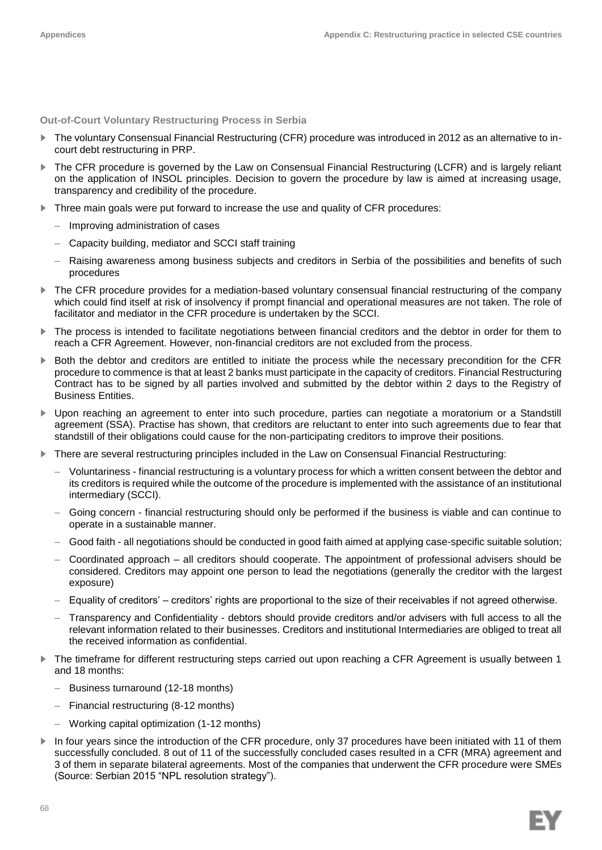**Out-of-Court Voluntary Restructuring Process in Serbia**

- ► The voluntary Consensual Financial Restructuring (CFR) procedure was introduced in 2012 as an alternative to incourt debt restructuring in PRP.
- The CFR procedure is governed by the Law on Consensual Financial Restructuring (LCFR) and is largely reliant on the application of INSOL principles. Decision to govern the procedure by law is aimed at increasing usage, transparency and credibility of the procedure.
- ► Three main goals were put forward to increase the use and quality of CFR procedures:
	- Improving administration of cases
	- Capacity building, mediator and SCCI staff training
	- Raising awareness among business subjects and creditors in Serbia of the possibilities and benefits of such procedures
- ► The CFR procedure provides for a mediation-based voluntary consensual financial restructuring of the company which could find itself at risk of insolvency if prompt financial and operational measures are not taken. The role of facilitator and mediator in the CFR procedure is undertaken by the SCCI.
- ► The process is intended to facilitate negotiations between financial creditors and the debtor in order for them to reach a CFR Agreement. However, non-financial creditors are not excluded from the process.
- ► Both the debtor and creditors are entitled to initiate the process while the necessary precondition for the CFR procedure to commence is that at least 2 banks must participate in the capacity of creditors. Financial Restructuring Contract has to be signed by all parties involved and submitted by the debtor within 2 days to the Registry of Business Entities.
- ▶ Upon reaching an agreement to enter into such procedure, parties can negotiate a moratorium or a Standstill agreement (SSA). Practise has shown, that creditors are reluctant to enter into such agreements due to fear that standstill of their obligations could cause for the non-participating creditors to improve their positions.
- ► There are several restructuring principles included in the Law on Consensual Financial Restructuring:
	- Voluntariness financial restructuring is a voluntary process for which a written consent between the debtor and its creditors is required while the outcome of the procedure is implemented with the assistance of an institutional intermediary (SCCI).
	- Going concern financial restructuring should only be performed if the business is viable and can continue to operate in a sustainable manner.
	- Good faith all negotiations should be conducted in good faith aimed at applying case-specific suitable solution;
	- Coordinated approach all creditors should cooperate. The appointment of professional advisers should be considered. Creditors may appoint one person to lead the negotiations (generally the creditor with the largest exposure)
	- Equality of creditors' creditors' rights are proportional to the size of their receivables if not agreed otherwise.
	- Transparency and Confidentiality debtors should provide creditors and/or advisers with full access to all the relevant information related to their businesses. Creditors and institutional Intermediaries are obliged to treat all the received information as confidential.
- ► The timeframe for different restructuring steps carried out upon reaching a CFR Agreement is usually between 1 and 18 months:
	- Business turnaround (12-18 months)
	- Financial restructuring (8-12 months)
	- Working capital optimization (1-12 months)
- ► In four years since the introduction of the CFR procedure, only 37 procedures have been initiated with 11 of them successfully concluded. 8 out of 11 of the successfully concluded cases resulted in a CFR (MRA) agreement and 3 of them in separate bilateral agreements. Most of the companies that underwent the CFR procedure were SMEs (Source: Serbian 2015 "NPL resolution strategy").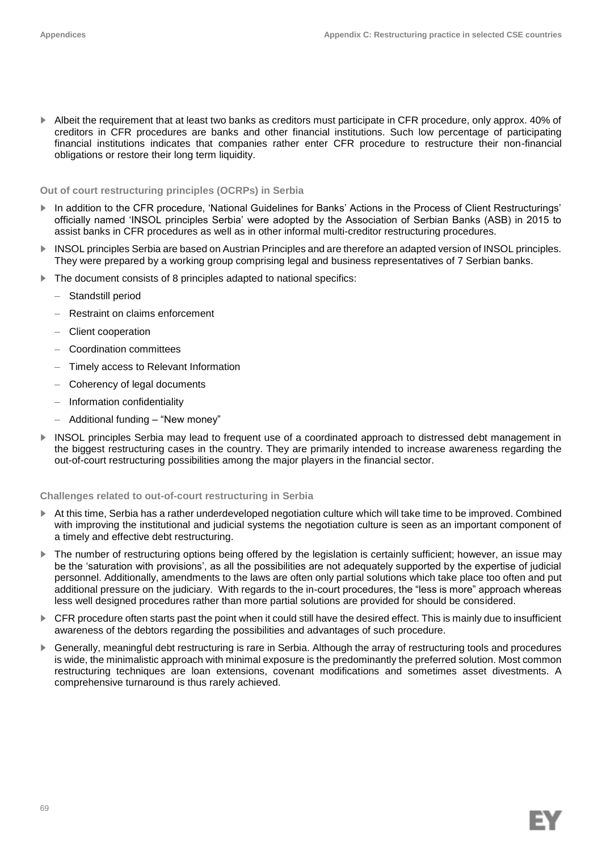► Albeit the requirement that at least two banks as creditors must participate in CFR procedure, only approx. 40% of creditors in CFR procedures are banks and other financial institutions. Such low percentage of participating financial institutions indicates that companies rather enter CFR procedure to restructure their non-financial obligations or restore their long term liquidity.

### **Out of court restructuring principles (OCRPs) in Serbia**

- In addition to the CFR procedure, 'National Guidelines for Banks' Actions in the Process of Client Restructurings' officially named 'INSOL principles Serbia' were adopted by the Association of Serbian Banks (ASB) in 2015 to assist banks in CFR procedures as well as in other informal multi-creditor restructuring procedures.
- ► INSOL principles Serbia are based on Austrian Principles and are therefore an adapted version of INSOL principles. They were prepared by a working group comprising legal and business representatives of 7 Serbian banks.
- ► The document consists of 8 principles adapted to national specifics:
	- Standstill period
	- Restraint on claims enforcement
	- Client cooperation
	- Coordination committees
	- Timely access to Relevant Information
	- Coherency of legal documents
	- Information confidentiality
	- Additional funding "New money"
- INSOL principles Serbia may lead to frequent use of a coordinated approach to distressed debt management in the biggest restructuring cases in the country. They are primarily intended to increase awareness regarding the out-of-court restructuring possibilities among the major players in the financial sector.

## **Challenges related to out-of-court restructuring in Serbia**

- ► At this time, Serbia has a rather underdeveloped negotiation culture which will take time to be improved. Combined with improving the institutional and judicial systems the negotiation culture is seen as an important component of a timely and effective debt restructuring.
- ► The number of restructuring options being offered by the legislation is certainly sufficient; however, an issue may be the 'saturation with provisions', as all the possibilities are not adequately supported by the expertise of judicial personnel. Additionally, amendments to the laws are often only partial solutions which take place too often and put additional pressure on the judiciary. With regards to the in-court procedures, the "less is more" approach whereas less well designed procedures rather than more partial solutions are provided for should be considered.
- ► CFR procedure often starts past the point when it could still have the desired effect. This is mainly due to insufficient awareness of the debtors regarding the possibilities and advantages of such procedure.
- ► Generally, meaningful debt restructuring is rare in Serbia. Although the array of restructuring tools and procedures is wide, the minimalistic approach with minimal exposure is the predominantly the preferred solution. Most common restructuring techniques are loan extensions, covenant modifications and sometimes asset divestments. A comprehensive turnaround is thus rarely achieved.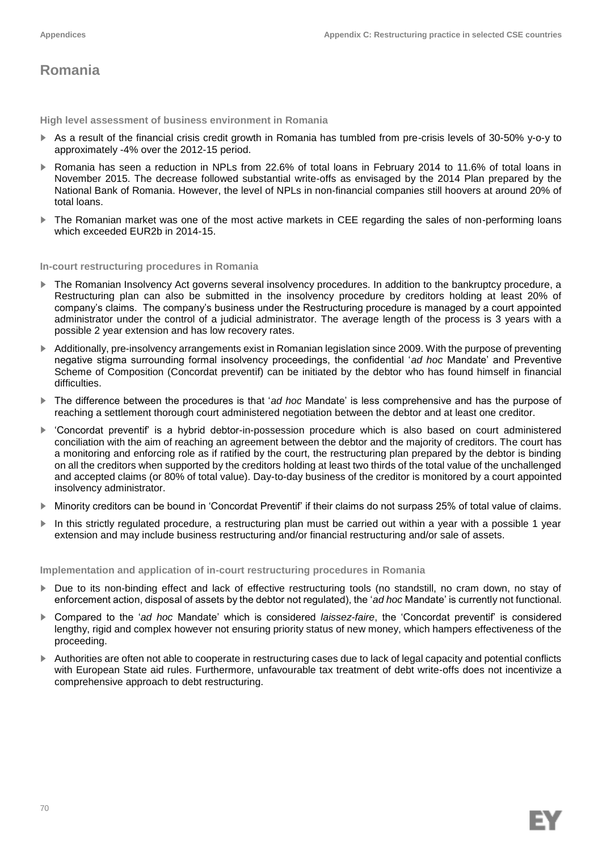## **Romania**

**High level assessment of business environment in Romania**

- ► As a result of the financial crisis credit growth in Romania has tumbled from pre-crisis levels of 30-50% y-o-y to approximately -4% over the 2012-15 period.
- ► Romania has seen a reduction in NPLs from 22.6% of total loans in February 2014 to 11.6% of total loans in November 2015. The decrease followed substantial write-offs as envisaged by the 2014 Plan prepared by the National Bank of Romania. However, the level of NPLs in non-financial companies still hoovers at around 20% of total loans.
- ► The Romanian market was one of the most active markets in CEE regarding the sales of non-performing loans which exceeded EUR2b in 2014-15.

#### **In-court restructuring procedures in Romania**

- ► The Romanian Insolvency Act governs several insolvency procedures. In addition to the bankruptcy procedure, a Restructuring plan can also be submitted in the insolvency procedure by creditors holding at least 20% of company's claims. The company's business under the Restructuring procedure is managed by a court appointed administrator under the control of a judicial administrator. The average length of the process is 3 years with a possible 2 year extension and has low recovery rates.
- ► Additionally, pre-insolvency arrangements exist in Romanian legislation since 2009. With the purpose of preventing negative stigma surrounding formal insolvency proceedings, the confidential '*ad hoc* Mandate' and Preventive Scheme of Composition (Concordat preventif) can be initiated by the debtor who has found himself in financial difficulties.
- ► The difference between the procedures is that '*ad hoc* Mandate' is less comprehensive and has the purpose of reaching a settlement thorough court administered negotiation between the debtor and at least one creditor.
- ► 'Concordat preventif' is a hybrid debtor-in-possession procedure which is also based on court administered conciliation with the aim of reaching an agreement between the debtor and the majority of creditors. The court has a monitoring and enforcing role as if ratified by the court, the restructuring plan prepared by the debtor is binding on all the creditors when supported by the creditors holding at least two thirds of the total value of the unchallenged and accepted claims (or 80% of total value). Day-to-day business of the creditor is monitored by a court appointed insolvency administrator.
- ► Minority creditors can be bound in 'Concordat Preventif' if their claims do not surpass 25% of total value of claims.
- In this strictly regulated procedure, a restructuring plan must be carried out within a year with a possible 1 year extension and may include business restructuring and/or financial restructuring and/or sale of assets.

**Implementation and application of in-court restructuring procedures in Romania**

- ► Due to its non-binding effect and lack of effective restructuring tools (no standstill, no cram down, no stay of enforcement action, disposal of assets by the debtor not regulated), the '*ad hoc* Mandate' is currently not functional.
- ► Compared to the '*ad hoc* Mandate' which is considered *laissez-faire*, the 'Concordat preventif' is considered lengthy, rigid and complex however not ensuring priority status of new money, which hampers effectiveness of the proceeding.
- ► Authorities are often not able to cooperate in restructuring cases due to lack of legal capacity and potential conflicts with European State aid rules. Furthermore, unfavourable tax treatment of debt write-offs does not incentivize a comprehensive approach to debt restructuring.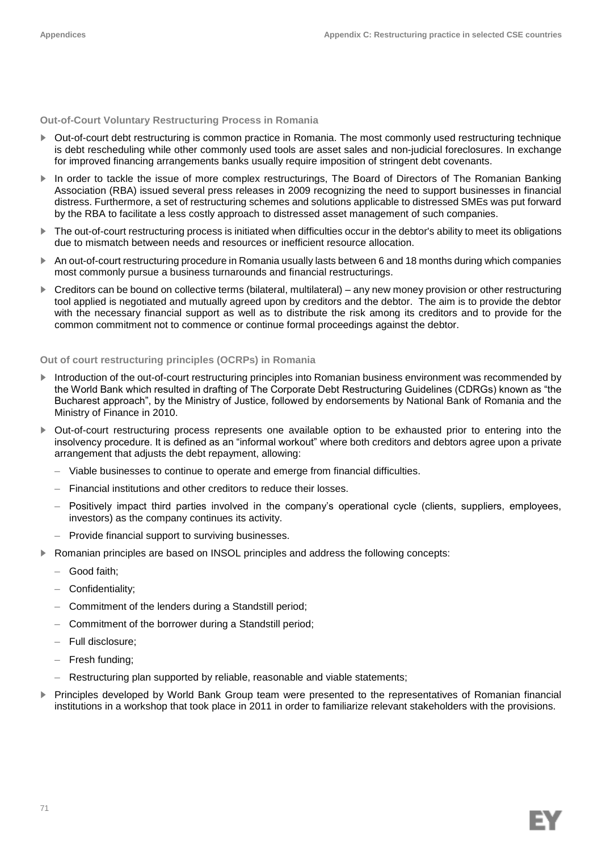## **Out-of-Court Voluntary Restructuring Process in Romania**

- ► Out-of-court debt restructuring is common practice in Romania. The most commonly used restructuring technique is debt rescheduling while other commonly used tools are asset sales and non-judicial foreclosures. In exchange for improved financing arrangements banks usually require imposition of stringent debt covenants.
- ▶ In order to tackle the issue of more complex restructurings, The Board of Directors of The Romanian Banking Association (RBA) issued several press releases in 2009 recognizing the need to support businesses in financial distress. Furthermore, a set of restructuring schemes and solutions applicable to distressed SMEs was put forward by the RBA to facilitate a less costly approach to distressed asset management of such companies.
- ► The out-of-court restructuring process is initiated when difficulties occur in the debtor's ability to meet its obligations due to mismatch between needs and resources or inefficient resource allocation.
- ► An out-of-court restructuring procedure in Romania usually lasts between 6 and 18 months during which companies most commonly pursue a business turnarounds and financial restructurings.
- ► Creditors can be bound on collective terms (bilateral, multilateral) any new money provision or other restructuring tool applied is negotiated and mutually agreed upon by creditors and the debtor. The aim is to provide the debtor with the necessary financial support as well as to distribute the risk among its creditors and to provide for the common commitment not to commence or continue formal proceedings against the debtor.

## **Out of court restructuring principles (OCRPs) in Romania**

- ► Introduction of the out-of-court restructuring principles into Romanian business environment was recommended by the World Bank which resulted in drafting of The Corporate Debt Restructuring Guidelines (CDRGs) known as "the Bucharest approach", by the Ministry of Justice, followed by endorsements by National Bank of Romania and the Ministry of Finance in 2010.
- ► Out-of-court restructuring process represents one available option to be exhausted prior to entering into the insolvency procedure. It is defined as an "informal workout" where both creditors and debtors agree upon a private arrangement that adjusts the debt repayment, allowing:
	- Viable businesses to continue to operate and emerge from financial difficulties.
	- Financial institutions and other creditors to reduce their losses.
	- Positively impact third parties involved in the company's operational cycle (clients, suppliers, employees, investors) as the company continues its activity.
	- Provide financial support to surviving businesses.
- ▶ Romanian principles are based on INSOL principles and address the following concepts:
	- Good faith;
	- Confidentiality;
	- Commitment of the lenders during a Standstill period;
	- Commitment of the borrower during a Standstill period;
	- Full disclosure;
	- Fresh funding;
	- Restructuring plan supported by reliable, reasonable and viable statements;
- Principles developed by World Bank Group team were presented to the representatives of Romanian financial institutions in a workshop that took place in 2011 in order to familiarize relevant stakeholders with the provisions.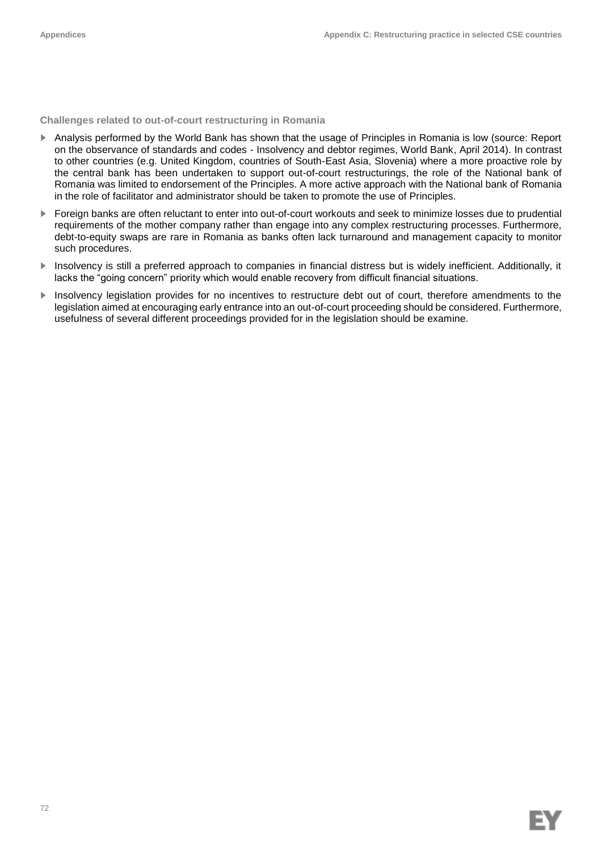**Challenges related to out-of-court restructuring in Romania**

- ► Analysis performed by the World Bank has shown that the usage of Principles in Romania is low (source: Report on the observance of standards and codes - Insolvency and debtor regimes, World Bank, April 2014). In contrast to other countries (e.g. United Kingdom, countries of South-East Asia, Slovenia) where a more proactive role by the central bank has been undertaken to support out-of-court restructurings, the role of the National bank of Romania was limited to endorsement of the Principles. A more active approach with the National bank of Romania in the role of facilitator and administrator should be taken to promote the use of Principles.
- ► Foreign banks are often reluctant to enter into out-of-court workouts and seek to minimize losses due to prudential requirements of the mother company rather than engage into any complex restructuring processes. Furthermore, debt-to-equity swaps are rare in Romania as banks often lack turnaround and management capacity to monitor such procedures.
- ► Insolvency is still a preferred approach to companies in financial distress but is widely inefficient. Additionally, it lacks the "going concern" priority which would enable recovery from difficult financial situations.
- ► Insolvency legislation provides for no incentives to restructure debt out of court, therefore amendments to the legislation aimed at encouraging early entrance into an out-of-court proceeding should be considered. Furthermore, usefulness of several different proceedings provided for in the legislation should be examine.